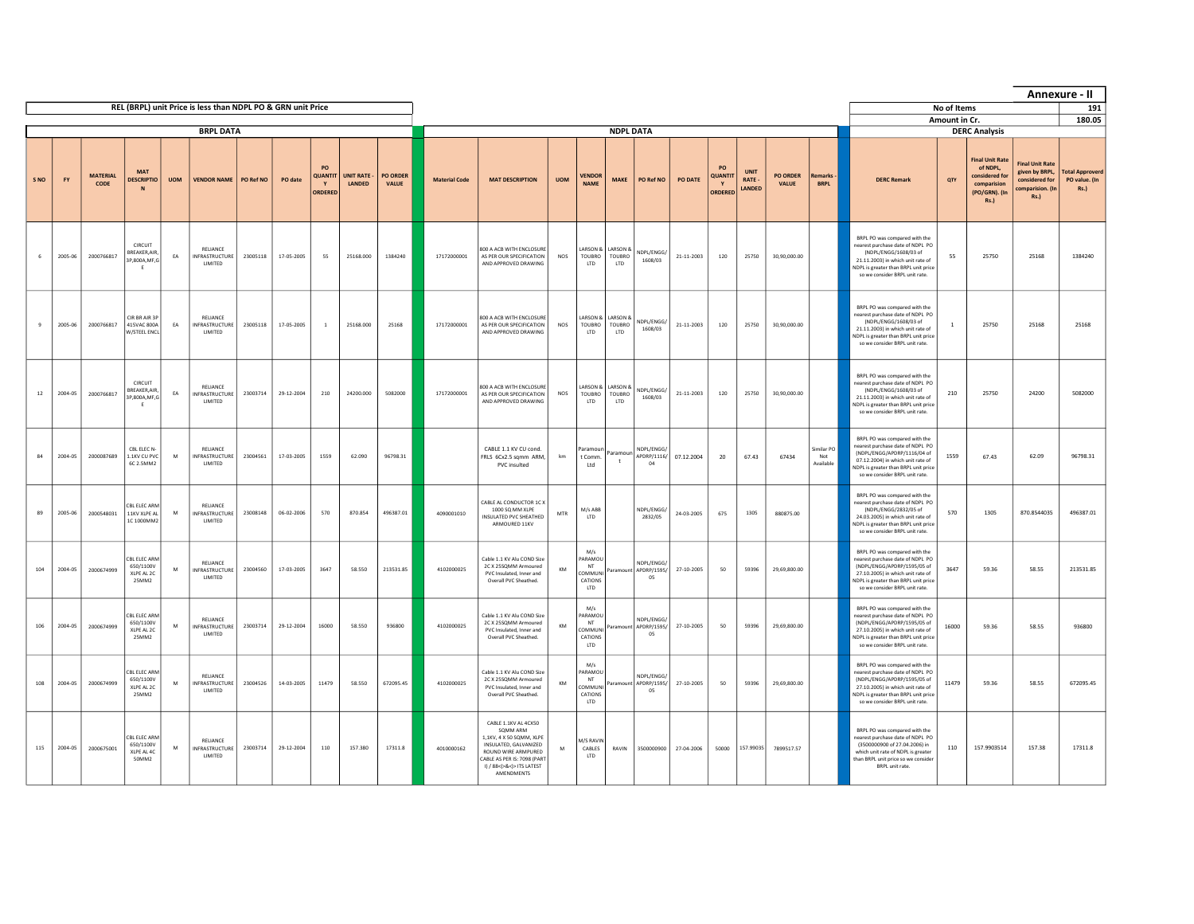|      |           |                         |                                                   |            |                                                             |           |            |                                      |                            |                          |                      |                                                                                                                                                                                        |            |                                                               |                                             |                                           |            |                                                |                                |                                 |                               |                                                                                                                                                                                                                  |               |                                                                                                     |                                                                                               | Annexure - II                                          |
|------|-----------|-------------------------|---------------------------------------------------|------------|-------------------------------------------------------------|-----------|------------|--------------------------------------|----------------------------|--------------------------|----------------------|----------------------------------------------------------------------------------------------------------------------------------------------------------------------------------------|------------|---------------------------------------------------------------|---------------------------------------------|-------------------------------------------|------------|------------------------------------------------|--------------------------------|---------------------------------|-------------------------------|------------------------------------------------------------------------------------------------------------------------------------------------------------------------------------------------------------------|---------------|-----------------------------------------------------------------------------------------------------|-----------------------------------------------------------------------------------------------|--------------------------------------------------------|
|      |           |                         |                                                   |            | REL (BRPL) unit Price is less than NDPL PO & GRN unit Price |           |            |                                      |                            |                          |                      |                                                                                                                                                                                        |            |                                                               |                                             |                                           |            |                                                |                                |                                 |                               |                                                                                                                                                                                                                  | No of Items   |                                                                                                     |                                                                                               | 191                                                    |
|      |           |                         |                                                   |            | <b>BRPL DATA</b>                                            |           |            |                                      |                            |                          |                      |                                                                                                                                                                                        |            |                                                               | <b>NDPL DATA</b>                            |                                           |            |                                                |                                |                                 |                               |                                                                                                                                                                                                                  | Amount in Cr. | <b>DERC Analysis</b>                                                                                |                                                                                               | 180.05                                                 |
| S NO | <b>FY</b> | <b>MATFRIAL</b><br>CODE | <b>MAT</b><br><b>DESCRIPTIO</b><br>N              | <b>UOM</b> | <b>VENDOR NAME</b>                                          | PO Ref NO | PO date    | PO<br><b>QUANTIT</b><br>Y<br>ORDEREI | <b>UNIT RATE</b><br>LANDED | <b>PO ORDER</b><br>VALUE | <b>Material Code</b> | <b>MAT DESCRIPTION</b>                                                                                                                                                                 | <b>UOM</b> | <b>VENDOR</b><br><b>NAME</b>                                  | <b>MAKE</b>                                 | PO Ref NO                                 | PO DATE    | PO<br><b>QUANTIT</b><br>$\mathbf Y$<br>ORDEREI | <b>UNIT</b><br>RATE-<br>LANDED | <b>PO ORDER</b><br><b>VALUE</b> | temarks<br><b>BRPL</b>        | <b>DERC Remark</b>                                                                                                                                                                                               | OTY           | <b>Final Unit Rate</b><br>of NDPL,<br>considered for<br>comparision<br>(PO/GRN). (In<br><b>Rs.)</b> | <b>Final Unit Rate</b><br>given by BRPL,<br>considered for<br>comparision. (In<br><b>Rs.)</b> | <b>Total Approverd</b><br>PO value. (In<br><b>Rs.)</b> |
|      | 2005-06   | 2000766817              | CIRCUIT<br>REAKER, AIR,<br>3P,800A,MF,G<br>E      | EA         | RELIANCE<br><b>INFRASTRUCTURE</b><br><b>I IMITED</b>        | 23005118  | 17-05-2005 | 55                                   | 25168.000                  | 1384240                  | 17172000001          | 800 A ACB WITH ENCLOSURE<br>AS PER OUR SPECIFICATION<br>AND APPROVED DRAWING                                                                                                           | NOS        | ARSON &<br><b>TOUBRO</b><br>ITD.                              | <b>LARSON &amp;</b><br>TOUBRO<br><b>LTD</b> | NDPL/ENGG/<br>1608/03                     | 21-11-2003 | 120                                            | 25750                          | 30,90,000.00                    |                               | BRPL PO was compared with the<br>nearest purchase date of NDPL PO<br>(NDPL/ENGG/1608/03 of<br>21.11.2003) in which unit rate of<br><b>IDPL</b> is greater than BRPL unit price<br>so we consider BRPL unit rate. | 55            | 25750                                                                                               | 25168                                                                                         | 1384240                                                |
|      | 2005-06   | 2000766817              | CIR BR AIR 3P<br>415VAC 800A<br>V/STEEL ENCL      | EA         | RELIANCE<br><b>INFRASTRUCTURE</b><br>LIMITED                | 23005118  | 17-05-2005 | $\overline{1}$                       | 25168.000                  | 25168                    | 17172000001          | 800 A ACB WITH ENCLOSURE<br>AS PER OUR SPECIFICATION<br>AND APPROVED DRAWING                                                                                                           | NOS        | LARSON &<br>TOUBRO<br><b>LTD</b>                              | LARSON &<br>TOUBRO<br>LTD                   | NDPL/ENGG/<br>1608/03                     | 21-11-2003 | 120                                            | 25750                          | 30,90,000.00                    |                               | BRPL PO was compared with the<br>nearest purchase date of NDPL PO<br>(NDPL/ENGG/1608/03 of<br>21.11.2003) in which unit rate of<br>NDPL is greater than BRPL unit price<br>so we consider BRPL unit rate.        |               | 25750                                                                                               | 25168                                                                                         | 25168                                                  |
| 12   | 2004-05   | 2000766817              | CIRCUIT<br>BREAKER, AIR,<br>3P.800A.MF.G<br>- F   | EA         | RELIANCE<br><b>INFRASTRUCTURE</b><br>LIMITED                | 23003714  | 29-12-2004 | 210                                  | 24200.000                  | 5082000                  | 17172000001          | 800 A ACB WITH ENCLOSURE<br>AS PER OUR SPECIFICATION<br>AND APPROVED DRAWING                                                                                                           | <b>NOS</b> | ARSON &<br><b>TOUBRO</b><br>LTD                               | <b>LARSON &amp;</b><br>TOUBRO<br>LTD        | NDPL/ENGG/<br>1608/03                     | 21-11-2003 | 120                                            | 25750                          | 30,90,000.00                    |                               | BRPL PO was compared with the<br>nearest purchase date of NDPL PO<br>(NDPL/ENGG/1608/03 of<br>21.11.2003) in which unit rate of<br>NDPL is greater than BRPL unit price<br>so we consider BRPL unit rate.        | 210           | 25750                                                                                               | 24200                                                                                         | 5082000                                                |
| 84   | 2004-05   | 2000087689              | CRI FIFC N-<br>1.1KV CU PVC<br>6C 2.5MM2          | M          | RELIANCE<br>INFRASTRUCTURE<br>LIMITED                       | 23004561  | 17-03-2005 | 1559                                 | 62.090                     | 96798.31                 |                      | CABLE 1.1 KV CU cond.<br>FRLS 6Cx2.5 sqmm ARM,<br>PVC insulted                                                                                                                         | $\,$ km    | Paramoui<br>t Comm.<br>Ltd                                    | aramour<br>$\ddot{\phantom{1}}$             | NDPI / FNGG<br>APDRP/1116/<br>04          | 07.12.2004 | 20                                             | 67.43                          | 67434                           | imilar PO<br>Not<br>Available | BRPL PO was compared with the<br>nearest purchase date of NDPL PO<br>(NDPL/ENGG/APDRP/1116/04 of<br>07.12.2004) in which unit rate of<br>NDPL is greater than BRPL unit price<br>so we consider BRPL unit rate.  | 1559          | 67.43                                                                                               | 62.09                                                                                         | 96798.31                                               |
| 89   | 2005-06   | 2000548031              | CBL ELEC ARM<br>11KV XLPE AL<br>1C 1000MM2        | М          | RELIANCE<br>NFRASTRUCTURE<br>LIMITED                        | 23008148  | 06-02-2006 | 570                                  | 870.854                    | 496387.01                | 4090001010           | CABLE AL CONDUCTOR 1C X<br>1000 SO MM XLPE<br>INSULATED PVC SHEATHED<br>ARMOURED 11KV                                                                                                  | MTR        | M/s ABB<br><b>LTD</b>                                         |                                             | NDPL/FNGG/<br>2832/05                     | 24-03-2005 | 675                                            | 1305                           | 880875.00                       |                               | BRPL PO was compared with the<br>nearest purchase date of NDPL PO<br>(NDPL/FNGG/2832/05 of<br>24.03.2005) in which unit rate of<br>NDPL is greater than BRPL unit price<br>so we consider BRPL unit rate.        | 570           | 1305                                                                                                | 870.8544035                                                                                   | 496387.01                                              |
| 104  | 2004-05   | 2000674999              | CBL ELEC ARM<br>650/1100V<br>XLPE AL 2C<br>25MM2  | M          | RELIANCE<br><b>INFRASTRUCTURE</b><br>LIMITED                | 23004560  | 17-03-2005 | 3647                                 | 58.550                     | 213531.85                | 4102000025           | Cable 1.1 KV Alu COND Size<br>2C X 25SQMM Armoured<br>PVC Insulated, Inner and<br>Overall PVC Sheathed.                                                                                | KM         | M/s<br>ARAMOL<br>NT<br>COMMUN<br>CATIONS<br><b>LTD</b>        | aramount                                    | NDPL/ENGG/<br>APDRP/1595/<br>05           | 27-10-2005 | 50                                             | 59396                          | 29.69.800.00                    |                               | BRPL PO was compared with the<br>nearest purchase date of NDPL PO<br>(NDPL/ENGG/APDRP/1595/05 of<br>27.10.2005) in which unit rate of<br>NDPL is greater than BRPL unit price<br>so we consider BRPL unit rate.  | 3647          | 59.36                                                                                               | 58.55                                                                                         | 213531.85                                              |
| 106  | 2004-05   | 2000674999              | CBL ELEC ARM<br>650/1100V<br>XI PF AL 2C<br>25MM2 | M          | RELIANCE<br>INFRASTRUCTURE<br>LIMITED                       | 23003714  | 29-12-2004 | 16000                                | 58.550                     | 936800                   | 4102000025           | Cable 1.1 KV Alu COND Size<br>2C X 25SQMM Armoured<br>PVC Insulated, Inner and<br>Overall PVC Sheathed.                                                                                | KM         | M/s<br>ARAMOU<br><b>NT</b><br>COMMUN<br>CATIONS<br><b>LTD</b> | aramount                                    | NDPL/ENGG/<br>APDRP/1595/<br>05           | 27-10-2005 | 50                                             | 59396                          | 29,69,800.00                    |                               | BRPL PO was compared with the<br>nearest purchase date of NDPL PO<br>(NDPL/ENGG/APDRP/1595/05 of<br>27.10.2005) in which unit rate of<br>NDPL is greater than BRPL unit price<br>so we consider BRPL unit rate.  | 16000         | 59.36                                                                                               | 58.55                                                                                         | 936800                                                 |
| 108  | 2004-05   | 2000674999              | CBL ELEC ARM<br>650/1100V<br>XLPE AL 2C<br>25MM2  | M          | RELIANCE<br><b>INFRASTRUCTURE</b><br>LIMITED                | 23004526  | 14-03-2005 | 11479                                | 58,550                     | 672095.45                | 4102000025           | Cable 1.1 KV Alu COND Size<br>2C X 25SQMM Armoured<br>PVC Insulated, Inner and<br>Overall PVC Sheathed.                                                                                | KM         | M/s<br>PARAMOL<br>NT<br>COMMUN<br>CATIONS<br><b>LTD</b>       |                                             | NDPL/ENGG/<br>Paramount APDRP/1595/<br>05 | 27-10-2005 | 50                                             | 59396                          | 29,69,800.00                    |                               | BRPL PO was compared with the<br>nearest purchase date of NDPL PO<br>(NDPL/ENGG/APDRP/1595/05 of<br>27.10.2005) in which unit rate of<br>NDPL is greater than BRPL unit price<br>so we consider BRPL unit rate.  | 11479         | 59.36                                                                                               | 58.55                                                                                         | 672095.45                                              |
| 115  | 2004-05   | 2000675001              | CBL ELEC ARM<br>650/1100V<br>XLPE AL 4C<br>50MM2  | M          | RELIANCE<br><b>INFRASTRUCTURE</b><br><b>I IMITED</b>        | 23003714  | 29-12-2004 | 110                                  | 157,380                    | 17311.8                  | 4010000162           | CARLE 1 1KV AL 4CX50<br>SOMM ARM<br>1.1KV, 4 X 50 SOMM, XLPE<br>INSULATED, GALVANIZED<br>ROUND WIRE ARMPURED<br>CABLE AS PER IS: 7098 (PART<br>I) / 88<(>&<)> ITS LATEST<br>AMENDMENTS | M          | <b>M/S RAVII</b><br>CABLES<br>ITD.                            | RAVIN                                       | 3500000900                                | 27-04-2006 | 50000                                          | 157.99035                      | 7899517.57                      |                               | BRPL PO was compared with the<br>nearest purchase date of NDPL PO<br>(3500000900 of 27.04.2006) in<br>which unit rate of NDPL is greater<br>than BRPL unit price so we consider<br>BRPL unit rate.               | 110           | 157.9903514                                                                                         | 157.38                                                                                        | 17311.8                                                |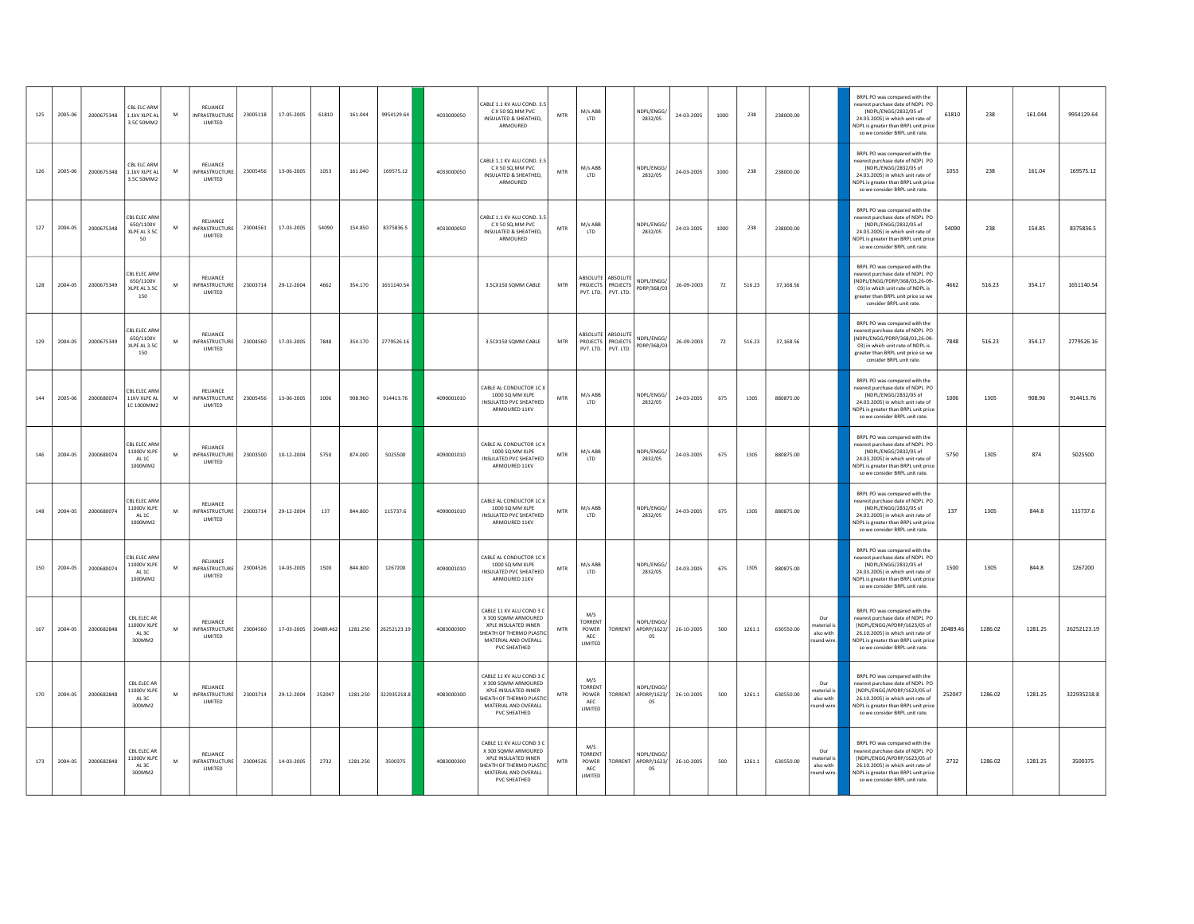| 125 | 2005-06 | 2000675348 | CBL ELC ARN<br>1.1kV XLPE AL<br>3.5C 50MM2                         | M | RELIANCE<br>INFRASTRUCTURE<br>LIMITED        | 23005118 | 17-05-2005 | 61810     | 161.044  | 9954129.64  | 4033000050 | CABLE 1.1 KV ALU COND. 3.5<br>C X 50 SQ.MM PVC<br>INSULATED & SHEATHED.<br>ARMOURED                                                               | <b>MTR</b> | M/s ABB<br><b>LTD</b>                            |                                | NDPL/ENGG/<br>2832/05           | 24-03-2005 | 1000 | 238    | 238000.00 |                                                           | BRPL PO was compared with the<br>nearest purchase date of NDPL PO<br>(NDPL/ENGG/2832/05 of<br>61810<br>24.03.2005) in which unit rate of<br>NDPL is greater than BRPL unit price<br>so we consider BRPL unit rate.         | 238     | 161.044 | 9954129.64  |
|-----|---------|------------|--------------------------------------------------------------------|---|----------------------------------------------|----------|------------|-----------|----------|-------------|------------|---------------------------------------------------------------------------------------------------------------------------------------------------|------------|--------------------------------------------------|--------------------------------|---------------------------------|------------|------|--------|-----------|-----------------------------------------------------------|----------------------------------------------------------------------------------------------------------------------------------------------------------------------------------------------------------------------------|---------|---------|-------------|
| 126 | 2005-06 | 2000675348 | CBL ELC ARN<br>1.1kV XLPE AL<br>3.5C 50MM2                         | M | RELIANCE<br>INFRASTRUCTURE<br>LIMITED        | 23005456 | 13-06-2005 | 1053      | 161.040  | 169575.12   | 4033000050 | CABLE 1.1 KV ALU COND. 3.5<br>C X 50 SQ.MM PVC<br>INSULATED & SHEATHED.<br>ARMOURED                                                               | <b>MTR</b> | M/s ABB<br><b>LTD</b>                            |                                | NDPL/ENGG/<br>2832/05           | 24-03-2005 | 1000 | 238    | 238000.00 |                                                           | BRPL PO was compared with the<br>nearest purchase date of NDPL PO<br>(NDPL/ENGG/2832/05 of<br>1053<br>24.03.2005) in which unit rate of<br>NDPL is greater than BRPL unit price<br>so we consider BRPL unit rate.          | 238     | 161.04  | 169575.12   |
| 127 | 2004-05 | 2000675348 | CBL ELEC ARM<br>650/1100V<br>XLPE AL 3.5C<br>50                    | M | RELIANCE<br>INFRASTRUCTURE<br>LIMITED        | 23004561 | 17-03-2005 | 54090     | 154.850  | 8375836.5   | 4033000050 | CABLE 1.1 KV ALU COND. 3.5<br>C X 50 SQ.MM PVC<br>INSULATED & SHEATHED.<br>ARMOURED                                                               | <b>MTR</b> | M/s ABB<br>LTD                                   |                                | NDPL/ENGG/<br>2832/05           | 24-03-2005 | 1000 | 238    | 238000.00 |                                                           | BRPL PO was compared with the<br>nearest purchase date of NDPL PO<br>(NDPL/ENGG/2832/05 of<br>54090<br>24.03.2005) in which unit rate of<br>NDPL is greater than RRPL unit price<br>so we consider BRPL unit rate.         | 238     | 154.85  | 8375836.5   |
| 128 | 2004-05 | 2000675349 | CBL ELEC ARM<br>650/1100V<br>XLPE AL 3.5C<br>150                   | M | RELIANCE<br>INFRASTRUCTURE<br>LIMITED        | 23003714 | 29-12-2004 | 4662      | 354.170  | 1651140.54  |            | 3.5CX150 SQMM CABLE                                                                                                                               | MTR        | ABSOLUTE ABSOLUTE<br>PVT. LTD.                   | PROJECTS PROJECTS<br>PVT, LTD. | NDPL/ENGG/<br>PDRP/368/03       | 26-09-2003 | 72   | 516.23 | 37,168.56 |                                                           | BRPL PO was compared with the<br>nearest purchase date of NDPL PO<br>(NDPL/ENGG/PDRP/368/03,26-09-<br>4662<br>03) in which unit rate of NDPL is<br>greater than BRPL unit price so we<br>consider BRPL unit rate.          | 516.23  | 354.17  | 1651140.54  |
| 129 | 2004-05 | 2000675349 | <b>CBL ELEC ARN</b><br>650/1100V<br>XLPE AL 3.5C<br>150            | M | RELIANCE<br>INFRASTRUCTURE<br>LIMITED        | 23004560 | 17-03-2005 | 7848      | 354,170  | 2779526.16  |            | 3.5CX150 SQMM CABLE                                                                                                                               | <b>MTR</b> | ABSOLUTE ABSOLUTE<br>PVT. LTD.                   | PROJECTS PROJECTS<br>PVT. LTD. | NDPL/ENGG/<br>PDRP/368/03       | 26-09-2003 | 72   | 516.23 | 37.168.56 |                                                           | BRPL PO was compared with the<br>nearest purchase date of NDPL PO<br>(NDPL/ENGG/PDRP/368/03,26-09-<br>7848<br>03) in which unit rate of NDPL is<br>greater than BRPL unit price so we<br>consider BRPL unit rate.          | 516.23  | 354.17  | 2779526.16  |
| 144 | 2005-06 | 2000680074 | "RI FIFC ARN<br>11KV XLPE AL<br>C 1000MM                           | M | RELIANCE<br>INFRASTRUCTURE<br>LIMITED        | 23005456 | 13-06-2005 | 1006      | 908.960  | 914413.76   | 4090001010 | CABLE AL CONDUCTOR 1C X<br>1000 SQ MM XLPE<br><b>INSULATED PVC SHEATHED</b><br>ARMOURED 11KV                                                      | <b>MTR</b> | M/s ABB<br>LTD                                   |                                | NDPL/ENGG/<br>2832/05           | 24-03-2005 | 675  | 1305   | 880875.00 |                                                           | BRPL PO was compared with the<br>nearest purchase date of NDPL PO<br>(NDPL/ENGG/2832/05 of<br>1006<br>24.03.2005) in which unit rate of<br>NDPL is greater than BRPL unit price<br>so we consider BRPL unit rate.          | 1305    | 908.96  | 914413.76   |
| 146 | 2004-05 | 2000680074 | CBL ELEC ARN<br>11000V XLPE<br>AL 1C<br>1000MM2                    | M | RELIANCE<br><b>INFRASTRUCTURE</b><br>LIMITED | 23003500 | 10-12-2004 | 5750      | 874,000  | 5025500     | 4090001010 | CABLE AL CONDUCTOR 1C X<br>1000 SQ MM XLPE<br><b>INSULATED PVC SHEATHED</b><br>ARMOURED 11KV                                                      | <b>MTR</b> | M/s ABB<br>LTD                                   |                                | NDPL/ENGG/<br>2832/05           | 24-03-2005 | 675  | 1305   | 880875.00 |                                                           | BRPL PO was compared with the<br>nearest purchase date of NDPL PO<br>(NDPL/ENGG/2832/05 of<br>5750<br>24.03.2005) in which unit rate of<br>NDPL is greater than BRPL unit price<br>so we consider BRPL unit rate.          | 1305    | 874     | 5025500     |
| 148 | 2004-05 | 2000680074 | <b>EBL ELEC ARP</b><br>11000V XLPE<br>AL <sub>1</sub> C<br>1000MM2 | M | RELIANCE<br><b>INFRASTRUCTURE</b><br>LIMITED | 23003714 | 29-12-2004 | 137       | 844,800  | 115737.6    | 4090001010 | CABLE AL CONDUCTOR 1C X<br>1000 SQ MM XLPE<br>INSULATED PVC SHEATHED<br>ARMOURED 11KV                                                             | <b>MTR</b> | M/s ABB<br>LTD                                   |                                | NDPL/ENGG/<br>2832/05           | 24-03-2005 | 675  | 1305   | 880875.00 |                                                           | BRPL PO was compared with the<br>nearest purchase date of NDPL PO<br>(NDPL/ENGG/2832/05 of<br>137<br>24.03.2005) in which unit rate of<br>NDPL is greater than BRPL unit price<br>so we consider BRPL unit rate.           | 1305    | 844.8   | 115737.6    |
| 150 | 2004-05 | 2000680074 | CBL ELEC ARM<br>11000V XLPE<br>AL 1C<br>1000MM2                    | M | RELIANCE<br><b>INFRASTRUCTURE</b><br>LIMITED | 23004526 | 14-03-2005 | 1500      | 844,800  | 1267200     | 4090001010 | CABLE AL CONDUCTOR 1C X<br>1000 SQ MM XLPE<br><b>INSULATED PVC SHEATHED</b><br>ARMOURED 11KV                                                      | <b>MTR</b> | M/s ABB<br>LTD                                   |                                | NDPL/ENGG/<br>2832/05           | 24-03-2005 | 675  | 1305   | 880875.00 |                                                           | BRPL PO was compared with the<br>earest purchase date of NDPL PO<br>(NDPL/ENGG/2832/05 of<br>1500<br>24.03.2005) in which unit rate of<br>NDPL is greater than BRPL unit price<br>so we consider BRPL unit rate.           | 1305    | 844.8   | 1267200     |
| 167 | 2004-05 | 2000682848 | CBL ELEC AB<br>11000V XLPE<br>AL3C<br>300MM2                       | M | RELIANCE<br><b>NFRASTRUCTURE</b><br>LIMITED  | 23004560 | 17-03-2005 | 20489.462 | 1281.250 | 26252123.19 | 4083000300 | CABLE 11 KV ALU COND 3 C<br>X 300 SOMM ARMOURED<br>XPLE INSULATED INNER<br>HEATH OF THERMO PLASTIC<br>MATERIAL AND OVERALL<br>PVC SHEATHED        | <b>MTR</b> | M/S<br>TORRENT<br>POWER<br><b>AEC</b><br>LIMITED | TORRENT                        | NDPL/ENGG/<br>APDRP/1623/<br>05 | 26-10-2005 | 500  | 1261.1 | 630550.00 | Our<br>aterial is<br>also with<br>round wire              | BRPL PO was compared with the<br>nearest purchase date of NDPL PO<br>(NDPL/ENGG/APDRP/1623/05 of<br>20489.4<br>26.10.2005) in which unit rate of<br>NDPL is greater than BRPL unit price<br>so we consider BRPL unit rate. | 1286.02 | 1281.25 | 26252123.19 |
| 170 | 2004-05 | 2000682848 | CBL ELEC AF<br>11000V XLPE<br>A1.3C<br>300MM2                      | M | RELIANCE<br>INFRASTRUCTURE<br>LIMITED        | 23003714 | 29-12-2004 | 252047    | 1281.250 | 322935218.8 | 4083000300 | CABLE 11 KV ALU COND 3 C<br>X 300 SOMM ARMOURED<br>XPLE INSULATED INNER<br>HEATH OF THERMO PLASTIC<br>MATERIAL AND OVERALL<br>PVC SHEATHED        | <b>MTR</b> | M/S<br>ORRENT<br>POWER<br>AEC<br>LIMITED         | <b>TORRENT</b>                 | NDPL/ENGG<br>APDRP/1623/<br>05  | 26-10-2005 | 500  | 1261.1 | 630550.00 | Our<br>naterial i:<br>also with<br>round wire.            | BRPL PO was compared with the<br>nearest purchase date of NDPL PO<br>(NDPL/ENGG/APDRP/1623/05 of<br>252047<br>26.10.2005) in which unit rate of<br>NDPL is greater than BRPL unit price<br>so we consider BRPL unit rate.  | 1286.02 | 1281.25 | 322935218.8 |
| 173 | 2004-05 | 2000682848 | CBL ELEC AB<br>11000V XLPE<br>AL3C<br>300MM2                       | M | RELIANCE<br><b>INFRASTRUCTURE</b><br>LIMITED | 23004526 | 14-03-2005 | 2732      | 1281.250 | 3500375     | 4083000300 | CABLE 11 KV ALU COND 3 C<br>X 300 SOMM ARMOURED<br><b>XPLE INSULATED INNER</b><br>HEATH OF THERMO PLASTIC<br>MATERIAL AND OVERALL<br>PVC SHEATHED | <b>MTR</b> | M/S<br>TORRENT<br>POWER<br>AEC<br>LIMITED        | TORRENT                        | NDPL/ENGG/<br>APDRP/1623/<br>05 | 26-10-2005 | 500  | 1261.1 | 630550.00 | Q <sub>III</sub><br>aterial i:<br>also with<br>round wire | BRPL PO was compared with the<br>earest purchase date of NDPL PO<br>(NDPL/ENGG/APDRP/1623/05 of<br>2732<br>26.10.2005) in which unit rate of<br>NDPL is greater than BRPL unit price<br>so we consider BRPL unit rate.     | 1286.02 | 1281.25 | 3500375     |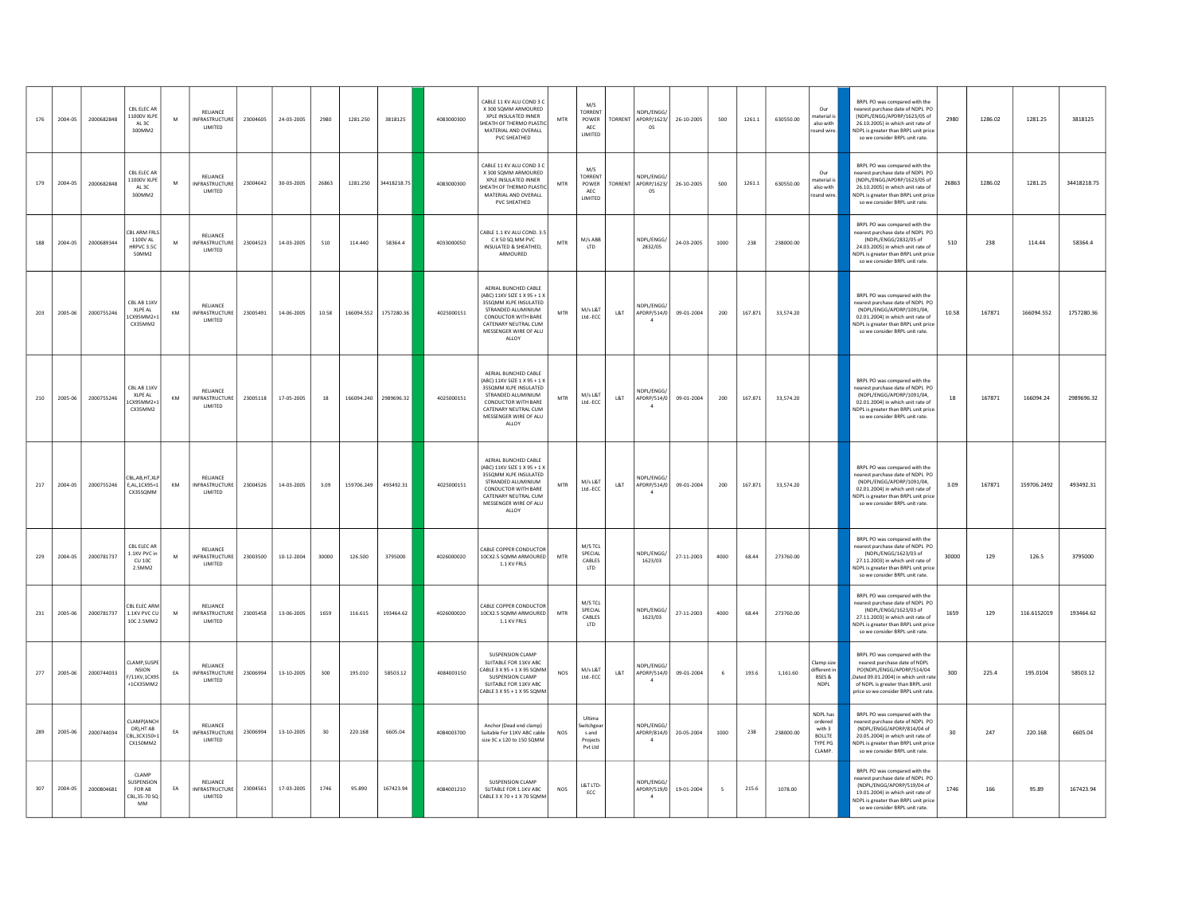| 176 | 2004-05 | 2000682848 | CRI FLEC AR<br>11000V XLPE<br>AL3C<br>300MM2                       | M         | RELIANCE<br>NFRASTRUCTURE<br>LIMITED                | 23004605 | 24-03-2005       | 2980  | 1281.250   | 3818125               | 4083000300 | CABLE 11 KV ALU COND 3 C<br>X 300 SOMM ARMOURED<br><b>XPLE INSULATED INNER</b><br>HEATH OF THERMO PLASTIC<br>MATERIAL AND OVERALL<br>PVC SHEATHED                                          | MTR        | M/S<br>TORRENT<br>POWER<br><b>AEC</b><br>LIMITED   | TORRENT        | NDPL/ENGG/<br>APDRP/1623/<br>05             | 26-10-2005 | 500  | 1261.1  | 630550.00 | Our<br>aterial i:<br>also with<br>round wire                        | BRPL PO was compared with the<br>nearest purchase date of NDPL PO<br>(NDPL/ENGG/APDRP/1623/05 of<br>2980<br>26.10.2005) in which unit rate of<br>NDPL is greater than BRPL unit price<br>so we consider BRPL unit rate. | 1286.02 | 1281.25     | 3818125     |
|-----|---------|------------|--------------------------------------------------------------------|-----------|-----------------------------------------------------|----------|------------------|-------|------------|-----------------------|------------|--------------------------------------------------------------------------------------------------------------------------------------------------------------------------------------------|------------|----------------------------------------------------|----------------|---------------------------------------------|------------|------|---------|-----------|---------------------------------------------------------------------|-------------------------------------------------------------------------------------------------------------------------------------------------------------------------------------------------------------------------|---------|-------------|-------------|
| 179 | 2004-05 | 2000682848 | CBL ELEC AF<br>11000V XLPE<br>AL3C<br>300MM2                       | M         | RELIANCE<br><b>INFRASTRUCTURE</b><br>LIMITED        | 23004642 | 30-03-2005       | 26863 | 1281.250   | 34418218.75           | 4083000300 | CABLE 11 KV ALU COND 3 C<br>X 300 SQMM ARMOURED<br>XPLE INSULATED INNER<br>HEATH OF THERMO PLASTIC<br>MATERIAL AND OVERALL<br>PVC SHEATHED                                                 | <b>MTR</b> | M/S<br>TORRENT<br>POWER<br>AEC<br>LIMITED          | <b>TORRENT</b> | NDPL/ENGG/<br>APDRP/1623/<br>05             | 26-10-2005 | 500  | 1261.1  | 630550.00 | Our<br>haterial is<br>also with<br>ound wire                        | BRPL PO was compared with the<br>earest purchase date of NDPL PO<br>(NDPL/ENGG/APDRP/1623/05 of<br>26863<br>26.10.2005) in which unit rate of<br>NDPL is greater than BRPL unit price<br>so we consider BRPL unit rate. | 1286.02 | 1281.25     | 34418218.75 |
| 188 | 2004-05 | 2000689344 | <b>BLARM FRLS</b><br>1100V AL<br>HRPVC 3.5C<br>50MM2               | M         | RELIANCE<br><b>INFRASTRUCTURE</b><br>LIMITED        | 23004523 | 14-03-2005       | 510   | 114,440    | 58364.4               | 4033000050 | ABLE 1.1 KV ALU COND. 3.5<br>C X 50 SQ.MM PVC<br>INSULATED & SHEATHED,<br>ARMOURED                                                                                                         | <b>MTR</b> | M/s ABB<br>LTD                                     |                | NDPL/ENGG/<br>2832/05                       | 24-03-2005 | 1000 | 238     | 238000.00 |                                                                     | BRPL PO was compared with the<br>earest purchase date of NDPL PO<br>(NDPL/ENGG/2832/05 of<br>510<br>24.03.2005) in which unit rate of<br>NDPL is greater than BRPL unit price<br>so we consider BRPL unit rate.         | 238     | 114.44      | 58364.4     |
| 203 | 2005-06 | 2000755246 | CBL AB 11KV<br>XLPE AL<br>CX95MM2+<br>CX35MM2                      | KM        | RELIANCE<br><b>INFRASTRUCTURE</b><br>LIMITED        | 23005491 | 14-06-2005       | 10.58 |            | 166094.552 1757280.36 | 4025000151 | AERIAL BUNCHED CABLE<br>ABC) 11KV SIZE 1 X 95 + 1 X<br>35SQMM XLPE INSULATED<br>STRANDED ALUMINIUM<br><b>CONDUCTOR WITH BARE</b><br>CATENARY NEUTRAL CUM<br>MESSENGER WIRE OF ALU<br>ALLOY | <b>MTR</b> | M/s L&T<br>$\ensuremath{\mathsf{Ltd}}\xspace$ -ECC | L&T            | NDPL/ENGG/<br>APDRP/514/0<br>$\overline{4}$ | 09-01-2004 | 200  | 167.871 | 33,574.20 |                                                                     | BRPL PO was compared with the<br>nearest purchase date of NDPL PO<br>(NDPL/ENGG/APDRP/1091/04.<br>10.58<br>02.01.2004) in which unit rate of<br>NDPL is greater than BRPL unit price<br>so we consider BRPL unit rate.  | 167871  | 166094.552  | 1757280.36  |
| 210 | 2005-06 | 2000755246 | CBL AB 11KV<br>XI PF AI<br>CX95MM2+<br>CX35MM2                     | KM        | RELIANCE<br><b>INFRASTRUCTURE</b><br>LIMITED        | 23005118 | 17-05-2005       | 18    | 166094.240 | 2989696.32            | 4025000151 | AERIAL BUNCHED CABLE<br>ABC) 11KV SIZE 1 X 95 + 1 X<br>35SOMM XLPE INSULATED<br>STRANDED ALUMINIUM<br><b>CONDUCTOR WITH BARE</b><br>CATENARY NEUTRAL CUM<br>MESSENGER WIRE OF ALU<br>ALLOY | <b>MTR</b> | M/s L&T<br>Ltd.-ECC                                | L&T            | NDPL/ENGG/<br>APDRP/514/0<br>$\overline{4}$ | 09-01-2004 | 200  | 167,871 | 33,574.20 |                                                                     | BRPL PO was compared with the<br>nearest purchase date of NDPL PO<br>(NDPL/ENGG/APDRP/1091/04.<br>18<br>02.01.2004) in which unit rate of<br>NDPL is greater than BRPL unit price<br>so we consider BRPL unit rate.     | 167871  | 166094.24   | 2989696.32  |
| 217 | 2004-05 | 2000755246 | <b>BLARHTXU</b><br>E.AL.1CX95+1<br>CX35SOMM                        | KM        | RELIANCE<br><b>INFRASTRUCTURE</b><br>LIMITED        | 23004526 | 14-03-2005       | 3.09  | 159706.249 | 493492.31             | 4025000151 | AERIAL BUNCHED CABLE<br>ABC) 11KV SIZE 1 X 95 + 1 X<br>35SQMM XLPE INSULATED<br>STRANDED ALUMINIUM<br>CONDUCTOR WITH BARE<br>CATENARY NEUTRAL CUM<br>MESSENGER WIRE OF ALU<br>ALLOY        | <b>MTR</b> | M/s L&T<br>$\ensuremath{\mathsf{Ltd}}\xspace$ -ECC | L&T            | NDPL/ENGG.<br>APDRP/514/0<br>$\overline{4}$ | 09-01-2004 | 200  | 167,871 | 33,574.20 |                                                                     | BRPL PO was compared with the<br>nearest purchase date of NDPL PO<br>(NDPL/ENGG/APDRP/1091/04,<br>3.09<br>02.01.2004) in which unit rate of<br>NDPL is greater than BRPL unit price<br>so we consider BRPL unit rate.   | 167871  | 159706.2492 | 493492.31   |
| 229 | 2004-05 | 2000781737 | CBL ELEC AR<br>1.1KV PVC in<br>CU 10C<br>2.5MM2                    | M         | RELIANCE<br><b>INFRASTRUCTURE</b><br>LIMITED        | 23003500 | $10 - 12 - 2004$ | 30000 | 126.500    | 3795000               | 4026000020 | CABLE COPPER CONDUCTOR<br>10CX2.5 SQMM ARMOURED<br>1.1 KV FRLS                                                                                                                             | <b>MTR</b> | M/S TCL<br>SPECIAL<br>CABLES<br>LTD                |                | NDPL/ENGG/<br>1623/03                       | 27-11-2003 | 4000 | 68.44   | 273760.00 |                                                                     | BRPL PO was compared with the<br>nearest purchase date of NDPL PO<br>(NDPL/ENGG/1623/03 of<br>30000<br>27.11.2003) in which unit rate of<br>NDPL is greater than BRPL unit price<br>so we consider BRPL unit rate.      | 129     | 126.5       | 3795000     |
| 231 | 2005-06 | 2000781737 | CBL ELEC ARN<br>1.1KV PVC CU<br>10C 2.5MM                          | M         | RELIANCE<br>NFRASTRUCTURE<br>LIMITED                | 23005458 | 13-06-2005       | 1659  | 116.615    | 193464.62             | 4026000020 | CABLE COPPER CONDUCTOR<br>10CX2.5 SQMM ARMOURED<br>1.1 KV FRLS                                                                                                                             | MTR        | M/S TCL<br>SPECIAL<br>CARLES<br><b>LTD</b>         |                | NDPI / FNGG/<br>1623/03                     | 27-11-2003 | 4000 | 68.44   | 273760.00 |                                                                     | RRPL PO was compared with the<br>nearest purchase date of NDPL PO<br>(NDPL/ENGG/1623/03 of<br>1659<br>27.11.2003) in which unit rate of<br>NDPL is greater than BRPL unit price<br>so we consider BRPL unit rate.       | 129     | 116.6152019 | 193464.62   |
| 277 | 2005-06 | 2000744033 | CLAMP, SUSPI<br><b>NSION</b><br>F/11KV,1CX9<br>+1CX35MM2           | EA        | RELIANCE<br><b>INFRASTRUCTURE</b><br>LIMITED        | 23006994 | 13-10-2005       | 300   | 195.010    | 58503.12              | 4084003150 | <b>SUSPENSION CLAMP</b><br>SUITABLE FOR 11KV ABC<br>ABLE 3 X 95 + 1 X 95 SQMM<br>SUSPENSION CLAMP<br>SUITABLE FOR 11KV ABC<br>ABLE 3 X 95 + 1 X 95 SQMM                                    | <b>NOS</b> | M/s L&T<br>Ltd.-ECC                                | L&T            | NDPL/ENGG/<br>APDRP/514/0<br>-4             | 09-01-2004 | 6    | 193.6   | 1,161.60  | Clamp size<br>lifferent i<br>BSES &<br>NDPL                         | BRPL PO was compared with the<br>nearest purchase date of NDPL<br>PO(NDPL/ENGG/APDRP/514/04<br>300<br>Dated 09.01.2004) in which unit rat<br>of NDPL is greater than BRPL unit<br>price so we consider BRPL unit rate   | 225.4   | 195.0104    | 58503.12    |
| 289 | 2005-06 | 2000744034 | CLAMP(ANCH<br>OR), HT AB<br>CBL,3CX150+1<br>CX150MM2               | <b>FA</b> | RELIANCE<br><b>INFRASTRUCTURE</b><br><b>IIMITED</b> | 23006994 | 13-10-2005       | 30    | 220.168    | 6605.04               | 4084003700 | Anchor (Dead end clamp)<br>Suitable For 11KV ABC cable<br>size 3C x 120 to 150 SOMM                                                                                                        | NOS        | Ultima<br>vitchgea<br>s and<br>Projects<br>Put Itd |                | NDPL/ENGG.<br>APDRP/814/0<br>$\Lambda$      | 20-05-2004 | 1000 | 238     | 238000.00 | NDPL has<br>ordered<br>with 3<br><b>BOLLTE</b><br>TYPE PG<br>CLAMP. | BRPL PO was compared with the<br>nearest purchase date of NDPL PO<br>(NDPL/ENGG/APDRP/814/04 of<br>30<br>20.05.2004) in which unit rate of<br>NDPL is greater than BRPL unit price<br>so we consider BRPL unit rate.    | 247     | 220.168     | 6605.04     |
| 307 | 2004-05 | 2000804681 | CLAMP<br><b>IUSPENSION</b><br>FOR AB<br>CBL, 35-70 SC<br><b>MM</b> | EA        | RELIANCE<br><b>INFRASTRUCTURE</b><br>LIMITED        | 23004561 | 17-03-2005       | 1746  | 95.890     | 167423.94             | 4084001210 | SUSPENSION CLAMP<br>SUTABLE FOR 1.1KV ABC<br>ABLE 3 X 70 + 1 X 70 SQMM                                                                                                                     | NOS        | L&T LTD-<br>ECC                                    |                | NDPL/ENGG<br>APDRP/519/0                    | 19-01-2004 | 5    | 215.6   | 1078.00   |                                                                     | RRPL PO was compared with the<br>nearest nurchase date of NDPL PO<br>(NDPL/ENGG/APDRP/519/04 of<br>1746<br>19.01.2004) in which unit rate of<br>NDPL is greater than BRPL unit price<br>so we consider BRPL unit rate.  | 166     | 95.89       | 167423.94   |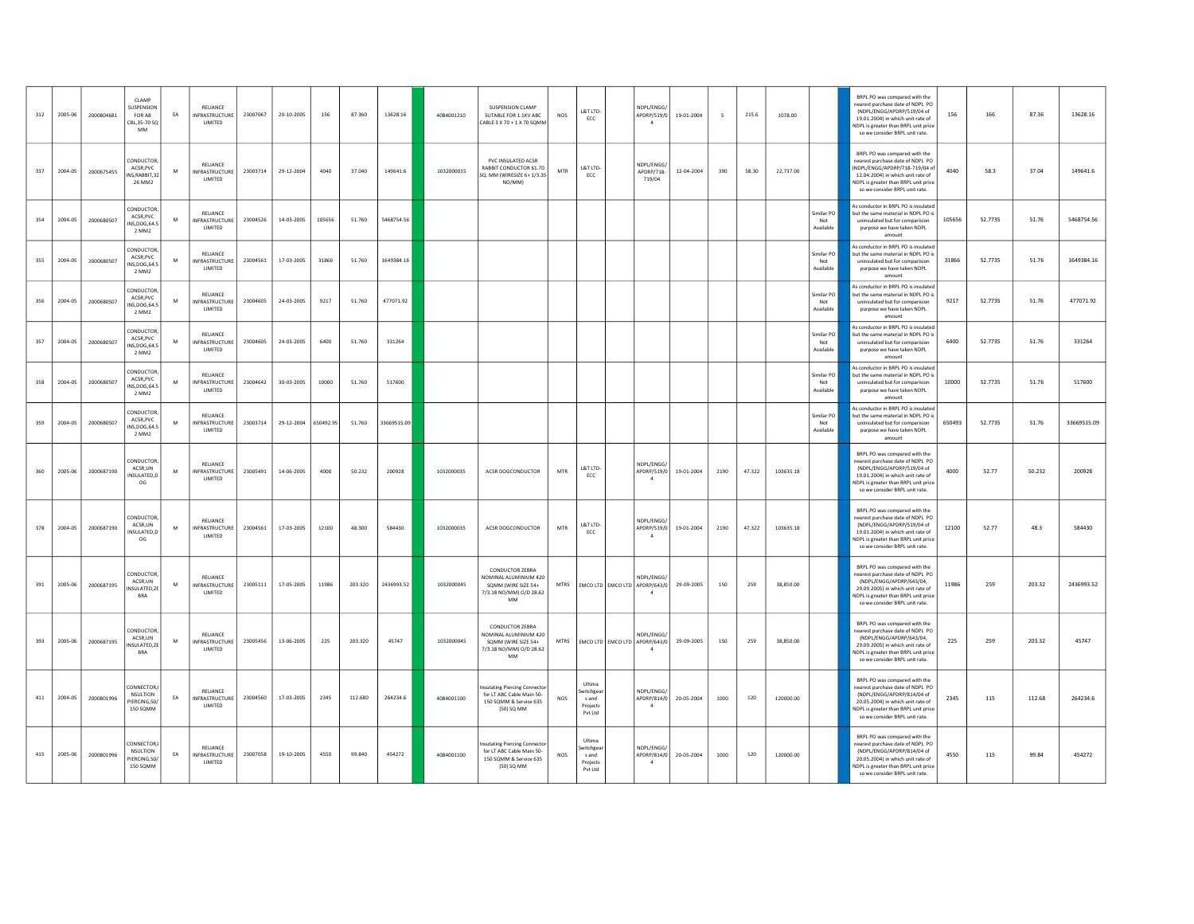| 312 | 2005-06 | 2000804681 | CLAMP<br>USPENSION<br><b>FOR AB</b><br>CBI 35-70 SO<br><b>MM</b> | EA | RELIANCE<br><b>INFRASTRUCTURE</b><br><b>I IMITED</b> | 23007067 | 20-10-2005 | 156       | 87.360  | 13628.16    | 4084001210 | <b>SUSPENSION CLAMP</b><br>SUTABLE FOR 1.1KV ABC<br>CABLE 3 X 70 + 1 X 70 SOMM                                        | <b>NOS</b>  | L&T LTD-<br>ECC                                     | NDPL/ENGG/<br>APDRP/519/0<br>$\mathbf{a}$                                | 19-01-2004 | - 5  | 215.6  | 1078.00   |                                | BRPL PO was compared with the<br>nearest purchase date of NDPL PO<br>(NDPL/ENGG/APDRP/519/04 of<br>19.01.2004) in which unit rate of<br><b>IDPL</b> is greater than BRPL unit price<br>so we consider BRPL unit rate.    | 156    | 166     | 87.36  | 13628.16    |
|-----|---------|------------|------------------------------------------------------------------|----|------------------------------------------------------|----------|------------|-----------|---------|-------------|------------|-----------------------------------------------------------------------------------------------------------------------|-------------|-----------------------------------------------------|--------------------------------------------------------------------------|------------|------|--------|-----------|--------------------------------|--------------------------------------------------------------------------------------------------------------------------------------------------------------------------------------------------------------------------|--------|---------|--------|-------------|
| 337 | 2004-05 | 2000675455 | CONDUCTOR<br>ACSR.PVC<br>INS.RABBIT.32<br>.26 MM2                | M  | RELIANCE<br><b>INFRASTRUCTURE</b><br>LIMITED         | 23003714 | 29-12-2004 | 4040      | 37.040  | 149641.6    | 1032000015 | PVC INSULATED ACSR<br>RABBIT CONDUCTOR 61.70<br>SQ. MM (WIRESIZE 6+1/3.35<br>NO/MM)                                   | MTR         | L&T LTD-<br>ECC                                     | NDPI/FNGG/<br>APDRP/718-<br>719/04                                       | 12-04-2004 | 390  | 58.30  | 22,737.00 |                                | BRPL PO was compared with the<br>nearest purchase date of NDPL PO<br>NDPL/ENGG/APDRP/718-719/04 of<br>12.04.2004) in which unit rate of<br><b>NDPL</b> is greater than BRPL unit price<br>so we consider BRPL unit rate. | 4040   | 58.3    | 37.04  | 149641.6    |
| 354 | 2004-05 | 2000680507 | CONDUCTOR<br>ACSR, PVC<br>INS.DOG.64.5<br>2 MM2                  | M  | RELIANCE<br><b>INFRASTRUCTURE</b><br>LIMITED         | 23004526 | 14-03-2005 | 105656    | 51.760  | 5468754.56  |            |                                                                                                                       |             |                                                     |                                                                          |            |      |        |           | Similar PO<br>Not<br>Available | s conductor in RRPL PO is insulated<br>but the same material in NDPI PO is<br>uninsulated but for comparision<br>purpose we have taken NDPL<br>amount                                                                    | 105656 | 52.7735 | 51.76  | 5468754.56  |
| 355 | 2004-05 | 2000680507 | CONDUCTOR<br>ACSR.PVC<br>INS, DOG, 64.5<br>2 MM2                 | M  | RELIANCE<br><b>INFRASTRUCTURE</b><br>LIMITED         | 23004561 | 17-03-2005 | 31866     | 51.760  | 1649384.16  |            |                                                                                                                       |             |                                                     |                                                                          |            |      |        |           | Similar PO<br>Not<br>Available | As conductor in BRPL PO is insulated<br>but the same material in NDPL PO is<br>uninsulated but for comparision<br>purpose we have taken NDPL<br>amount                                                                   | 31866  | 52.7735 | 51.76  | 1649384.16  |
| 356 | 2004-05 | 2000680507 | CONDUCTOR<br>ACSR, PVC<br>INS.DOG.64.<br>2 MM2                   | M  | RELIANCE<br><b>INFRASTRUCTURE</b><br>LIMITED         | 23004605 | 24-03-2005 | 9217      | 51,760  | 477071.92   |            |                                                                                                                       |             |                                                     |                                                                          |            |      |        |           | imilar PO<br>Not<br>Available  | As conductor in BRPL PO is insulated<br>but the same material in NDPL PO is<br>uninsulated but for comparision<br>purpose we have taken NDPL<br>amount                                                                   | 9217   | 52.7735 | 51.76  | 477071.92   |
| 357 | 2004-05 | 2000680507 | CONDUCTOR<br>ACSR, PVC<br>INS.DOG.64.5<br>2 MM2                  | M  | RELIANCE<br>INFRASTRUCTURE<br>LIMITED                | 23004605 | 24-03-2005 | 6400      | 51.760  | 331264      |            |                                                                                                                       |             |                                                     |                                                                          |            |      |        |           | Similar PO<br>Not<br>Available | s conductor in BRPL PO is insulated<br>out the same material in NDPL PO is<br>uninsulated but for comparision<br>purpose we have taken NDPL<br>amount                                                                    | 6400   | 52.7735 | 51.76  | 331264      |
| 358 | 2004-05 | 2000680507 | CONDUCTOR<br>ACSR, PVC<br>INS, DOG, 64.5<br>2 MM2                | M  | RELIANCE<br>INFRASTRUCTURE<br>LIMITED                | 23004642 | 30-03-2005 | 10000     | 51,760  | 517600      |            |                                                                                                                       |             |                                                     |                                                                          |            |      |        |           | Similar PO<br>Not<br>Available | s conductor in BRPL PO is insulated<br>but the same material in NDPL PO is<br>uninsulated but for comparision<br>purpose we have taken NDPL<br>amount                                                                    | 10000  | 52.7735 | 51.76  | 517600      |
| 359 | 2004-05 | 2000680507 | CONDUCTOR<br>ACSR.PVC<br>INS.DOG.64.<br>2 MM2                    | M  | RELIANCE<br><b>INFRASTRUCTURE</b><br>LIMITED         | 23003714 | 29-12-2004 | 650492.95 | 51.760  | 33669515.09 |            |                                                                                                                       |             |                                                     |                                                                          |            |      |        |           | Similar PO<br>Not<br>Available | As conductor in BRPL PO is insulated<br>out the same material in NDPL PO is<br>uninsulated but for comparision<br>purpose we have taken NDPL<br>amount                                                                   | 650493 | 52.7735 | 51.76  | 33669515.09 |
| 360 | 2005-06 | 2000687190 | CONDUCTOR<br>ACSR.UN<br>INSULATED.D<br>OG                        | M  | RELIANCE<br>INFRASTRUCTURE<br>LIMITED                | 23005491 | 14-06-2005 | 4000      | 50.232  | 200928      | 1032000035 | ACSR DOGCONDUCTOR                                                                                                     | <b>MTR</b>  | L&T LTD-<br>ECC                                     | NDPL/ENGG/<br>APDRP/519/0<br>$\overline{a}$                              | 19-01-2004 | 2190 | 47.322 | 103635.18 |                                | BRPL PO was compared with the<br>nearest purchase date of NDPL PO<br>(NDPL/ENGG/APDRP/519/04 of<br>19.01.2004) in which unit rate of<br>NDPL is greater than BRPL unit price<br>so we consider BRPL unit rate.           | 4000   | 52.77   | 50.232 | 200928      |
| 378 | 2004-05 | 2000687190 | CONDUCTOR<br>ACSR,UN<br>INSULATED,D<br>OG                        | M  | RELIANCE<br><b>INFRASTRUCTURE</b><br>LIMITED         | 23004561 | 17-03-2005 | 12100     | 48,300  | 584430      | 1032000035 | ACSR DOGCONDUCTOR                                                                                                     | <b>MTR</b>  | L&T LTD-<br>ECC                                     | NDPL/ENGG/<br>APDRP/519/0<br>$\overline{4}$                              | 19-01-2004 | 2190 | 47.322 | 103635.18 |                                | BRPL PO was compared with the<br>nearest purchase date of NDPL PO<br>(NDPL/ENGG/APDRP/519/04 of<br>19.01.2004) in which unit rate of<br>NDPL is greater than BRPL unit price<br>so we consider BRPL unit rate.           | 12100  | 52.77   | 48.3   | 584430      |
| 391 | 2005-06 | 2000687195 | <b>CONDUCTOR</b><br>ACSR,UN<br><b>INSULATED.ZE</b><br><b>BRA</b> | M  | RELIANCE<br>INFRASTRUCTURE<br>LIMITED                | 23005111 | 17-05-2005 | 11986     | 203,320 | 2436993.52  | 1032000045 | CONDUCTOR ZERRA<br><b>IOMINAL ALUMINIUM 420</b><br>SQMM (WIRE SIZE 54+<br>7/3.18 NO/MM) O/D 28.62<br>MM               |             |                                                     | NDPL/ENGG/<br>MTRS   EMCO LTD   EMCO LTD   APDRP/643/0<br>$\overline{a}$ | 29-09-2005 | 150  | 259    | 38,850.00 |                                | BRPL PO was compared with the<br>nearest purchase date of NDPL PO<br>(NDPL/ENGG/APDRP/643/04,<br>29.09.2005) in which unit rate of<br><b>NDPL</b> is greater than BRPL unit price<br>so we consider BRPL unit rate.      | 11986  | 259     | 203.32 | 2436993.52  |
| 393 | 2005-06 | 2000687195 | CONDUCTOR<br>ACSR.UN<br>INSULATED, ZE<br><b>BRA</b>              | M  | RELIANCE<br><b>INFRASTRUCTURE</b><br>LIMITED         | 23005456 | 13-06-2005 | 225       | 203.320 | 45747       | 1032000045 | <b>CONDUCTOR ZEBRA</b><br><b>IOMINAL ALUMINIUM 420</b><br>SQMM (WIRE SIZE 54+<br>7/3.18 NO/MM) O/D 28.62<br><b>MM</b> | <b>MTRS</b> |                                                     | NDPL/ENGG/<br>EMCO LTD EMCO LTD APDRP/643/0<br>$\overline{4}$            | 29-09-2005 | 150  | 259    | 38,850.00 |                                | BRPL PO was compared with the<br>nearest purchase date of NDPL PO<br>(NDPL/ENGG/APDRP/643/04.<br>29.09.2005) in which unit rate of<br>NDPL is greater than BRPL unit price<br>so we consider BRPL unit rate.             | 225    | 259     | 203.32 | 45747       |
| 411 | 2004-05 | 2000801996 | CONNECTOR,<br><b>NSULTION</b><br>PIERCING,50/<br>150 SOMM        | EA | RELIANCE<br><b>INFRASTRUCTURE</b><br>LIMITED         | 23004560 | 17-03-2005 | 2345      | 112,680 | 264234.6    | 4084001100 | sutating Piercing Connector<br>for LT ABC Cable Main 50-<br>150 SQMM & Service 635<br>(50) SQ MM                      | <b>NOS</b>  | Ultima<br>witchgear<br>s and<br>Projects<br>Pvt Ltd | NDPL/ENGG/<br>APDRP/814/0<br>$\overline{4}$                              | 20-05-2004 | 1000 | 120    | 120000.00 |                                | BRPL PO was compared with the<br>nearest purchase date of NDPL PO<br>(NDPL/ENGG/APDRP/814/04 of<br>20.05.2004) in which unit rate of<br>NDPL is greater than BRPL unit price<br>so we consider BRPL unit rate.           | 2345   | 115     | 112.68 | 264234.6    |
| 415 | 2005-06 | 2000801996 | CONNECTOR.<br><b>NSLILTION</b><br>PIFRCING 50/<br>150 SOMM       | EA | RELIANCE<br><b>INFRASTRUCTURE</b><br>LIMITED         | 23007058 | 19-10-2005 | 4550      | 99.840  | 454272      | 4084001100 | sutating Piercing Connector<br>for IT ARC Cable Main 50-<br>150 SQMM & Service 635<br>(50) SQ MM                      | <b>NOS</b>  | Ultima<br>vitchgea<br>s and<br>Projects<br>Pvt Ltd  | NDPL/ENGG/<br>APDRP/814/0<br>$\overline{4}$                              | 20-05-2004 | 1000 | 120    | 120000.00 |                                | BRPL PO was compared with the<br>nearest purchase date of NDPL PO<br>(NDPL/ENGG/APDRP/814/04 of<br>20.05.2004) in which unit rate of<br><b>NDPL</b> is greater than BRPL unit price<br>so we consider BRPL unit rate.    | 4550   | 115     | 99.84  | 454272      |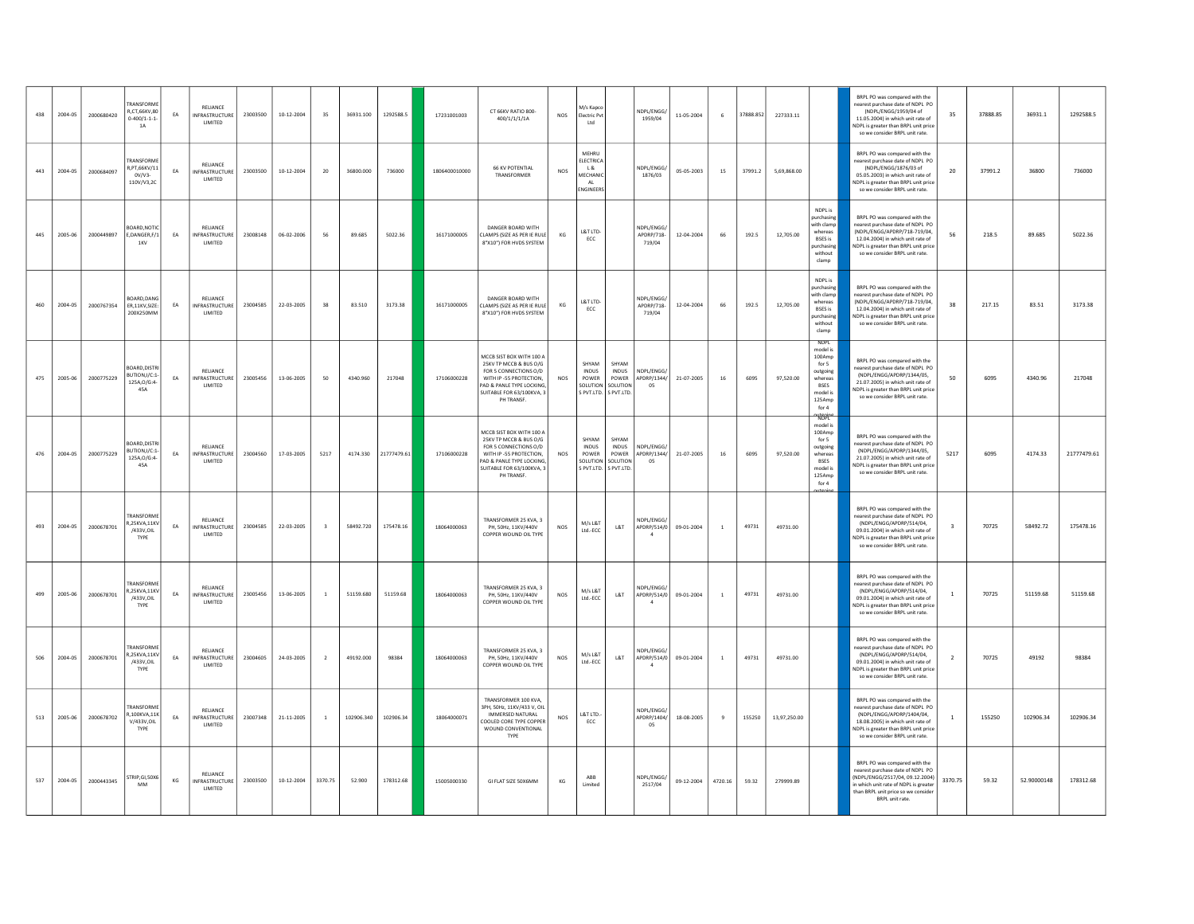| 438 | 2004-05 | 2000680420 | <b>RANSFORME</b><br>R.CT.66KV.80<br>$0 - 400/1 - 1 - 1$<br><b>1A</b> | EA        | RELIANCE<br><b>INFRASTRUCTURE</b><br>LIMITED | 23003500 | 10-12-2004       | 35                      | 36931.100  | 1292588.5   | 17231001003   | CT 66KV RATIO 800-<br>400/1/1/1/1A                                                                                                                                            | <b>NOS</b>           | M/s Kapco<br>Electric Pvt<br>Ltd                                |                                                                              | NDPL/ENGG/<br>1959/04             | 11-05-2004 | $\,$ 6         | 37888.852 | 227333.11    |                                                                                                                   | BRPL PO was compared with the<br>earest purchase date of NDPL PO<br>(NDPL/ENGG/1959/04 of<br>11.05.2004) in which unit rate of<br>NDPL is greater than BRPL unit price<br>so we consider BRPL unit rate.               | 35                      | 37888.85 | 36931.1     | 1292588.5   |
|-----|---------|------------|----------------------------------------------------------------------|-----------|----------------------------------------------|----------|------------------|-------------------------|------------|-------------|---------------|-------------------------------------------------------------------------------------------------------------------------------------------------------------------------------|----------------------|-----------------------------------------------------------------|------------------------------------------------------------------------------|-----------------------------------|------------|----------------|-----------|--------------|-------------------------------------------------------------------------------------------------------------------|------------------------------------------------------------------------------------------------------------------------------------------------------------------------------------------------------------------------|-------------------------|----------|-------------|-------------|
| 443 | 2004-05 | 2000684097 | TRANSFORME<br>R.PT.66KV/11<br>$0V/V3-$<br>110V/V3,20                 | EA        | RELIANCE<br><b>INFRASTRUCTURE</b><br>LIMITED | 23003500 | $10 - 12 - 2004$ | $20\,$                  | 36800.000  | 736000      | 1806400010000 | <b>66 KV POTENTIAL</b><br>TRANSFORMER                                                                                                                                         | $NOS$                | MEHRU<br><b>ELECTRICA</b><br>L &<br>MECHANIC<br>AL<br>ENGINEERS |                                                                              | NDPL/ENGG/<br>1876/03             | 05-05-2003 | $15\,$         | 37991.2   | 5,69,868.00  |                                                                                                                   | BRPL PO was compared with the<br>nearest purchase date of NDPL PO<br>(NDPL/ENGG/1876/03 of<br>05.05.2003) in which unit rate of<br>NDPL is greater than BRPL unit price<br>so we consider BRPL unit rate.              | 20                      | 37991.2  | 36800       | 736000      |
| 445 | 2005-06 | 2000449897 | OARD.NOT<br>E,DANGER,F/1<br>1KV                                      | EA        | RELIANCE<br>NFRASTRUCTURE<br>LIMITED         | 23008148 | 06-02-2006       | 56                      | 89.685     | 5022.36     | 16171000005   | DANGER BOARD WITH<br>LAMPS (SIZE AS PER IE RULE<br>8"X10") FOR HVDS SYSTEM                                                                                                    | $\mathsf{KG}\xspace$ | L&T LTD-<br>ECC                                                 |                                                                              | NDPL/ENGG<br>APDRP/718-<br>719/04 | 12-04-2004 | 66             | 192.5     | 12,705.00    | NDPL is<br>nurchasing<br>with clams<br>whereas<br><b>BSES</b> is<br>purchasing<br>without<br>clamp                | <b>BRPLPO</b> was compared with the<br>nearest purchase date of NDPL PO<br>(NDPL/ENGG/APDRP/718-719/04.<br>12.04.2004) in which unit rate of<br>NDPL is greater than BRPL unit price<br>so we consider BRPL unit rate. | 56                      | 218.5    | 89.685      | 5022.36     |
| 460 | 2004-05 | 2000767354 | BOARD DANG<br>FR 11KV SIZE:<br>200X250MM                             | EA        | RELIANCE<br><b>INFRASTRUCTURE</b><br>LIMITED | 23004585 | 22-03-2005       | 38                      | 83,510     | 3173.38     | 16171000005   | DANGER ROARD WITH<br>LAMPS (SIZE AS PER IF RULE<br>8"X10") FOR HVDS SYSTEM                                                                                                    | KG                   | L&T LTD-<br>ECC                                                 |                                                                              | NDPL/FNGG<br>APDRP/718-<br>719/04 | 12-04-2004 | 66             | 192.5     | 12,705.00    | NDPL is<br>purchasing<br>with clamp<br>whereas<br><b>BSES</b> is<br>purchasing<br>without<br>clamp                | BRPL PO was compared with the<br>earest purchase date of NDPL PO<br>(NDPL/ENGG/APDRP/718-719/04,<br>12.04.2004) in which unit rate of<br><b>IDPL</b> is greater than BRPL unit price<br>so we consider BRPL unit rate. | 38                      | 217.15   | 83.51       | 3173.38     |
| 475 | 2005-06 | 2000775229 | BOARD.DISTE<br>BUTION,I/C:1-<br>125A, O/G:4-<br>45A                  | EA        | RELIANCE<br><b>INFRASTRUCTURE</b><br>LIMITED | 23005456 | 13-06-2005       | 50                      | 4340.960   | 217048      | 17106000228   | MCCB SIST BOX WITH 100 A<br>25KV TP MCCB & BUS O/G<br>FOR 5 CONNECTIONS O/D<br>WITH IP -55 PROTECTION.<br>AD & PANLE TYPE LOCKING<br>SUITABLE FOR 63/100KVA, 3<br>PH TRANSF.  | <b>NOS</b>           | SHYAM<br><b>INDUS</b><br>POWER<br>SOLUTION                      | SHYAM<br><b>INDUS</b><br>POWER<br>SOLUTION<br>S PVT.LTD. S PVT.LTD.          | NDPL/ENGG/<br>APDRP/1344/<br>05   | 21-07-2005 | 16             | 6095      | 97,520.00    | <b>NDPI</b><br>model is<br>100Amp<br>for 5<br>outgoing<br>whereas<br><b>BSES</b><br>model is<br>125Amp<br>for 4   | BRPL PO was compared with the<br>arest purchase date of NDPL PO<br>(NDPL/ENGG/APDRP/1344/05,<br>21.07.2005) in which unit rate of<br>NDPL is greater than BRPL unit price<br>so we consider BRPL unit rate.            | 50                      | 6095     | 4340.96     | 217048      |
| 476 | 2004-05 | 2000775229 | <b>ROARD DISTE</b><br>UTION,I/C:1<br>125A, O/G:4-<br>45A             | EA        | RELIANCE<br><b>INFRASTRUCTURE</b><br>LIMITED | 23004560 | 17-03-2005       | 5217                    | 4174.330   | 21777479.61 | 17106000228   | MCCB SIST BOX WITH 100 A<br>25KV TP MCCB & BUS O/G<br>FOR 5 CONNECTIONS O/D<br>WITH IP -55 PROTECTION,<br>AD & PANLE TYPE LOCKING,<br>SUITABLE FOR 63/100KVA, 3<br>PH TRANSF. | NOS                  | SHYAM<br><b>INDUS</b><br>POWER                                  | SHYAM<br><b>INDUS</b><br>POWER<br>SOLUTION SOLUTION<br>S PVT.LTD. S PVT.LTD. | NDPL/ENGG/<br>APDRP/1344/<br>05   | 21-07-2005 | 16             | 6095      | 97,520.00    | <b>Kissir</b><br>model is<br>100Amp<br>for 5<br>outgoing<br>whereas<br><b>BSES</b><br>model is<br>125Amp<br>for 4 | BRPL PO was compared with the<br>earest purchase date of NDPL PO<br>(NDPL/ENGG/APDRP/1344/05,<br>21.07.2005) in which unit rate of<br><b>IDPL</b> is greater than BRPL unit price<br>so we consider BRPL unit rate.    | 5217                    | 6095     | 4174.33     | 21777479.61 |
| 493 | 2004-05 | 2000678701 | <b>TRANSFORME</b><br>R,25KVA,11KV<br>/433V, OIL<br>TYPE              | EA        | RELIANCE<br>INFRASTRUCTURE<br>LIMITED        | 23004585 | 22-03-2005       | $\overline{\mathbf{3}}$ | 58492.720  | 175478.16   | 18064000063   | TRANSFORMER 25 KVA, 3<br>PH, 50Hz, 11KV/440V<br>COPPER WOUND OIL TYPE                                                                                                         | <b>NOS</b>           | M/s L&T<br>Ltd.-ECC                                             | L&T                                                                          | NDPL/ENGG/<br>APDRP/514/0         | 09-01-2004 | $\overline{1}$ | 49731     | 49731.00     |                                                                                                                   | BRPL PO was compared with the<br>nearest purchase date of NDPL PO<br>(NDPL/ENGG/APDRP/514/04.<br>09.01.2004) in which unit rate of<br>NDPL is greater than BRPL unit price<br>so we consider BRPL unit rate.           | $\overline{\mathbf{3}}$ | 70725    | 58492.72    | 175478.16   |
| 499 | 2005-06 | 2000678701 | RANSFORME<br>R,25KVA,11KV<br>/433V, OIL<br>TYPE                      | <b>FA</b> | RELIANCE<br>INFRASTRUCTURE<br>LIMITED        | 23005456 | 13-06-2005       | <sup>1</sup>            | 51159.680  | 51159.68    | 18064000063   | TRANSFORMER 25 KVA, 3<br>PH, 50Hz, 11KV/440V<br>COPPER WOUND OIL TYPE                                                                                                         | NOS                  | M/s L&T<br>Ltd.-ECC                                             | L&T                                                                          | NDPL/ENGG/<br>APDRP/514/0         | 09-01-2004 | $\overline{1}$ | 49731     | 49731.00     |                                                                                                                   | BRPL PO was compared with the<br>nearest purchase date of NDPL PO<br>(NDPL/ENGG/APDRP/514/04,<br>09.01.2004) in which unit rate of<br>NDPL is greater than BRPL unit price<br>so we consider BRPL unit rate.           | $\overline{1}$          | 70725    | 51159.68    | 51159.68    |
| 506 | 2004-05 | 2000678701 | <b>RANSFORME</b><br>R,25KVA,11KV<br>/433V, OIL<br>TYPE               | EA        | RELIANCE<br><b>INFRASTRUCTURE</b><br>LIMITED | 23004605 | 24-03-2005       | $\overline{2}$          | 49192.000  | 98384       | 18064000063   | TRANSFORMER 25 KVA, 3<br>PH, 50Hz, 11KV/440V<br>COPPER WOUND OIL TYPE                                                                                                         | <b>NOS</b>           | M/s L&T<br>Ltd.-ECC                                             | L8T                                                                          | NDPL/ENGG/<br>APDRP/514/0         | 09-01-2004 | $\overline{1}$ | 49731     | 49731.00     |                                                                                                                   | BRPL PO was compared with the<br>nearest purchase date of NDPL PO<br>(NDPL/ENGG/APDRP/514/04,<br>09.01.2004) in which unit rate of<br>NDPL is greater than BRPL unit price<br>so we consider BRPL unit rate.           | $\overline{2}$          | 70725    | 49192       | 98384       |
| 513 | 2005-06 | 2000678702 | <b>RANSFORMI</b><br>R.100KVA.11<br>V/433V.OIL<br>TYPE                | EA        | RELIANCE<br><b>INFRASTRUCTURE</b><br>LIMITED | 23007348 | 21-11-2005       | $\overline{1}$          | 102906.340 | 102906.34   | 18064000071   | TRANSFORMER 100 KVA,<br>3PH, 50Hz, 11KV/433 V, OIL<br>IMMERSED NATURAL<br>COOLED CORE TYPE COPPER<br>WOUND CONVENTIONAL<br>TYPE                                               | $NOS$                | $RTTITD -$<br>ECC                                               |                                                                              | NDPL/ENGG<br>APDRP/1404/<br>05    | 18-08-2005 | $_{9}$         | 155250    | 13,97,250.00 |                                                                                                                   | BRPL PO was compared with the<br>nearest purchase date of NDPL PO<br>(NDPL/ENGG/APDRP/1404/04.<br>18.08.2005) in which unit rate of<br>NDPL is greater than BRPL unit price<br>so we consider BRPL unit rate.          |                         | 155250   | 102906.34   | 102906.34   |
| 537 | 2004-05 | 2000443345 | TRIP GL 50X6<br>MM                                                   | KG        | RELIANCE<br><b>INFRASTRUCTURE</b><br>LIMITED | 23003500 | $10 - 12 - 2004$ | 3370.75                 | 52.900     | 178312.68   | 15005000330   | GI FLAT SIZE 50X6MM                                                                                                                                                           | KG                   | ARR<br>Limited                                                  |                                                                              | NDPL/FNGG<br>2517/04              | 09-12-2004 | 4720.16        | 59.32     | 279999.89    |                                                                                                                   | BRPL PO was compared with the<br>nearest nurchase date of NDPL PO<br>(NDPL/FNGG/2517/04 09 12 2004)<br>n which unit rate of NDPL is greater<br>than BRPL unit price so we conside<br>BRPL unit rate.                   | 3370.75                 | 59.32    | 52.90000148 | 178312.68   |
|     |         |            |                                                                      |           |                                              |          |                  |                         |            |             |               |                                                                                                                                                                               |                      |                                                                 |                                                                              |                                   |            |                |           |              |                                                                                                                   |                                                                                                                                                                                                                        |                         |          |             |             |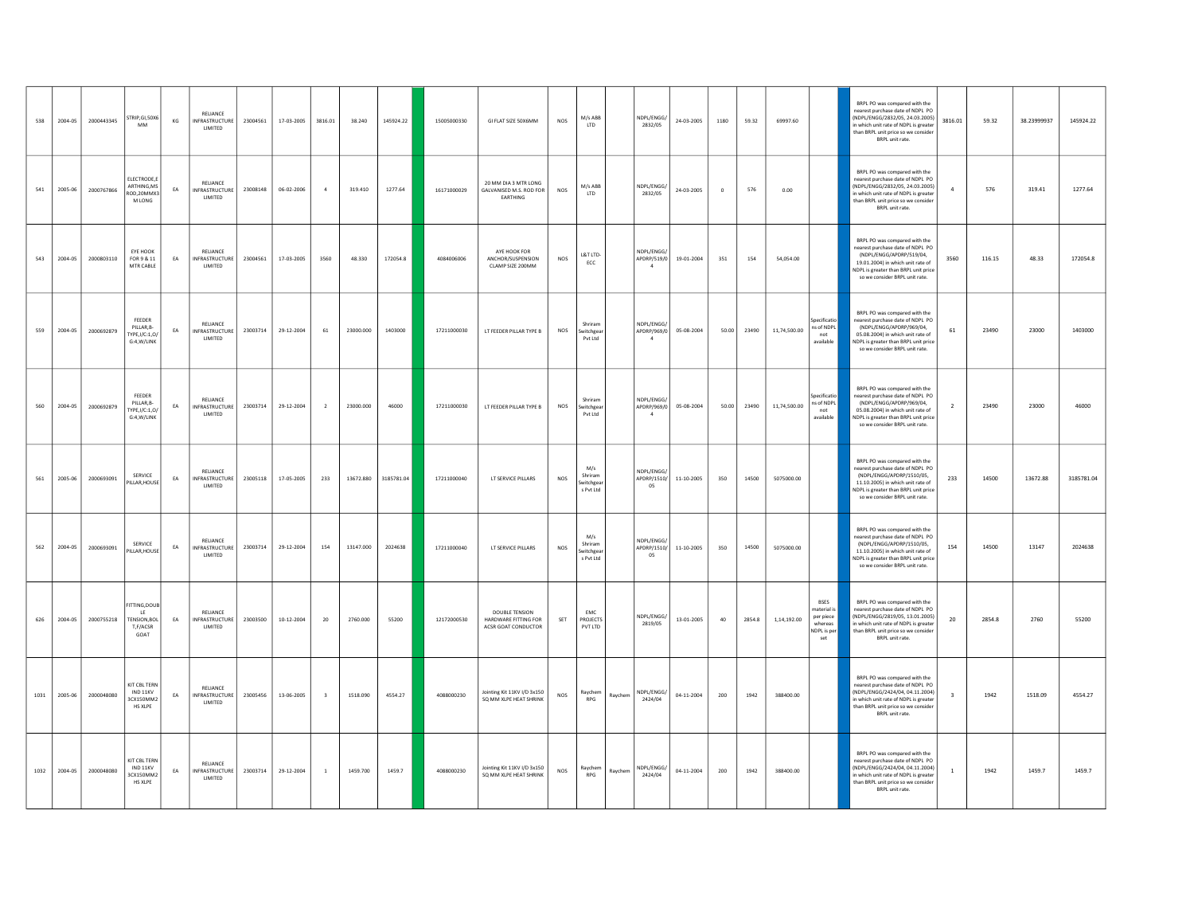| 538  | 2004-05 | 2000443345 | STRIP, GI, 50X6<br>MM                                        | KG         | RELIANCE<br><b>INFRASTRUCTURE</b><br>LIMITED         | 23004561 | 17-03-2005 | 3816.01                 | 38.240    | 145924.22  | 15005000330 | GI FLAT SIZE 50X6MM                                                  | NOS        | M/s ABB<br>LTD                           |         | NDPL/ENGG/<br>2832/05                       | 24-03-2005       | 1180        | 59.32       | 69997.60                                                                             | BRPL PO was compared with the<br>nearest purchase date of NDPL PO<br>(NDPL/ENGG/2832/05, 24.03.2005)<br>n which unit rate of NDPL is greater<br>than BRPL unit price so we consider<br>BRPL unit rate.        | 3816.01        | 59.32  | 38.23999937 | 145924.22  |
|------|---------|------------|--------------------------------------------------------------|------------|------------------------------------------------------|----------|------------|-------------------------|-----------|------------|-------------|----------------------------------------------------------------------|------------|------------------------------------------|---------|---------------------------------------------|------------------|-------------|-------------|--------------------------------------------------------------------------------------|---------------------------------------------------------------------------------------------------------------------------------------------------------------------------------------------------------------|----------------|--------|-------------|------------|
| 541  | 2005-06 | 2000767866 | ELECTRODE,E<br>ARTHING, MS<br>ROD, 20MMX3<br>M LONG          | EA         | RELIANCE<br><b>INFRASTRUCTURE</b><br>LIMITED         | 23008148 | 06-02-2006 | $\overline{4}$          | 319,410   | 1277.64    | 16171000029 | 20 MM DIA 3 MTR LONG<br>GALVANISED M.S. ROD FOR<br>EARTHING          | NOS        | M/s ABB<br>LTD                           |         | NDPL/ENGG/<br>2832/05                       | 24-03-2005       | $\mathbf 0$ | 576         | 0.00                                                                                 | BRPL PO was compared with the<br>nearest purchase date of NDPL PO<br>(NDPL/ENGG/2832/05, 24.03.2005)<br>n which unit rate of NDPL is greater<br>than BRPL unit price so we consider<br>BRPL unit rate.        |                | 576    | 319.41      | 1277.64    |
| 543  | 2004-05 | 2000803110 | EYE HOOK<br>FOR 9 & 11<br>MTR CABLE                          | ${\sf EA}$ | RELIANCE<br>INFRASTRUCTURE<br>LIMITED                | 23004561 | 17-03-2005 | 3560                    | 48.330    | 172054.8   | 4084006006  | AYE HOOK FOR<br>ANCHOR/SUSPENSION<br>CLAMP SIZE 200MM                | NOS        | L&T LTD-<br>ECC                          |         | NDPL/ENGG<br>APDRP/519/0<br>$\overline{4}$  | 19-01-2004       | 351         | 154         | 54,054.00                                                                            | BRPL PO was compared with the<br>nearest nurchase date of NDPL PO<br>(NDPL/ENGG/APDRP/519/04.<br>19.01.2004) in which unit rate of<br>NDPL is greater than BRPL unit price<br>so we consider BRPL unit rate.  | 3560           | 116.15 | 48.33       | 172054.8   |
| 559  | 2004-05 | 2000692879 | FEEDER<br>PILLAR, B-<br>TYPE, I/C:1,0/<br>G:4.W/LINK         | EA         | RELIANCE<br>INFRASTRUCTURE<br>LIMITED                | 23003714 | 29-12-2004 | 61                      | 23000.000 | 1403000    | 17211000030 | LT FEEDER PILLAR TYPE B                                              | NOS        | Shriram<br>iwitchgea<br>Pvt Ltd          |         | NDPL/ENGG/<br>APDRP/969/0<br>$\overline{4}$ | 05-08-2004       |             | 50.00 23490 | Specificatio<br>ns of NDPL<br>11,74,500.00<br>not<br>available                       | BRPL PO was compared with the<br>nearest purchase date of NDPL PO<br>(NDPL/ENGG/APDRP/969/04,<br>05.08.2004) in which unit rate of<br>NDPL is greater than BRPL unit price<br>so we consider BRPL unit rate.  | 61             | 23490  | 23000       | 1403000    |
| 560  | 2004-05 | 2000692879 | <b>FFFDER</b><br>PILLAR.B-<br>TYPE.I/C:1.0/<br>G:4.W/LINK    | EA         | RELIANCE<br>INFRASTRUCTURE<br>LIMITED                | 23003714 | 29-12-2004 | $\overline{2}$          | 23000.000 | 46000      | 17211000030 | LT FEEDER PILLAR TYPE B                                              | NOS        | Shriram<br>Switchgear<br>Pvt Ltd         |         | NDPL/ENGG/<br>APDRP/969/0<br>$\overline{4}$ | 05-08-2004       | 50.00       | 23490       | inecificatio<br>ns of NDPL<br>11,74,500.00<br>not<br>available                       | BRPL PO was compared with the<br>nearest nurchase date of NDPL PO<br>(NDPL/ENGG/APDRP/969/04.<br>05.08.2004) in which unit rate of<br>NDPL is greater than BRPL unit price<br>so we consider BRPL unit rate.  |                | 23490  | 23000       | 46000      |
| 561  | 2005-06 | 2000693091 | SERVICE<br>PILLAR.HOUSE                                      | EA         | RELIANCE<br>INFRASTRUCTURE<br>LIMITED                | 23005118 | 17-05-2005 | 233                     | 13672.880 | 3185781.04 | 17211000040 | LT SERVICE PILLARS                                                   | NOS        | M/s<br>Shriram<br>Switchgea<br>s Pyt Ltd |         | NDPL/ENGG/<br>APDRP/1510/<br>05             | $11 - 10 - 2005$ | 350         | 14500       | 5075000.00                                                                           | BRPL PO was compared with the<br>nearest purchase date of NDPL PO<br>(NDPL/ENGG/APDRP/1510/05<br>11.10.2005) in which unit rate of<br>NDPL is greater than BRPL unit price<br>so we consider BRPL unit rate.  | 233            | 14500  | 13672.88    | 3185781.04 |
| 562  | 2004-05 | 2000693091 | SERVICE<br>PILLAR, HOUSE                                     | EA         | RELIANCE<br>INFRASTRUCTURE<br>LIMITED                | 23003714 | 29-12-2004 | 154                     | 13147.000 | 2024638    | 17211000040 | LT SERVICE PILLARS                                                   | <b>NOS</b> | M/s<br>Shriram<br>iwitchgea<br>s Pvt Ltd |         | NDPL/ENGG/<br>APDRP/1510/<br>05             | 11-10-2005       | 350         | 14500       | 5075000.00                                                                           | BRPL PO was compared with the<br>nearest purchase date of NDPL PO<br>(NDPL/ENGG/APDRP/1510/05,<br>11.10.2005) in which unit rate of<br>NDPL is greater than BRPL unit price<br>so we consider BRPL unit rate. | 154            | 14500  | 13147       | 2024638    |
| 626  | 2004-05 | 2000755218 | <b>ITTING,DOUB</b><br>LE.<br>TENSION.BOL<br>T,F/ACSR<br>GOAT | EA         | RELIANCE<br><b>INFRASTRUCTURE</b><br>LIMITED         | 23003500 | 10-12-2004 | 20                      | 2760.000  | 55200      | 12172000530 | <b>DOUBLE TENSION</b><br>HARDWARE FITTING FOR<br>ACSR GOAT CONDUCTOR | SET        | EMC<br>PROJECTS<br>PVT LTD               |         | NDPL/ENGG/<br>2819/05                       | 13-01-2005       | 40          | 2854.8      | <b>BSES</b><br>naterial<br>per piece<br>1,14,192.00<br>whereas<br>NDPL is per<br>set | BRPL PO was compared with the<br>nearest purchase date of NDPL PO<br>(NDPL/ENGG/2819/05, 13.01.2005)<br>n which unit rate of NDPL is greater<br>than BRPL unit price so we consider<br>BRPL unit rate.        | 20             | 2854.8 | 2760        | 55200      |
| 1031 | 2005-06 | 2000048080 | KIT CBL TERN<br>IND 11KV<br>3CX150MM2<br><b>HS XLPE</b>      | EA         | RELIANCE<br><b>INFRASTRUCTURE</b><br><b>I IMITED</b> | 23005456 | 13-06-2005 | $\overline{\mathbf{3}}$ | 1518.090  | 4554.27    | 4088000230  | Jointing Kit 11KV I/D 3x150<br>SQ MM XLPE HEAT SHRINK                | <b>NOS</b> | Raychem<br>RPG                           | Raychem | NDPL/ENGG/<br>2424/04                       | 04-11-2004       | 200         | 1942        | 388400.00                                                                            | BRPL PO was compared with the<br>nearest purchase date of NDPL PO<br>(NDPL/ENGG/2424/04, 04.11.2004)<br>which unit rate of NDPL is greater<br>than BRPL unit price so we consider<br>BRPL unit rate.          |                | 1942   | 1518.09     | 4554.27    |
| 1032 | 2004-05 | 2000048080 | KIT CBL TERN<br>IND 11KV<br>3CX150MM2<br>HS XLPE             | EA         | RELIANCE<br>INFRASTRUCTURE<br>LIMITED                | 23003714 | 29-12-2004 | $\overline{1}$          | 1459,700  | 1459.7     | 4088000230  | Jointing Kit 11KV I/D 3x150<br>SQ MM XLPE HEAT SHRINK                | NOS        | Ravchem<br>RPG                           | Raychem | NDPL/ENGG/<br>2424/04                       | 04-11-2004       | 200         | 1942        | 388400.00                                                                            | BRPL PO was compared with the<br>nearest purchase date of NDPL PO<br>NDPL/ENGG/2424/04.04.11.2004)<br>which unit rate of NDPL is greater<br>than BRPL unit price so we consider<br>BRPL unit rate.            | $\overline{1}$ | 1942   | 1459.7      | 1459.7     |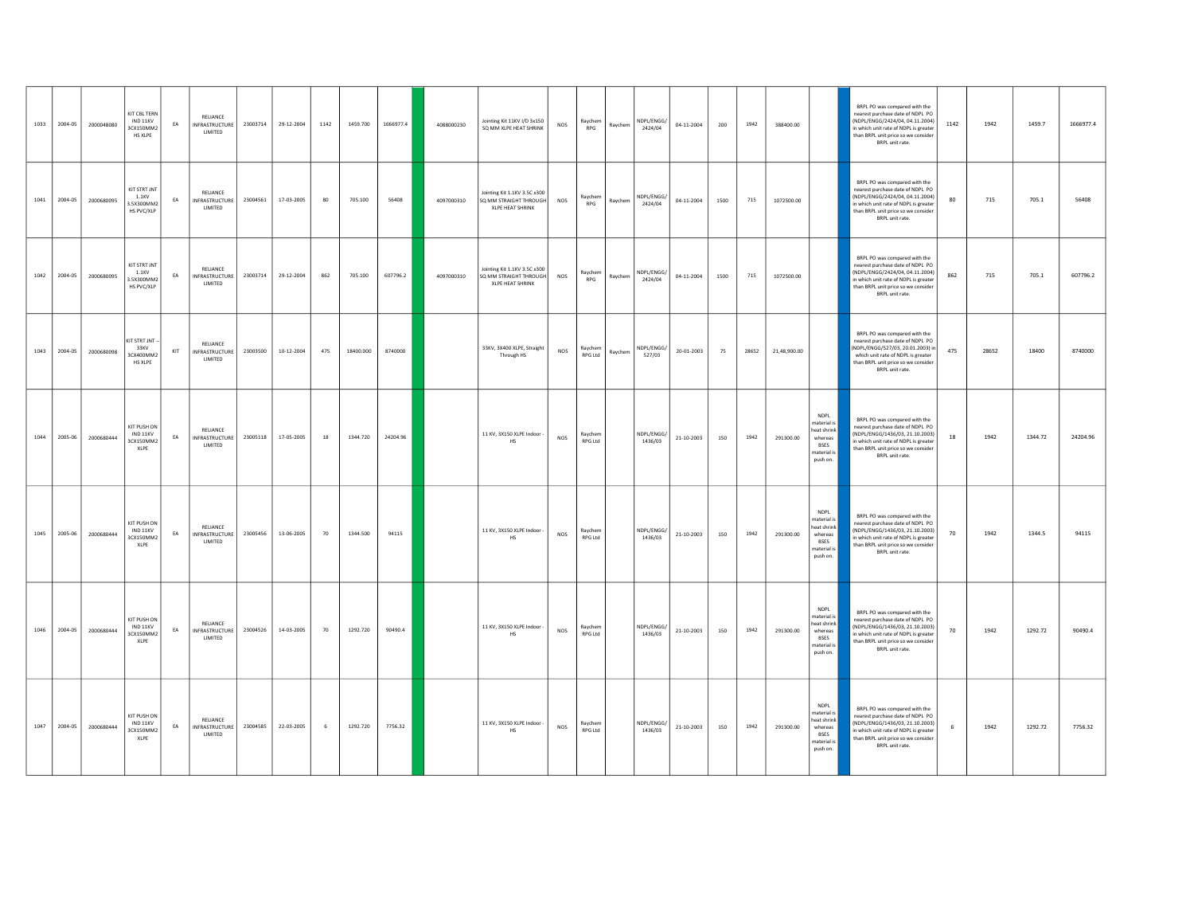|      | 1033 2004-05 | 2000048080 | <b>KIT CBL TERN</b><br>IND 11KV<br>3CX150MM2<br>HS XLPE | EA               | RELIANCE<br>INFRASTRUCTURE<br>LIMITED        | 23003714 | 29-12-2004 | 1142 | 1459.700  | 1666977.4 | 4088000230 | Jointing Kit 11KV I/D 3x150<br>SQ MM XLPE HEAT SHRINK                             | NOS        | Raychem<br>RPG            | Raychem | NDPL/ENGG/<br>2424/04 | 04-11-2004 | 200  | 1942  | 388400.00    |                                                                                               | BRPL PO was compared with the<br>nearest purchase date of NDPL PO<br>(NDPL/ENGG/2424/04, 04.11.2004)<br>n which unit rate of NDPL is greater<br>than BRPL unit price so we consider<br>BRPL unit rate. | 1142 | 1942  | 1459.7  | 1666977.4 |
|------|--------------|------------|---------------------------------------------------------|------------------|----------------------------------------------|----------|------------|------|-----------|-----------|------------|-----------------------------------------------------------------------------------|------------|---------------------------|---------|-----------------------|------------|------|-------|--------------|-----------------------------------------------------------------------------------------------|--------------------------------------------------------------------------------------------------------------------------------------------------------------------------------------------------------|------|-------|---------|-----------|
| 1041 | 2004-05      | 2000680095 | KIT STRT JNT<br>1.1KV<br>3.5X300MM2<br>HS PVC/XLP       | EA               | RELIANCE<br><b>INFRASTRUCTURE</b><br>LIMITED | 23004561 | 17-03-2005 | 80   | 705.100   | 56408     | 4097000310 | Jointing Kit 1.1KV 3.5C x300<br>SO MM STRAIGHT THROUGH<br><b>XLPE HEAT SHRINK</b> | <b>NOS</b> | Raychem<br>RPG            | Raychem | NDPL/ENGG/<br>2424/04 | 04-11-2004 | 1500 | 715   | 1072500.00   |                                                                                               | BRPL PO was compared with the<br>nearest purchase date of NDPL PO<br>(NDPL/ENGG/2424/04, 04.11.2004)<br>which unit rate of NDPL is greater<br>than BRPL unit price so we consider<br>BRPL unit rate.   | 80   | 715   | 705.1   | 56408     |
| 1042 | 2004-05      | 2000680095 | KIT STRT JNT<br>1.1KV<br>3.5X300MM2<br>HS PVC/XLP       | EA               | RELIANCE<br><b>INFRASTRUCTURE</b><br>LIMITED | 23003714 | 29-12-2004 | 862  | 705.100   | 607796.2  | 4097000310 | Jointing Kit 1.1KV 3.5C x300<br>SQ MM STRAIGHT THROUGH<br><b>XLPE HEAT SHRINK</b> | <b>NOS</b> | Raychem<br>RPG            | Raychem | NDPL/ENGG/<br>2424/04 | 04-11-2004 | 1500 | 715   | 1072500.00   |                                                                                               | BRPL PO was compared with the<br>nearest purchase date of NDPL PO<br>(NDPL/ENGG/2424/04, 04.11.2004)<br>n which unit rate of NDPL is greater<br>than BRPL unit price so we consider<br>BRPL unit rate. | 862  | 715   | 705.1   | 607796.2  |
| 1043 | 2004-05      | 2000680098 | KIT STRT JNT<br>33KV<br>3CX400MM2<br>HS XLPE            | $\mathsf{KIT}\,$ | RELIANCE<br>INFRASTRUCTURE<br>LIMITED        | 23003500 | 10-12-2004 | 475  | 18400.000 | 8740000   |            | 33KV, 3X400 XLPE, Straight<br>Through HS                                          | NOS        | Raychem<br>RPG Ltd        | Raychem | NDPL/FNGG<br>527/03   | 20-01-2003 | 75   | 28652 | 21,48,900.00 |                                                                                               | BRPL PO was compared with the<br>nearest purchase date of NDPL PO<br>NDPL/ENGG/527/03. 20.01.2003) in<br>which unit rate of NDPL is greater<br>than BRPL unit price so we consider<br>BRPL unit rate.  | 475  | 28652 | 18400   | 8740000   |
| 1044 | 2005-06      | 2000680444 | KIT PLISH ON<br>IND 11KV<br>3CX150MM2<br>XLPE           | EA               | RELIANCE<br>INFRASTRUCTURE<br>LIMITED        | 23005118 | 17-05-2005 | 18   | 1344.720  | 24204.96  |            | 11 KV, 3X150 XLPE Indoor<br>HS                                                    | NOS        | Raychem<br>RPG Ltd        |         | NDPL/ENGG/<br>1436/03 | 21-10-2003 | 150  | 1942  | 291300.00    | <b>NDPL</b><br>material is<br>eat shrink<br>whereas<br><b>BSES</b><br>naterial i:<br>push on. | BRPL PO was compared with the<br>nearest purchase date of NDPL PO<br>(NDPL/ENGG/1436/03, 21.10.2003)<br>n which unit rate of NDPL is greater<br>than BRPL unit price so we consider<br>BRPL unit rate. | 18   | 1942  | 1344.72 | 24204.96  |
| 1045 | 2005-06      | 2000680444 | KIT PUSH ON<br>IND 11KV<br>3CX150MM2<br>XLPE            | EA               | RELIANCE<br><b>INFRASTRUCTURE</b><br>LIMITED | 23005456 | 13-06-2005 | 70   | 1344.500  | 94115     |            | 11 KV, 3X150 XLPE Indoor<br>$_{\rm HS}$                                           | NOS        | Raychem<br>RPG Ltd        |         | NDPL/ENGG/<br>1436/03 | 21-10-2003 | 150  | 1942  | 291300.00    | <b>NDPL</b><br>naterial is<br>eat shrink<br>whereas<br><b>BSES</b><br>material is<br>push on. | BRPL PO was compared with the<br>nearest purchase date of NDPL PO<br>(NDPL/ENGG/1436/03.21.10.2003)<br>n which unit rate of NDPL is greater<br>than BRPL unit price so we consider<br>BRPL unit rate.  | 70   | 1942  | 1344.5  | 94115     |
| 1046 | 2004-05      | 2000680444 | KIT PUSH ON<br>IND 11KV<br>3CX150MM2<br>XLPE            | EA               | RELIANCE<br>INFRASTRUCTURE<br>LIMITED        | 23004526 | 14-03-2005 | 70   | 1292.720  | 90490.4   |            | 11 KV, 3X150 XLPE Indoor<br>HS                                                    | NOS        | Raychem<br>RPG Ltd        |         | NDPL/ENGG/<br>1436/03 | 21-10-2003 | 150  | 1942  | 291300.00    | <b>NDPI</b><br>naterial is<br>eat shrink<br>whereas<br><b>BSES</b><br>material is<br>push on. | BRPL PO was compared with the<br>nearest purchase date of NDPL PO<br>(NDPL/ENGG/1436/03.21.10.2003)<br>n which unit rate of NDPL is greater<br>than BRPL unit price so we consider<br>BRPL unit rate.  | 70   | 1942  | 1292.72 | 90490.4   |
| 1047 | 2004-05      | 2000680444 | KIT PUSH ON<br>IND 11KV<br>3CX150MM2<br>XLPE            | EA               | RELIANCE<br>INFRASTRUCTURE<br>LIMITED        | 23004585 | 22-03-2005 | 6    | 1292.720  | 7756.32   |            | 11 KV, 3X150 XLPE Indoor -<br><b>HS</b>                                           | NOS        | Raychem<br><b>RPG Ltd</b> |         | NDPL/ENGG/<br>1436/03 | 21-10-2003 | 150  | 1942  | 291300.00    | <b>NDPI</b><br>naterial is<br>eat shrink<br>whereas<br><b>BSES</b><br>material is<br>push on. | BRPL PO was compared with the<br>nearest purchase date of NDPL PO<br>(NDPL/ENGG/1436/03.21.10.2003)<br>n which unit rate of NDPL is greater<br>than BRPL unit price so we consider<br>BRPL unit rate.  |      | 1942  | 1292.72 | 7756.32   |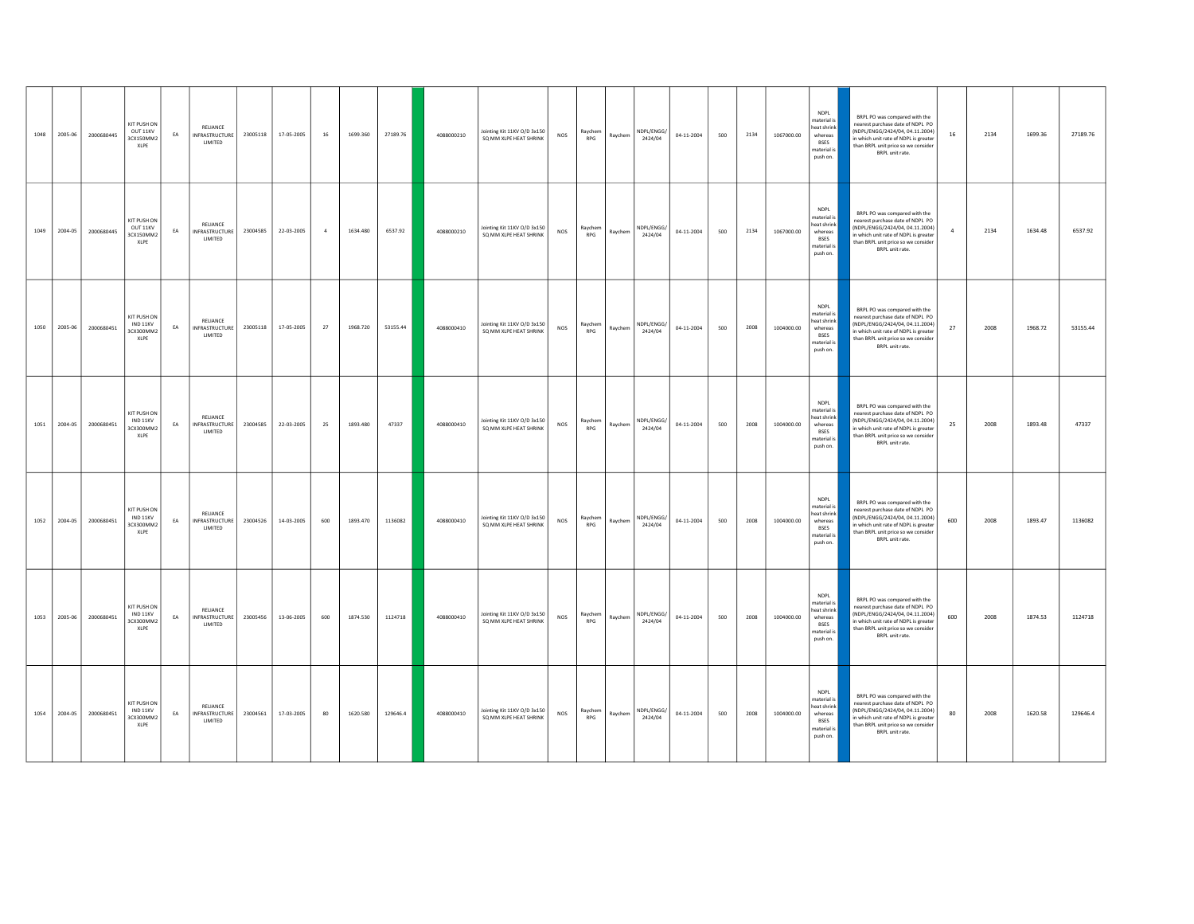| 1048 | 2005-06 | 2000680445 | KIT PLISH ON<br>OUT 11KV<br>3CX150MM2<br>XLPE       | EA | RELIANCE<br>INFRASTRUCTURE<br>LIMITED         | 23005118 | 17-05-2005 | 16         | 1699.360 | 27189.76 | 4088000210 | Jointing Kit 11KV O/D 3x150<br>SQ MM XLPE HEAT SHRINK | NOS        | Raychem<br>RPG        | Raychem | NDPL/ENGG/<br>2424/04 | 04-11-2004 | 500 | 2134 | 1067000.00 | <b>NDPL</b><br>naterial is<br>heat shrink<br>whereas<br><b>BSES</b><br>naterial is<br>push on. | BRPL PO was compared with the<br>nearest purchase date of NDPL PO<br>(NDPL/ENGG/2424/04, 04.11.2004)<br>n which unit rate of NDPL is greater<br>than BRPL unit price so we consider<br>BRPL unit rate.  | 16  | 2134 | 1699.36 | 27189.76 |
|------|---------|------------|-----------------------------------------------------|----|-----------------------------------------------|----------|------------|------------|----------|----------|------------|-------------------------------------------------------|------------|-----------------------|---------|-----------------------|------------|-----|------|------------|------------------------------------------------------------------------------------------------|---------------------------------------------------------------------------------------------------------------------------------------------------------------------------------------------------------|-----|------|---------|----------|
| 1049 | 2004-05 | 2000680445 | KIT PLISH ON<br>OUT 11KV<br>3CX150MM2<br>XLPE       | EA | RELIANCE<br>INFRASTRUCTURE<br>LIMITED         | 23004585 | 22-03-2005 | $\sqrt{4}$ | 1634.480 | 6537.92  | 4088000210 | Jointing Kit 11KV O/D 3x150<br>SQ MM XLPE HEAT SHRINK | <b>NOS</b> | Raychem<br>RPG        | Raychem | NDPL/ENGG/<br>2424/04 | 04-11-2004 | 500 | 2134 | 1067000.00 | <b>NDPL</b><br>naterial is<br>heat shrink<br>whereas<br><b>BSES</b><br>naterial i<br>push on.  | BRPL PO was compared with the<br>nearest purchase date of NDPL PO<br>(NDPL/ENGG/2424/04, 04.11.2004)<br>n which unit rate of NDPL is greater<br>than BRPL unit price so we consider<br>BRPL unit rate.  |     | 2134 | 1634.48 | 6537.92  |
| 1050 | 2005-06 | 2000680451 | KIT PUSH ON<br>IND 11KV<br>3CX300MM2<br>XLPE        | EA | RELIANCE<br>INFRASTRUCTURE<br>LIMITED         | 23005118 | 17-05-2005 | 27         | 1968.720 | 53155.44 | 4088000410 | Jointing Kit 11KV O/D 3x150<br>SQ MM XLPE HEAT SHRINK | NOS        | Raychem<br>RPG        | Raychem | NDPL/ENGG/<br>2424/04 | 04-11-2004 | 500 | 2008 | 1004000.00 | <b>NDPI</b><br>naterial i<br>heat shrink<br>whereas<br><b>BSES</b><br>naterial is<br>push on.  | BRPL PO was compared with the<br>nearest purchase date of NDPL PO<br>(NDPL/ENGG/2424/04, 04.11.2004)<br>which unit rate of NDPL is greater<br>than BRPL unit price so we consider<br>BRPL unit rate.    | 27  | 2008 | 1968.72 | 53155.44 |
| 1051 | 2004-05 | 2000680451 | <b>KIT PUSH ON</b><br>IND 11KV<br>3CX300MM2<br>XLPE | EA | RELIANCE<br>INFRASTRUCTURE<br><b>I IMITED</b> | 23004585 | 22-03-2005 | 25         | 1893.480 | 47337    | 4088000410 | Jointing Kit 11KV O/D 3x150<br>SQ MM XLPE HEAT SHRINK | <b>NOS</b> | Raychem<br>RPG        | Ravchem | NDPL/ENGG/<br>2424/04 | 04-11-2004 | 500 | 2008 | 1004000.00 | <b>NDPL</b><br>naterial is<br>eat shrink<br>whereas<br><b>RSFS</b><br>naterial is<br>push on.  | BRPL PO was compared with the<br>nearest purchase date of NDPL PO<br>(NDPL/ENGG/2424/04, 04.11.2004)<br>n which unit rate of NDPL is greater<br>than BRPL unit price so we consider<br>BRPL unit rate.  | 25  | 2008 | 1893.48 | 47337    |
| 1052 | 2004-05 | 2000680451 | KIT PUSH ON<br>IND 11KV<br>3CX300MM2<br>XLPE        | EA | RELIANCE<br><b>INFRASTRUCTURE</b><br>LIMITED  | 23004526 | 14-03-2005 | 600        | 1893.470 | 1136082  | 4088000410 | Jointing Kit 11KV O/D 3x150<br>SQ MM XLPE HEAT SHRINK | NOS        | Raychem<br>RPG        | Raychem | NDPL/FNGG/<br>2424/04 | 04-11-2004 | 500 | 2008 | 1004000.00 | <b>NDPL</b><br>naterial i<br>heat shrink<br>whereas<br><b>BSES</b><br>naterial is<br>push on.  | BRPL PO was compared with the<br>nearest purchase date of NDPL PO<br>(NDPL/ENGG/2424/04, 04.11.2004)<br>n which unit rate of NDPL is greater<br>than BRPL unit price so we consider<br>BRPL unit rate.  | 600 | 2008 | 1893.47 | 1136082  |
| 1053 | 2005-06 | 2000680451 | KIT PUSH ON<br>IND 11KV<br>3CX300MM2<br>XLPE        | EA | RELIANCE<br>INFRASTRUCTURE<br>LIMITED         | 23005456 | 13-06-2005 | 600        | 1874.530 | 1124718  | 4088000410 | Jointing Kit 11KV O/D 3x150<br>SO MM XLPE HEAT SHRINK | NOS        | Raychem<br><b>RPG</b> | Raychem | NDPL/FNGG/<br>2424/04 | 04-11-2004 | 500 | 2008 | 1004000.00 | <b>NDPI</b><br>naterial is<br>eat shrink<br>whereas<br><b>BSES</b><br>naterial is<br>push on.  | BRPL PO was compared with the<br>nearest purchase date of NDPL PO<br>(NDPL/ENGG/2424/04, 04.11.2004)<br>in which unit rate of NDPL is greater<br>than BRPL unit price so we consider<br>BRPL unit rate. | 600 | 2008 | 1874.53 | 1124718  |
| 1054 | 2004-05 | 2000680451 | KIT PUSH ON<br>IND 11KV<br>3CX300MM2<br>XLPE        | EA | RELIANCE<br><b>INFRASTRUCTURE</b><br>LIMITED  | 23004561 | 17-03-2005 | 80         | 1620.580 | 129646.4 | 4088000410 | Jointing Kit 11KV O/D 3x150<br>SO MM XLPE HEAT SHRINK | NOS        | Ravchem<br>RPG        | Raychem | NDPL/ENGG/<br>2424/04 | 04-11-2004 | 500 | 2008 | 1004000.00 | <b>NDPL</b><br>naterial is<br>eat shrink<br>whereas<br><b>BSES</b><br>naterial is<br>push on.  | BRPL PO was compared with the<br>nearest purchase date of NDPL PO<br>(NDPL/ENGG/2424/04, 04.11.2004)<br>n which unit rate of NDPL is greater<br>than BRPL unit price so we consider<br>BRPL unit rate.  | 80  | 2008 | 1620.58 | 129646.4 |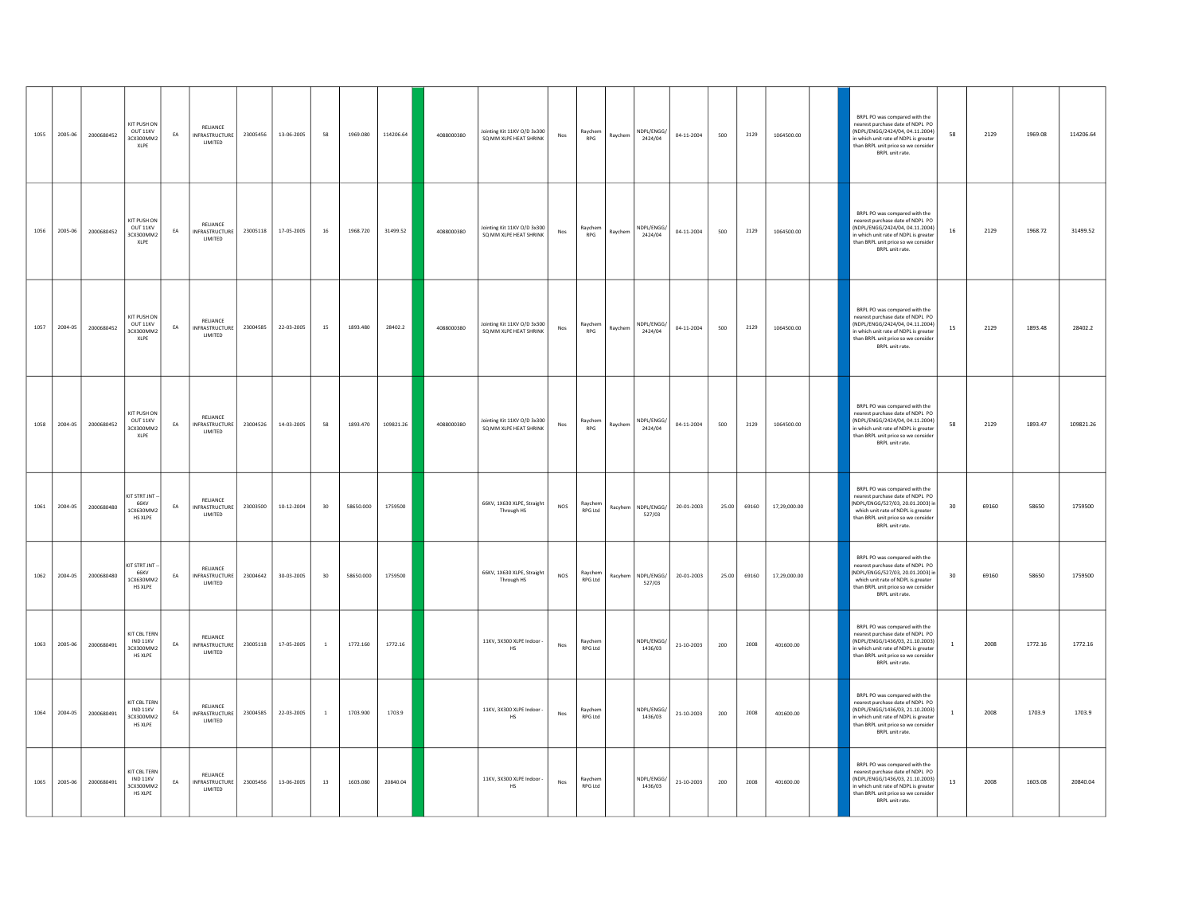| 1055 | 2005-06 | 2000680452 | KIT PUSH ON<br>OUT 11KV<br>3CX300MM2<br>XLPE                          | EA | RELIANCE<br><b>INFRASTRUCTURE</b><br><b>I IMITED</b> | 23005456 | 13-06-2005 | 58             | 1969.080  | 114206.64 | 4088000380 | Jointing Kit 11KV O/D 3x300<br>SQ MM XLPE HEAT SHRINK | Nos        | Raychem<br>RPG        | Raychem | NDPL/ENGG/<br>2424/04 | 04-11-2004 | 500   | 2129  | 1064500.00   | BRPL PO was compared with the<br>nearest purchase date of NDPL PO<br>(NDPL/ENGG/2424/04, 04.11.2004)<br>n which unit rate of NDPL is greater<br>than BRPL unit price so we consider<br>BRPL unit rate.  | 58 | 2129  | 1969.08 | 114206.64 |
|------|---------|------------|-----------------------------------------------------------------------|----|------------------------------------------------------|----------|------------|----------------|-----------|-----------|------------|-------------------------------------------------------|------------|-----------------------|---------|-----------------------|------------|-------|-------|--------------|---------------------------------------------------------------------------------------------------------------------------------------------------------------------------------------------------------|----|-------|---------|-----------|
| 1056 | 2005-06 | 2000680452 | KIT PUSH ON<br>OUT 11KV<br>3CX300MM2<br>XI PF                         | EA | RELIANCE<br><b>INFRASTRUCTURE</b><br>LIMITED         | 23005118 | 17-05-2005 | $16\,$         | 1968.720  | 31499.52  | 4088000380 | Ininting Kit 11KV O/D 3x300<br>SQ MM XLPE HEAT SHRINK | Nos        | Raychem<br><b>RPG</b> | Raychem | NDPI/FNGG/<br>2424/04 | 04-11-2004 | 500   | 2129  | 1064500.00   | BRPL PO was compared with the<br>nearest purchase date of NDPL PO<br>[NDPI /FNGG/2424/04 04 11 2004]<br>in which unit rate of NDPL is greater<br>than BRPL unit price so we consider<br>BRPL unit rate. | 16 | 2129  | 1968.72 | 31499.52  |
| 1057 | 2004-05 | 2000680452 | KIT PUSH ON<br>OUT 11KV<br>3CX300MM2<br>XLPE                          | EA | RELIANCE<br><b>INFRASTRUCTURE</b><br>LIMITED         | 23004585 | 22-03-2005 | 15             | 1893.480  | 28402.2   | 4088000380 | Jointing Kit 11KV O/D 3x300<br>SQ MM XLPE HEAT SHRINK | Nos        | Raychem<br>RPG        | Raychem | NDPL/ENGG/<br>2424/04 | 04-11-2004 | 500   | 2129  | 1064500.00   | BRPL PO was compared with the<br>nearest purchase date of NDPL PO<br>(NDPL/ENGG/2424/04, 04.11.2004)<br>n which unit rate of NDPL is greater<br>than BRPL unit price so we consider<br>BRPL unit rate.  | 15 | 2129  | 1893.48 | 28402.2   |
| 1058 | 2004-05 | 2000680452 | KIT PLISH ON<br>OUT 11KV<br>3CX300MM2<br>XLPE                         | EA | RELIANCE<br><b>INFRASTRUCTURE</b><br>LIMITED         | 23004526 | 14-03-2005 | 58             | 1893.470  | 109821.26 | 4088000380 | Jointing Kit 11KV O/D 3x300<br>SQ MM XLPE HEAT SHRINK | Nos        | Raychem<br>RPG        | Raychem | NDPL/ENGG/<br>2424/04 | 04-11-2004 | 500   | 2129  | 1064500.00   | BRPL PO was compared with the<br>nearest purchase date of NDPL PO<br>(NDPL/ENGG/2424/04.04.11.2004)<br>n which unit rate of NDPL is greater<br>than BRPL unit price so we consider<br>BRPL unit rate.   | 58 | 2129  | 1893.47 | 109821.26 |
| 1061 | 2004-05 | 2000680480 | KIT STRT JNT<br>66KV<br>1CX630MM2<br><b>HS XLPE</b>                   | EA | RELIANCE<br><b>INFRASTRUCTURE</b><br>LIMITED         | 23003500 | 10-12-2004 | 30             | 58650.000 | 1759500   |            | 66KV, 1X630 XLPE, Straight<br>Through HS              | NOS        | Raychem<br>RPG Ltd    | Racyhem | NDPL/ENGG/<br>527/03  | 20-01-2003 | 25.00 | 69160 | 17,29,000.00 | BRPL PO was compared with the<br>nearest purchase date of NDPL PO<br>NDPL/ENGG/527/03. 20.01.2003) is<br>which unit rate of NDPL is greater<br>than BRPL unit price so we consider<br>BRPL unit rate.   | 30 | 69160 | 58650   | 1759500   |
| 1062 | 2004-05 | 2000680480 | KIT STRT JNT<br>66KV<br>1CX630MM2<br><b>HS XLPE</b>                   | EA | RELIANCE<br>INFRASTRUCTURE<br>LIMITED                | 23004642 | 30-03-2005 | 30             | 58650.000 | 1759500   |            | 66KV, 1X630 XLPE, Straight<br>Through HS              | NOS        | Raychem<br>RPG Ltd    | Racyhem | NDPL/ENGG/<br>527/03  | 20-01-2003 | 25.00 | 69160 | 17,29,000.00 | BRPL PO was compared with the<br>nearest purchase date of NDPL PO<br>(NDPL/ENGG/527/03. 20.01.2003) i<br>which unit rate of NDPL is greater<br>than BRPL unit price so we consider<br>BRPL unit rate.   | 30 | 69160 | 58650   | 1759500   |
| 1063 | 2005-06 | 2000680491 | KIT CBL TERN<br>$\textsf{IND}\,11\textsf{KV}$<br>3CX300MM2<br>HS XLPE | EA | RELIANCE<br><b>INFRASTRUCTURE</b><br>LIMITED         | 23005118 | 17-05-2005 | $\overline{1}$ | 1772.160  | 1772.16   |            | 11KV, 3X300 XLPE Indoor<br>$_{\rm HS}$                | <b>Nos</b> | Raychem<br>RPG Ltd    |         | NDPL/ENGG/<br>1436/03 | 21-10-2003 | 200   | 2008  | 401600.00    | BRPL PO was compared with the<br>nearest purchase date of NDPL PO<br>(NDPL/ENGG/1436/03, 21.10.2003)<br>in which unit rate of NDPL is greater<br>than BRPL unit price so we consider<br>BRPL unit rate. |    | 2008  | 1772.16 | 1772.16   |
| 1064 | 2004-05 | 2000680491 | KIT CBL TERN<br>IND 11KV<br>3CX300MM2<br>HS XLPE                      | EA | RELIANCE<br>INFRASTRUCTURE<br>LIMITED                | 23004585 | 22-03-2005 | $\overline{1}$ | 1703.900  | 1703.9    |            | 11KV, 3X300 XLPE Indoor<br>$_{\rm HS}$                | Nos        | Raychem<br>RPG Ltd    |         | NDPL/ENGG/<br>1436/03 | 21-10-2003 | 200   | 2008  | 401600.00    | BRPL PO was compared with the<br>nearest purchase date of NDPL PO<br>(NDPL/ENGG/1436/03, 21.10.2003)<br>n which unit rate of NDPL is greater<br>than BRPL unit price so we consider<br>BRPL unit rate.  |    | 2008  | 1703.9  | 1703.9    |
| 1065 | 2005-06 | 2000680491 | KIT CBL TERN<br>IND 11KV<br>3CX300MM2<br>HS XLPE                      | EA | RELIANCE<br><b>INFRASTRUCTURE</b><br>LIMITED         | 23005456 | 13-06-2005 | 13             | 1603.080  | 20840.04  |            | 11KV, 3X300 XLPE Indoor<br>$_{\rm HS}$                | Nos        | Raychem<br>RPG Ltd    |         | NDPL/ENGG/<br>1436/03 | 21-10-2003 | 200   | 2008  | 401600.00    | BRPL PO was compared with the<br>nearest purchase date of NDPL PO<br>(NDPL/ENGG/1436/03, 21.10.2003)<br>which unit rate of NDPL is greater<br>than BRPL unit price so we consider<br>BRPL unit rate.    | 13 | 2008  | 1603.08 | 20840.04  |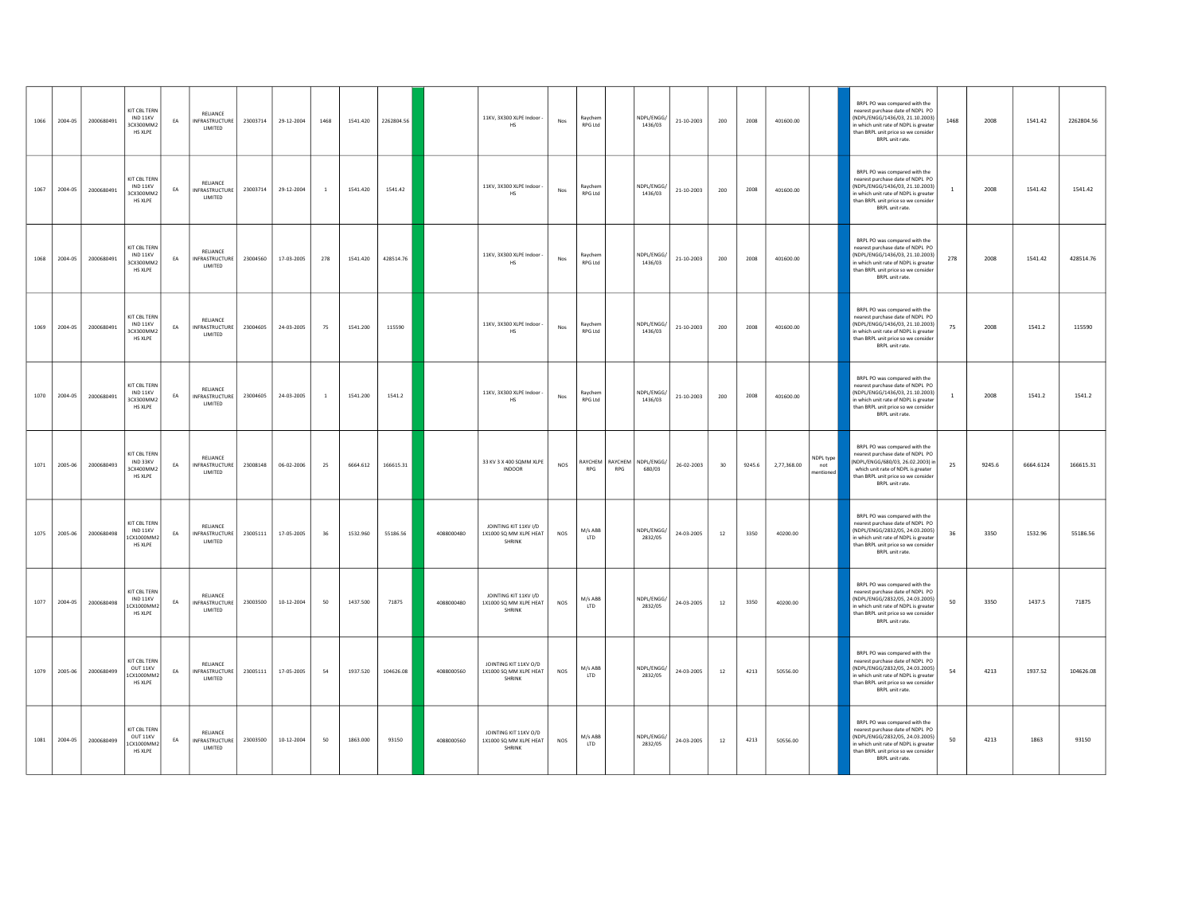| 1066 | 2004-05 | 2000680491 | KIT CBL TERN<br>IND 11KV<br>3CX300MM2<br>HS XLPE  | EA | RELIANCE<br><b>INFRASTRUCTURE</b><br>LIMITED | 23003714 | 29-12-2004 | 1468           | 1541.420 | 2262804.56 |            | 11KV, 3X300 XLPE Indoor -<br>HS                           | Nos                   | Raychem<br><b>RPG Ltd</b> |     | NDPL/ENGG/<br>1436/03                | 21-10-2003 | 200    | 2008   | 401600.00   |                               | BRPL PO was compared with the<br>nearest purchase date of NDPL PO<br>(NDPL/ENGG/1436/03, 21.10.2003)<br>in which unit rate of NDPL is greater<br>than BRPL unit price so we consider<br>BRPL unit rate. | 1468           | 2008   | 1541.42   | 2262804.56 |
|------|---------|------------|---------------------------------------------------|----|----------------------------------------------|----------|------------|----------------|----------|------------|------------|-----------------------------------------------------------|-----------------------|---------------------------|-----|--------------------------------------|------------|--------|--------|-------------|-------------------------------|---------------------------------------------------------------------------------------------------------------------------------------------------------------------------------------------------------|----------------|--------|-----------|------------|
| 1067 | 2004-05 | 2000680491 | KIT CBL TERN<br>IND 11KV<br>3CX300MM2<br>HS XLPE  | EA | RELIANCE<br>INFRASTRUCTURE<br>LIMITED        | 23003714 | 29-12-2004 | $\overline{1}$ | 1541.420 | 1541.42    |            | 11KV, 3X300 XLPE Indoor<br><b>HS</b>                      | $\mathsf{Nos}\xspace$ | Raychem<br><b>RPG Ltd</b> |     | NDPL/ENGG/<br>1436/03                | 21-10-2003 | 200    | 2008   | 401600.00   |                               | BRPL PO was compared with the<br>nearest purchase date of NDPL PO<br>(NDPL/ENGG/1436/03, 21.10.2003)<br>in which unit rate of NDPL is greater<br>than BRPL unit price so we consider<br>BRPL unit rate. | $\overline{1}$ | 2008   | 1541.42   | 1541.42    |
| 1068 | 2004-05 | 2000680491 | KIT CBL TERN<br>IND 11KV<br>3CX300MM2<br>HS XLPE  | EA | RELIANCE<br>INFRASTRUCTURE<br>LIMITED        | 23004560 | 17-03-2005 | 278            | 1541.420 | 428514.76  |            | 11KV, 3X300 XLPE Indoor<br>HS                             | Nos                   | Raychem<br>RPG I td       |     | NDPL/ENGG/<br>1436/03                | 21-10-2003 | 200    | 2008   | 401600.00   |                               | BRPL PO was compared with the<br>nearest purchase date of NDPL PO<br>(NDPL/ENGG/1436/03, 21.10.2003)<br>in which unit rate of NDPL is greater<br>than BRPL unit price so we consider<br>BRPL unit rate. | 278            | 2008   | 1541.42   | 428514.76  |
| 1069 | 2004-05 | 2000680491 | KIT CBL TERN<br>IND 11KV<br>3CX300MM2<br>HS XLPE  | EA | RELIANCE<br>INFRASTRUCTURE<br>LIMITED        | 23004605 | 24-03-2005 | 75             | 1541.200 | 115590     |            | 11KV, 3X300 XLPE Indoor<br><b>HS</b>                      | $\mathsf{Nos}\xspace$ | Raychem<br>RPG Ltd        |     | NDPL/ENGG/<br>1436/03                | 21-10-2003 | 200    | 2008   | 401600.00   |                               | BRPL PO was compared with the<br>nearest purchase date of NDPL PO<br>(NDPL/ENGG/1436/03, 21.10.2003)<br>in which unit rate of NDPL is greater<br>than BRPL unit price so we consider<br>BRPL unit rate. | 75             | 2008   | 1541.2    | 115590     |
| 1070 | 2004-05 | 2000680491 | KIT CBL TERN<br>IND 11KV<br>3CX300MM2<br>HS XLPE  | EA | RELIANCE<br>INFRASTRUCTURE<br>LIMITED        | 23004605 | 24-03-2005 | $\overline{1}$ | 1541.200 | 1541.2     |            | 11KV, 3X300 XLPE Indoor -<br>HS                           | Nos                   | Raychem<br>RPG I td       |     | NDPL/ENGG/<br>1436/03                | 21-10-2003 | 200    | 2008   | 401600.00   |                               | BRPL PO was compared with the<br>nearest purchase date of NDPL PO<br>(NDPL/ENGG/1436/03, 21.10.2003)<br>in which unit rate of NDPL is greater<br>than BRPL unit price so we consider<br>BRPL unit rate. |                | 2008   | 1541.2    | 1541.2     |
| 1071 | 2005-06 | 2000680493 | KIT CBL TERN<br>IND 33KV<br>3CX400MM2<br>HS XLPE  | EA | RELIANCE<br>INFRASTRUCTURE<br>LIMITED        | 23008148 | 06-02-2006 | 25             | 6664.612 | 166615.31  |            | 33 KV 3 X 400 SQMM XLPE<br><b>INDOOR</b>                  | <b>NOS</b>            | RPG                       | RPG | RAYCHEM RAYCHEM NDPL/ENGG/<br>680/03 | 26-02-2003 | 30     | 9245.6 | 2,77,368.00 | NDPL type<br>not<br>nentioned | BRPL PO was compared with the<br>nearest purchase date of NDPL PO<br>(NDPL/ENGG/680/03.26.02.2003) in<br>which unit rate of NDPL is greater<br>than BRPL unit price so we consider<br>BRPL unit rate.   | 25             | 9245.6 | 6664.6124 | 166615.31  |
| 1075 | 2005-06 | 2000680498 | KIT CBL TERN<br>IND 11KV<br>1CX1000MM2<br>HS XLPE | EA | RELIANCE<br><b>INFRASTRUCTURE</b><br>LIMITED | 23005111 | 17-05-2005 | 36             | 1532.960 | 55186.56   | 4088000480 | JOINTING KIT 11KV I/D<br>1X1000 SQ MM XLPE HEAT<br>SHRINK | NOS                   | M/s ABB<br><b>ITD</b>     |     | NDPL/ENGG/<br>2832/05                | 24-03-2005 | 12     | 3350   | 40200.00    |                               | BRPL PO was compared with the<br>nearest purchase date of NDPL PO<br>(NDPL/ENGG/2832/05, 24.03.2005)<br>in which unit rate of NDPL is greater<br>than BRPL unit price so we consider<br>BRPL unit rate. | 36             | 3350   | 1532.96   | 55186.56   |
| 1077 | 2004-05 | 2000680498 | KIT CBL TERN<br>IND 11KV<br>1CX1000MM2<br>HS XLPE | EA | RELIANCE<br>INFRASTRUCTURE<br>LIMITED        | 23003500 | 10-12-2004 | 50             | 1437.500 | 71875      | 4088000480 | JOINTING KIT 11KV I/D<br>1X1000 SQ MM XLPE HEAT<br>SHRINK | NOS                   | M/s ABB<br>LTD            |     | NDPL/ENGG/<br>2832/05                | 24-03-2005 | 12     | 3350   | 40200.00    |                               | BRPL PO was compared with the<br>nearest purchase date of NDPL PO<br>(NDPL/ENGG/2832/05.24.03.2005)<br>in which unit rate of NDPL is greater<br>than BRPL unit price so we consider<br>BRPL unit rate.  | 50             | 3350   | 1437.5    | 71875      |
| 1079 | 2005-06 | 2000680499 | KIT CBL TERN<br>OUT 11KV<br>1CX1000MM2<br>HS XLPE | EA | RELIANCE<br><b>INFRASTRUCTURE</b><br>LIMITED | 23005111 | 17-05-2005 | 54             | 1937.520 | 104626.08  | 4088000560 | JOINTING KIT 11KV O/D<br>1X1000 SQ MM XLPE HEAT<br>SHRINK | NOS                   | M/s ABB<br><b>ITD</b>     |     | NDPL/ENGG/<br>2832/05                | 24-03-2005 | $12\,$ | 4213   | 50556.00    |                               | BRPL PO was compared with the<br>nearest purchase date of NDPL PO<br>(NDPL/ENGG/2832/05, 24.03.2005)<br>in which unit rate of NDPL is greater<br>than BRPL unit price so we consider<br>BRPL unit rate. | 54             | 4213   | 1937.52   | 104626.08  |
| 1081 | 2004-05 | 2000680499 | KIT CBL TERN<br>OUT 11KV<br>1CX1000MM2<br>HS XLPE | EA | RELIANCE<br>INFRASTRUCTURE<br>LIMITED        | 23003500 | 10-12-2004 | 50             | 1863.000 | 93150      | 4088000560 | JOINTING KIT 11KV O/D<br>1X1000 SQ MM XLPE HEAT<br>SHRINK | NOS                   | M/s ABB<br>LTD            |     | NDPL/ENGG/<br>2832/05                | 24-03-2005 | 12     | 4213   | 50556.00    |                               | BRPL PO was compared with the<br>nearest purchase date of NDPL PO<br>(NDPL/ENGG/2832/05.24.03.2005)<br>n which unit rate of NDPL is greater<br>than BRPL unit price so we consider<br>BRPL unit rate.   | 50             | 4213   | 1863      | 93150      |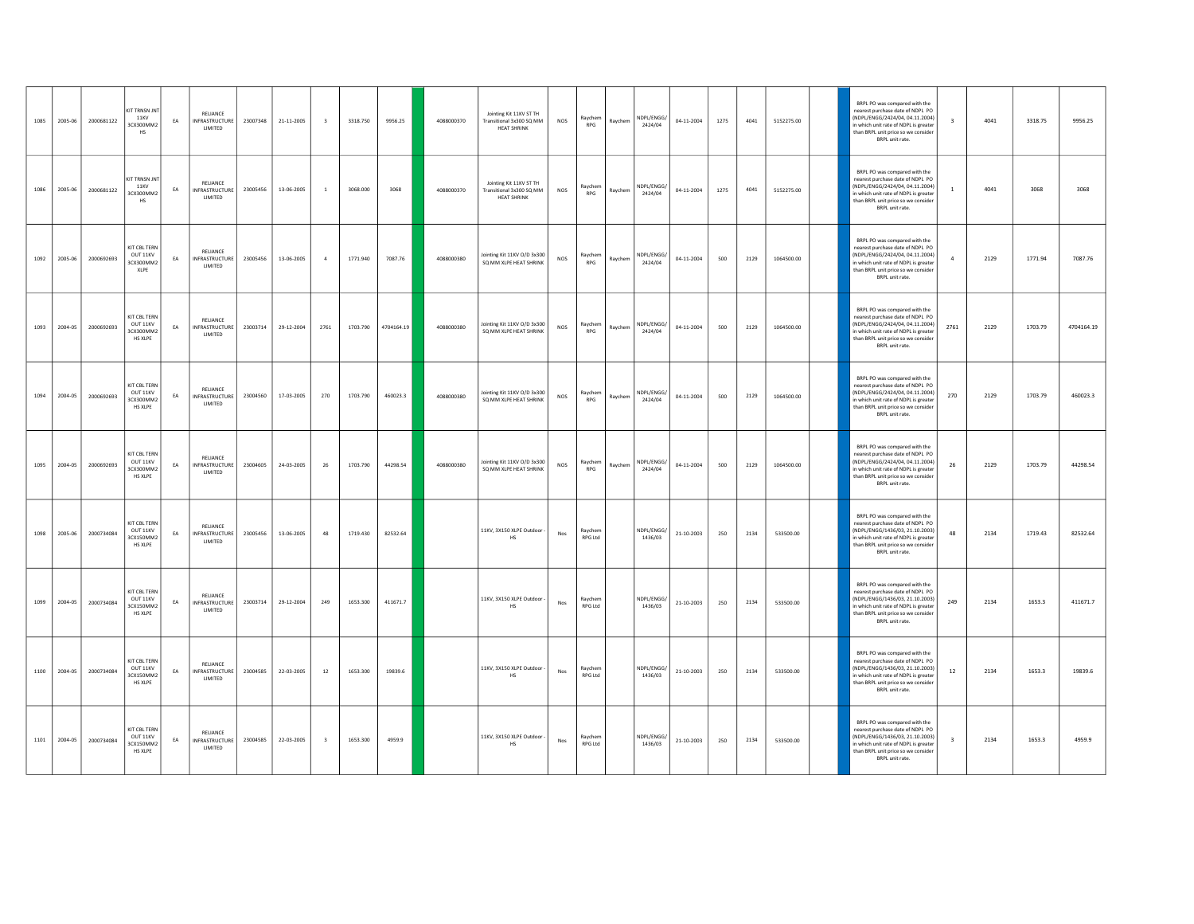| 1085 | 2005-06 | 2000681122 | KIT TRNSN JNT<br>11KV<br>3CX300MM2<br>HS                | EA | RELIANCE<br><b>INFRASTRUCTURE</b><br>LIMITED | 23007348 | 21-11-2005 | $\overline{\mathbf{3}}$ | 3318.750 | 9956.25    | 4088000370 | Jointing Kit 11KV ST TH<br>Transitional 3x300 SQ MM<br><b>HEAT SHRINK</b> | NOS                           | Raychem<br><b>RPG</b>     | Raychem | NDPI/FNGG/<br>2424/04 | 04-11-2004       | 1275 | 4041 | 5152275.00 | BRPL PO was compared with the<br>nearest purchase date of NDPL PO<br>NDPL/FNGG/2424/04 04 11 2004)<br>$\overline{\mathbf{z}}$<br>n which unit rate of NDPL is greater<br>than BRPL unit price so we consider<br>BRPL unit rate. | 4041 | 3318.75 | 9956.25    |
|------|---------|------------|---------------------------------------------------------|----|----------------------------------------------|----------|------------|-------------------------|----------|------------|------------|---------------------------------------------------------------------------|-------------------------------|---------------------------|---------|-----------------------|------------------|------|------|------------|---------------------------------------------------------------------------------------------------------------------------------------------------------------------------------------------------------------------------------|------|---------|------------|
| 1086 | 2005-06 | 2000681122 | KIT TRNSN JNT<br>11KV<br>3CX300MM2<br>HS                | EA | RELIANCE<br><b>INFRASTRUCTURE</b><br>LIMITED | 23005456 | 13-06-2005 | $\overline{1}$          | 3068.000 | 3068       | 4088000370 | Jointing Kit 11KV ST TH<br>Transitional 3x300 SQ MM<br><b>HEAT SHRINK</b> | NOS                           | Raychem<br><b>RPG</b>     | Raychem | NDPL/ENGG/<br>2424/04 | 04-11-2004       | 1275 | 4041 | 5152275.00 | BRPL PO was compared with the<br>nearest purchase date of NDPL PO<br>NDPL/ENGG/2424/04.04.11.2004)<br>n which unit rate of NDPL is greater<br>than BRPL unit price so we consider<br>BRPL unit rate.                            | 4041 | 3068    | 3068       |
| 1092 | 2005-06 | 2000692693 | KIT CBL TERN<br>OUT 11KV<br>3CX300MM2<br>XLPE           | EA | RELIANCE<br><b>INFRASTRUCTURE</b><br>LIMITED | 23005456 | 13-06-2005 | $\overline{4}$          | 1771.940 | 7087.76    | 4088000380 | Jointing Kit 11KV O/D 3x300<br>SQ MM XLPE HEAT SHRINK                     | $NOS$                         | Raychem<br><b>RPG</b>     | Raychem | NDPL/ENGG/<br>2424/04 | $04 - 11 - 2004$ | 500  | 2129 | 1064500.00 | BRPL PO was compared with the<br>nearest purchase date of NDPL PO<br>NDPL/ENGG/2424/04.04.11.2004)<br>n which unit rate of NDPL is greater<br>than BRPL unit price so we consider<br>BRPL unit rate.                            | 2129 | 1771.94 | 7087.76    |
| 1093 | 2004-05 | 2000692693 | KIT CBL TERN<br>OUT 11KV<br>3CX300MM2<br>HS XLPE        | EA | RELIANCE<br><b>INFRASTRUCTURE</b><br>LIMITED | 23003714 | 29-12-2004 | 2761                    | 1703.790 | 4704164.19 | 4088000380 | Jointing Kit 11KV O/D 3x300<br>SO MM XLPE HEAT SHRINK                     | NOS                           | Ravchem<br><b>RPG</b>     | Raychem | NDPL/ENGG/<br>2424/04 | 04-11-2004       | 500  | 2129 | 1064500.00 | BRPL PO was compared with the<br>nearest purchase date of NDPL PO<br>NDPL/ENGG/2424/04.04.11.2004)<br>2761<br>in which unit rate of NDPL is greater<br>than BRPL unit price so we consider<br>BRPL unit rate.                   | 2129 | 1703.79 | 4704164.19 |
| 1094 | 2004-05 | 2000692693 | KIT CBL TERN<br>OUT 11KV<br>3CX300MM2<br>HS XLPE        | EA | RELIANCE<br>INFRASTRUCTURE<br>LIMITED        | 23004560 | 17-03-2005 | 270                     | 1703.790 | 460023.3   | 4088000380 | Jointing Kit 11KV O/D 3x300<br>SQ MM XLPE HEAT SHRINK                     | $NOS$                         | Raychem<br><b>RPG</b>     | Raychem | NDPL/ENGG/<br>2424/04 | 04-11-2004       | 500  | 2129 | 1064500.00 | BRPL PO was compared with the<br>nearest purchase date of NDPL PO<br>NDPL/ENGG/2424/04.04.11.2004)<br>270<br>n which unit rate of NDPL is greater<br>than BRPL unit price so we consider<br>BRPL unit rate.                     | 2129 | 1703.79 | 460023.3   |
| 1095 | 2004-05 | 2000692693 | KIT CBL TERN<br>OUT 11KV<br>3CX300MM2<br><b>HS XLPE</b> | EA | RELIANCE<br><b>INFRASTRUCTURE</b><br>LIMITED | 23004605 | 24-03-2005 | 26                      | 1703.790 | 44298.54   | 4088000380 | lointing Kit 11KV O/D 3x300<br>SQ MM XLPE HEAT SHRINK                     | NOS                           | Raychem<br><b>RPG</b>     | Raychem | NDPI/FNGG/<br>2424/04 | 04-11-2004       | 500  | 2129 | 1064500.00 | BRPL PO was compared with the<br>nearest purchase date of NDPL PO<br>NDPL/FNGG/2424/04 04:11 2004)<br>26<br>n which unit rate of NDPL is greater<br>than BRPL unit price so we consider<br>BRPL unit rate.                      | 2129 | 1703.79 | 44298.54   |
| 1098 | 2005-06 | 2000734084 | KIT CBL TERN<br>OUT 11KV<br>3CX150MM2<br>HS XLPE        | EA | RELIANCE<br><b>INFRASTRUCTURE</b><br>LIMITED | 23005456 | 13-06-2005 | 48                      | 1719.430 | 82532.64   |            | 11KV, 3X150 XLPE Outdoor<br>HS                                            | Nos                           | Ravchem<br>RPG Ltd        |         | NDPL/ENGG/<br>1436/03 | 21-10-2003       | 250  | 2134 | 533500.00  | BRPL PO was compared with the<br>nearest purchase date of NDPL PO<br>NDPL/ENGG/1436/03.21.10.2003)<br>48<br>in which unit rate of NDPL is greater<br>than BRPL unit price so we consider<br>BRPL unit rate.                     | 2134 | 1719.43 | 82532.64   |
| 1099 | 2004-05 | 2000734084 | KIT CBL TERN<br>OUT 11KV<br>3CX150MM2<br><b>HS XLPE</b> | EA | RELIANCE<br><b>INFRASTRUCTURE</b><br>LIMITED | 23003714 | 29-12-2004 | 249                     | 1653.300 | 411671.7   |            | 11KV, 3X150 XLPE Outdoor<br>HS                                            | $\mathsf{Nos}\xspace$         | Raychem<br><b>RPG Ltd</b> |         | NDPL/ENGG/<br>1436/03 | $21 - 10 - 2003$ | 250  | 2134 | 533500.00  | BRPL PO was compared with the<br>nearest purchase date of NDPL PO<br>NDPL/ENGG/1436/03.21.10.2003)<br>249<br>n which unit rate of NDPL is greater<br>than BRPL unit price so we consider<br>BRPL unit rate.                     | 2134 | 1653.3  | 411671.7   |
| 1100 | 2004-05 | 2000734084 | KIT CBL TERN<br>OUT 11KV<br>3CX150MM2<br>HS XLPE        | EA | RELIANCE<br><b>INFRASTRUCTURE</b><br>LIMITED | 23004585 | 22-03-2005 | 12                      | 1653.300 | 19839.6    |            | 11KV, 3X150 XLPE Outdoor<br>HS                                            | Nos                           | Ravchem<br>RPG Ltd        |         | NDPL/ENGG/<br>1436/03 | 21-10-2003       | 250  | 2134 | 533500.00  | BRPL PO was compared with the<br>nearest purchase date of NDPL PO<br>NDPL/ENGG/1436/03.21.10.2003)<br>12<br>in which unit rate of NDPL is greater<br>than BRPL unit price so we consider<br>BRPL unit rate.                     | 2134 | 1653.3  | 19839.6    |
| 1101 | 2004-05 | 2000734084 | <b>KIT CBL TERN</b><br>OUT 11KV<br>3CX150MM2<br>HS XLPE | EA | RELIANCE<br>INFRASTRUCTURE<br>LIMITED        | 23004585 | 22-03-2005 | $\overline{\mathbf{3}}$ | 1653.300 | 4959.9     |            | 11KV, 3X150 XLPE Outdoor<br>HS                                            | $\operatorname{\mathsf{Nos}}$ | Ravchem<br>RPG Ltd        |         | NDPL/ENGG/<br>1436/03 | 21-10-2003       | 250  | 2134 | 533500.00  | BRPL PO was compared with the<br>nearest purchase date of NDPL PO<br>NDPL/ENGG/1436/03.21.10.2003)<br>$\overline{\mathbf{3}}$<br>n which unit rate of NDPL is greater<br>than BRPL unit price so we consider<br>BRPL unit rate. | 2134 | 1653.3  | 4959.9     |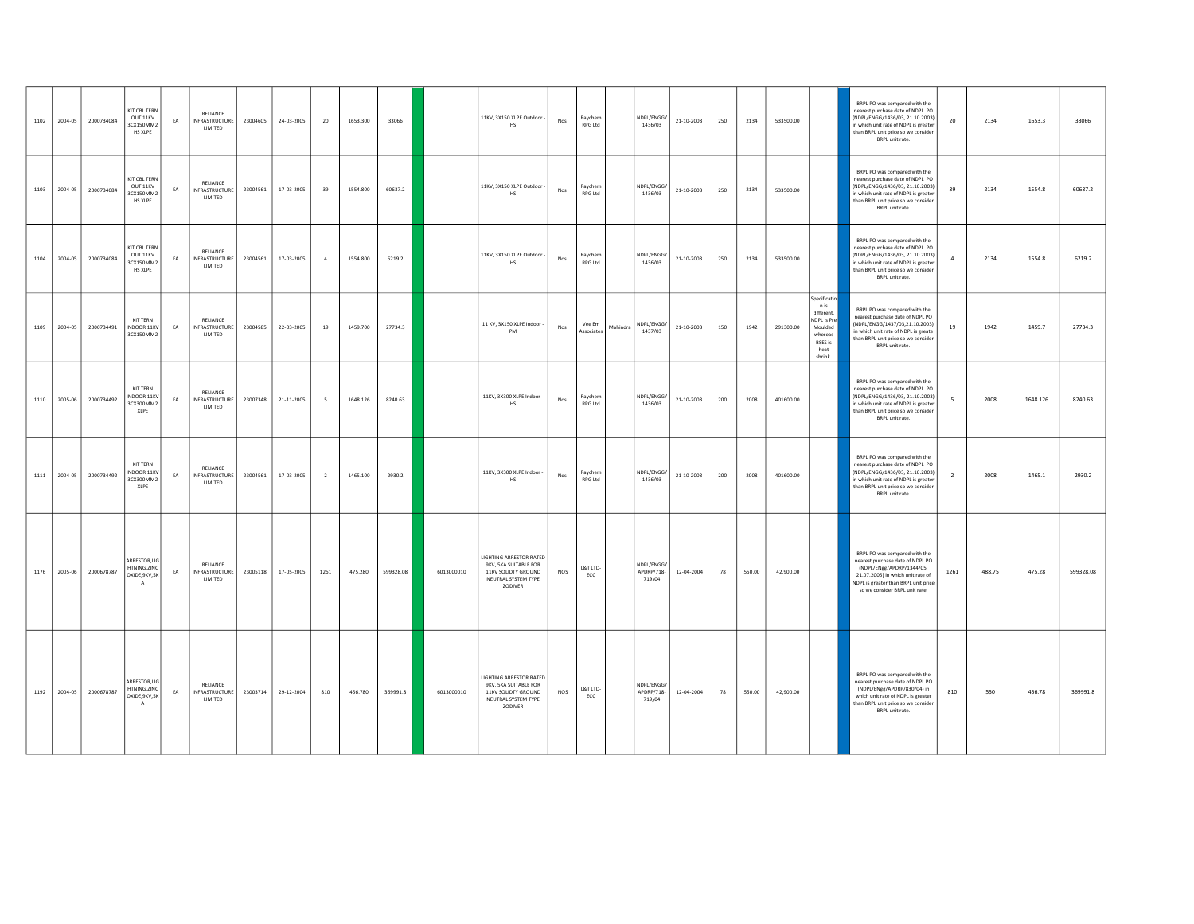| 1102 | 2004-05      | 2000734084 | KIT CBL TERN<br>OUT 11KV<br>3CX150MM2<br>HS XLPE              | EA | RELIANCE<br><b>INFRASTRUCTURE</b><br>LIMITED | 23004605 | 24-03-2005 | 20              | 1653.300 | 33066     |            | 11KV, 3X150 XLPE Outdoor -<br>HS                                                                                 | Nos | Raychem<br>RPG Ltd        |          | NDPL/ENGG/<br>1436/03              | 21-10-2003 | 250 | 2134   | 533500.00 |                                                                                                              | BRPL PO was compared with the<br>nearest purchase date of NDPL PO<br>NDPL/ENGG/1436/03, 21.10.2003)<br>n which unit rate of NDPL is greater<br>than BRPL unit price so we consider<br>BRPL unit rate.         | 20             | 2134   | 1653.3   | 33066     |
|------|--------------|------------|---------------------------------------------------------------|----|----------------------------------------------|----------|------------|-----------------|----------|-----------|------------|------------------------------------------------------------------------------------------------------------------|-----|---------------------------|----------|------------------------------------|------------|-----|--------|-----------|--------------------------------------------------------------------------------------------------------------|---------------------------------------------------------------------------------------------------------------------------------------------------------------------------------------------------------------|----------------|--------|----------|-----------|
|      | 1103 2004-05 | 2000734084 | KIT CRI TERN<br>OUT 11KV<br>3CX150MM2<br>HS XLPE              | EA | RELIANCE<br>INFRASTRUCTURE<br>LIMITED        | 23004561 | 17-03-2005 | 39              | 1554.800 | 60637.2   |            | 11KV, 3X150 XLPE Outdoor -<br>HS                                                                                 | Nos | Raychem<br>RPG Ltd        |          | NDPL/ENGG/<br>1436/03              | 21-10-2003 | 250 | 2134   | 533500.00 |                                                                                                              | BRPL PO was compared with the<br>nearest nurchase date of NDPL PO<br>(NDPL/ENGG/1436/03, 21.10.2003)<br>n which unit rate of NDPL is greater<br>than BRPL unit price so we consider<br>BRPL unit rate.        | 39             | 2134   | 1554.8   | 60637.2   |
| 1104 | 2004-05      | 2000734084 | KIT CRI TERN<br>OUT 11KV<br>3CX150MM2<br>HS XLPE              | EA | RELIANCE<br><b>INFRASTRUCTURE</b><br>LIMITED | 23004561 | 17-03-2005 | $\overline{4}$  | 1554.800 | 6219.2    |            | 11KV, 3X150 XLPE Outdoor -<br>HS                                                                                 | Nos | Raychem<br>RPG Ltd        |          | NDPL/ENGG/<br>1436/03              | 21-10-2003 | 250 | 2134   | 533500.00 |                                                                                                              | BRPL PO was compared with the<br>nearest nurchase date of NDPL PO<br>(NDPL/ENGG/1436/03, 21.10.2003)<br>n which unit rate of NDPL is greater<br>than BRPL unit price so we consider<br>BRPL unit rate.        | $\overline{4}$ | 2134   | 1554.8   | 6219.2    |
|      | 1109 2004-05 | 2000734491 | KIT TERN<br>INDOOR 11KV<br>3CX150MM2                          | EA | RELIANCE<br>INFRASTRUCTURE<br>LIMITED        | 23004585 | 22-03-2005 | 19              | 1459.700 | 27734.3   |            | 11 KV, 3X150 XLPE Indoor -<br>PM                                                                                 | Nos | Vee Em<br>Associates      | Mahindra | NDPL/ENGG/<br>1437/03              | 21-10-2003 | 150 | 1942   | 291300.00 | Specificatio<br>n is<br>different.<br>NDPL is Pre<br>Moulded<br>whereas<br><b>BSES</b> is<br>heat<br>shrink. | BRPL PO was compared with the<br>nearest nurchase date of NDPLPO<br>(NDPL/ENGG/1437/03.21.10.2003)<br>in which unit rate of NDPL is greate<br>than BRPL unit price so we consider<br>BRPL unit rate.          | 19             | 1942   | 1459.7   | 27734.3   |
|      | 1110 2005-06 | 2000734492 | <b>KIT TERN</b><br><b>NDOOR 11KV</b><br>3CX300MM2<br>XLPE     | EA | RELIANCE<br>INFRASTRUCTURE<br>LIMITED        | 23007348 | 21-11-2005 | $5\overline{5}$ | 1648.126 | 8240.63   |            | 11KV, 3X300 XLPE Indoor -<br><b>HS</b>                                                                           | Nos | Raychem<br>RPG I td       |          | NDPL/ENGG/<br>1436/03              | 21-10-2003 | 200 | 2008   | 401600.00 |                                                                                                              | BRPL PO was compared with the<br>nearest purchase date of NDPL PO<br>NDPL/ENGG/1436/03, 21.10.2003)<br>in which unit rate of NDPL is greater<br>than BRPL unit price so we consider<br>BRPL unit rate.        | -5             | 2008   | 1648.126 | 8240.63   |
|      | 1111 2004-05 | 2000734492 | KIT TERN<br>INDOOR 11KV<br>3CX300MM2<br>XLPE                  | EA | RELIANCE<br>INFRASTRUCTURE<br>LIMITED        | 23004561 | 17-03-2005 | $\overline{2}$  | 1465.100 | 2930.2    |            | 11KV, 3X300 XLPE Indoor -<br>HS                                                                                  | Nos | Ravchem<br><b>RPG Ltd</b> |          | NDPL/ENGG/<br>1436/03              | 21-10-2003 | 200 | 2008   | 401600.00 |                                                                                                              | BRPL PO was compared with the<br>nearest purchase date of NDPL PO<br>NDPL/ENGG/1436/03, 21.10.2003)<br>in which unit rate of NDPL is greater<br>than BRPL unit price so we consider<br>BRPL unit rate.        | $\overline{2}$ | 2008   | 1465.1   | 2930.2    |
| 1176 | 2005-06      | 2000678787 | ARRESTOR, LIG<br>HTNING.ZINC<br>OXIDE, 9KV, 5K<br>A           | EA | RELIANCE<br>INFRASTRUCTURE<br>LIMITED        | 23005118 | 17-05-2005 | 1261            | 475.280  | 599328.08 | 6013000010 | <b>LIGHTING ARRESTOR RATED</b><br>9KV, 5KA SUITABLE FOR<br>11KV SOLIDTY GROUND<br>NEUTRAL SYSTEM TYPE<br>ZODIVER | NOS | L&T LTD-<br>ECC           |          | NDPL/ENGG/<br>APDRP/718-<br>719/04 | 12-04-2004 | 78  | 550.00 | 42,900.00 |                                                                                                              | BRPL PO was compared with the<br>nearest purchase date of NDPL PO<br>(NDPL/ENgg/APDRP/1344/05,<br>21.07.2005) in which unit rate of<br>NDPL is greater than BRPL unit price<br>so we consider BRPL unit rate. | 1261           | 488.75 | 475.28   | 599328.08 |
|      | 1192 2004-05 | 2000678787 | ARRESTOR.LIG<br>HTNING.ZINC<br>OXIDE, 9KV, 5K<br>$\mathsf{A}$ | EA | RELIANCE<br>INFRASTRUCTURE<br>LIMITED        | 23003714 | 29-12-2004 | 810             | 456.780  | 369991.8  | 6013000010 | LIGHTING ARRESTOR RATED<br>9KV, 5KA SUITABLE FOR<br>11KV SOLIDTY GROUND<br>NEUTRAL SYSTEM TYPE<br>ZODIVER        | NOS | L&T LTD-<br>ECC           |          | NDPL/ENGG/<br>APDRP/718-<br>719/04 | 12-04-2004 | 78  | 550.00 | 42,900.00 |                                                                                                              | BRPL PO was compared with the<br>nearest purchase date of NDPL PO<br>(NDPL/ENgg/APDRP/830/04) in<br>which unit rate of NDPL is greater<br>than BRPL unit price so we consider<br>BRPL unit rate.              | 810            | 550    | 456.78   | 369991.8  |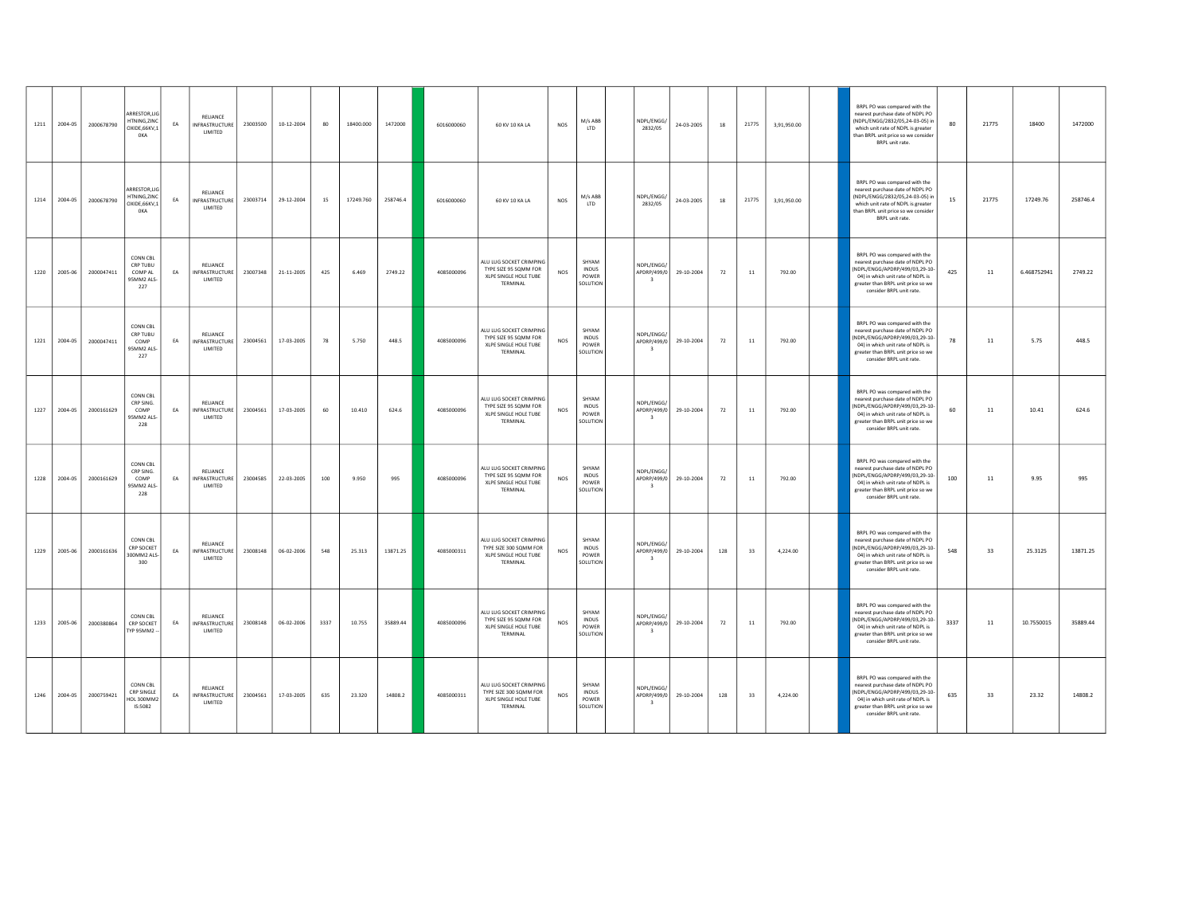| 1211 | 2004-05 | 2000678790 | ARRESTOR,LIG<br>HTNING ZINC<br>OXIDE, 66KV, 1<br><b>OKA</b> | EA | RELIANCE<br>INFRASTRUCTURE<br>LIMITED        | 23003500 | 10-12-2004 | 80   | 18400.000 | 1472000  | 6016000060 | 60 KV 10 KA LA                                                                         | NOS        | M/s ABB<br>LTD                             | NDPL/ENGG/<br>2832/05                                | 24-03-2005 | 18  | 21775 | 3,91,950.00 | BRPL PO was compared with the<br>nearest purchase date of NDPL PO<br>(NDPL/ENGG/2832/05.24-03-05) in<br>which unit rate of NDPL is greater<br>than BRPL unit price so we consider<br>BRPL unit rate.       | 80   | 21775 | 18400       | 1472000  |
|------|---------|------------|-------------------------------------------------------------|----|----------------------------------------------|----------|------------|------|-----------|----------|------------|----------------------------------------------------------------------------------------|------------|--------------------------------------------|------------------------------------------------------|------------|-----|-------|-------------|------------------------------------------------------------------------------------------------------------------------------------------------------------------------------------------------------------|------|-------|-------------|----------|
| 1214 | 2004-05 | 2000678790 | ARRESTOR LIG<br>HTNING.ZINC<br>OXIDE, 66KV, 1<br><b>OKA</b> | EA | RELIANCE<br>INFRASTRUCTURE<br>LIMITED        | 23003714 | 29-12-2004 | 15   | 17249.760 | 258746.4 | 6016000060 | 60 KV 10 KA LA                                                                         | NOS        | M/s ABB<br><b>LTD</b>                      | NDPL/ENGG/<br>2832/05                                | 24-03-2005 | 18  | 21775 | 3,91,950.00 | BRPL PO was compared with the<br>nearest nurchase date of NDPLPO<br>(NDPL/ENGG/2832/05,24-03-05) in<br>which unit rate of NDPL is greater<br>than BRPL unit price so we consider<br>BRPL unit rate.        | 15   | 21775 | 17249.76    | 258746.4 |
| 1220 | 2005-06 | 2000047411 | CONN CBL<br>CRP TUBU<br>COMP AL<br>95MM2 ALS-<br>227        | EA | RELIANCE<br><b>INFRASTRUCTURE</b><br>LIMITED | 23007348 | 21-11-2005 | 425  | 6.469     | 2749.22  | 4085000096 | ALU LUG SOCKET CRIMPING<br>TYPE SIZE 95 SQMM FOR<br>XLPE SINGLE HOLE TUBE<br>TERMINAL  | NOS        | SHYAM<br>INDUS<br>POWER<br>SOLUTION        | NDPI/FNGG/<br>APDRP/499/0<br>$\overline{\mathbf{3}}$ | 29-10-2004 | 72  | 11    | 792.00      | BRPL PO was compared with the<br>nearest purchase date of NDPL PO<br>NDPL/ENGG/APDRP/499/03,29-10-<br>04) in which unit rate of NDPL is<br>greater than BRPL unit price so we<br>consider BRPL unit rate.  | 425  | 11    | 6.468752941 | 2749.22  |
| 1221 | 2004-05 | 2000047411 | CONN CBL<br>CRP TUBU<br>COMP<br>SMM2 ALS-<br>227            | EA | RELIANCE<br><b>INFRASTRUCTURE</b><br>LIMITED | 23004561 | 17-03-2005 | 78   | 5.750     | 448.5    | 4085000096 | ALU LUG SOCKET CRIMPING<br>TYPE SIZE 95 SQMM FOR<br>XLPE SINGLE HOLE TUBE<br>TERMINAL  | <b>NOS</b> | SHYAM<br>INDUS<br>POWER<br>SOLUTION        | NDPL/ENGG/<br>APDRP/499/0<br>$\overline{\mathbf{3}}$ | 29-10-2004 | 72  | 11    | 792.00      | BRPL PO was compared with the<br>nearest purchase date of NDPL PO<br>NDPL/ENGG/APDRP/499/03,29-10-<br>04) in which unit rate of NDPL is<br>greater than BRPL unit price so we<br>consider BRPL unit rate.  | 78   | 11    | 5.75        | 448.5    |
| 1227 | 2004-05 | 2000161629 | CONN CBL<br>CRP SING.<br>COMP<br>95MM2 ALS-<br>228          | EA | RELIANCE<br><b>INFRASTRUCTURE</b><br>LIMITED | 23004561 | 17-03-2005 | 60   | 10.410    | 624.6    | 4085000096 | ALU LUG SOCKET CRIMPING<br>TYPE SIZE 95 SQMM FOR<br>XLPE SINGLE HOLE TUBE<br>TERMINAL  | NOS        | SHYAM<br>INDUS<br>POWER<br>SOLUTION        | NDPL/ENGG/<br>APDRP/499/0<br>$\overline{\mathbf{3}}$ | 29-10-2004 | 72  | 11    | 792.00      | BRPL PO was compared with the<br>nearest purchase date of NDPL PO<br>NDPL/ENGG/APDRP/499/03,29-10-<br>04) in which unit rate of NDPL is<br>greater than BRPL unit price so we<br>consider BRPL unit rate.  | 60   | 11    | 10.41       | 624.6    |
| 1228 | 2004-05 | 2000161629 | CONN CBL<br>CRP SING.<br>COMP<br>95MM2 ALS<br>228           | EA | RELIANCE<br><b>INFRASTRUCTURE</b><br>LIMITED | 23004585 | 22-03-2005 | 100  | 9.950     | 995      | 4085000096 | ALU LUG SOCKET CRIMPING<br>TYPE SIZE 95 SQMM FOR<br>XLPE SINGLE HOLE TUBE<br>TERMINAL  | <b>NOS</b> | SHYAM<br><b>INDUS</b><br>POWER<br>SOLUTION | NDPL/ENGG/<br>APDRP/499/0<br>$\overline{\mathbf{3}}$ | 29-10-2004 | 72  | 11    | 792.00      | BRPL PO was compared with the<br>nearest purchase date of NDPL PO<br>NDPL/ENGG/APDRP/499/03,29-10-<br>04) in which unit rate of NDPL is<br>greater than BRPL unit price so we<br>consider BRPL unit rate.  | 100  | 11    | 9.95        | 995      |
| 1229 | 2005-06 | 2000161636 | CONN CBL<br>CRP SOCKET<br>-21A SMM005<br>300                | EA | RELIANCE<br>INFRASTRUCTURE<br>LIMITED        | 23008148 | 06-02-2006 | 548  | 25.313    | 13871.25 | 4085000311 | ALU LUG SOCKET CRIMPING<br>TYPE SIZE 300 SQMM FOR<br>XLPE SINGLE HOLE TUBE<br>TERMINAL | <b>NOS</b> | SHYAM<br>INDUS<br>POWER<br>SOLUTION        | NDPL/FNGG.<br>APDRP/499/0<br>$\overline{\mathbf{3}}$ | 29-10-2004 | 128 | 33    | 4,224.00    | BRPL PO was compared with the<br>nearest purchase date of NDPL PO<br>NDPL/ENGG/APDRP/499/03,29-10-<br>04) in which unit rate of NDPL is<br>greater than BRPL unit price so we<br>consider BRPL unit rate.  | 548  | 33    | 25.3125     | 13871.25 |
| 1233 | 2005-06 | 2000380864 | CONN CBL<br>CRP SOCKET<br>TYP 95MM2 -                       | EA | RELIANCE<br><b>INFRASTRUCTURE</b><br>LIMITED | 23008148 | 06-02-2006 | 3337 | 10.755    | 35889.44 | 4085000096 | ALU LUG SOCKET CRIMPING<br>TYPE SIZE 95 SOMM FOR<br>XLPE SINGLE HOLE TUBE<br>TERMINAL  | NOS        | SHYAM<br><b>INDUS</b><br>POWER<br>SOLUTION | NDPL/ENGG/<br>APDRP/499/0<br>$\overline{\mathbf{3}}$ | 29-10-2004 | 72  | 11    | 792.00      | BRPL PO was compared with the<br>nearest purchase date of NDPL PO<br>(NDPL/ENGG/APDRP/499/03,29-10-<br>04) in which unit rate of NDPL is<br>greater than BRPL unit price so we<br>consider BRPL unit rate. | 3337 | 11    | 10.7550015  | 35889.44 |
| 1246 | 2004-05 | 2000759421 | <b>CONN CBL</b><br>CRP SINGLE<br>CMM005 IOH<br>IS:5082      | EA | RELIANCE<br><b>INFRASTRUCTURE</b><br>LIMITED | 23004561 | 17-03-2005 | 635  | 23.320    | 14808.2  | 4085000311 | ALU LUG SOCKET CRIMPING<br>TYPE SIZE 300 SQMM FOR<br>XLPE SINGLE HOLE TUBE<br>TERMINAL | NOS        | SHYAM<br>INDUS<br>POWER<br>SOLUTION        | NDPL/ENGG/<br>APDRP/499/0<br>$\overline{\mathbf{3}}$ | 29-10-2004 | 128 | 33    | 4,224.00    | BRPL PO was compared with the<br>nearest purchase date of NDPL PO<br>NDPL/ENGG/APDRP/499/03,29-10-<br>04) in which unit rate of NDPL is<br>greater than BRPL unit price so we<br>consider BRPL unit rate.  | 635  | 33    | 23.32       | 14808.2  |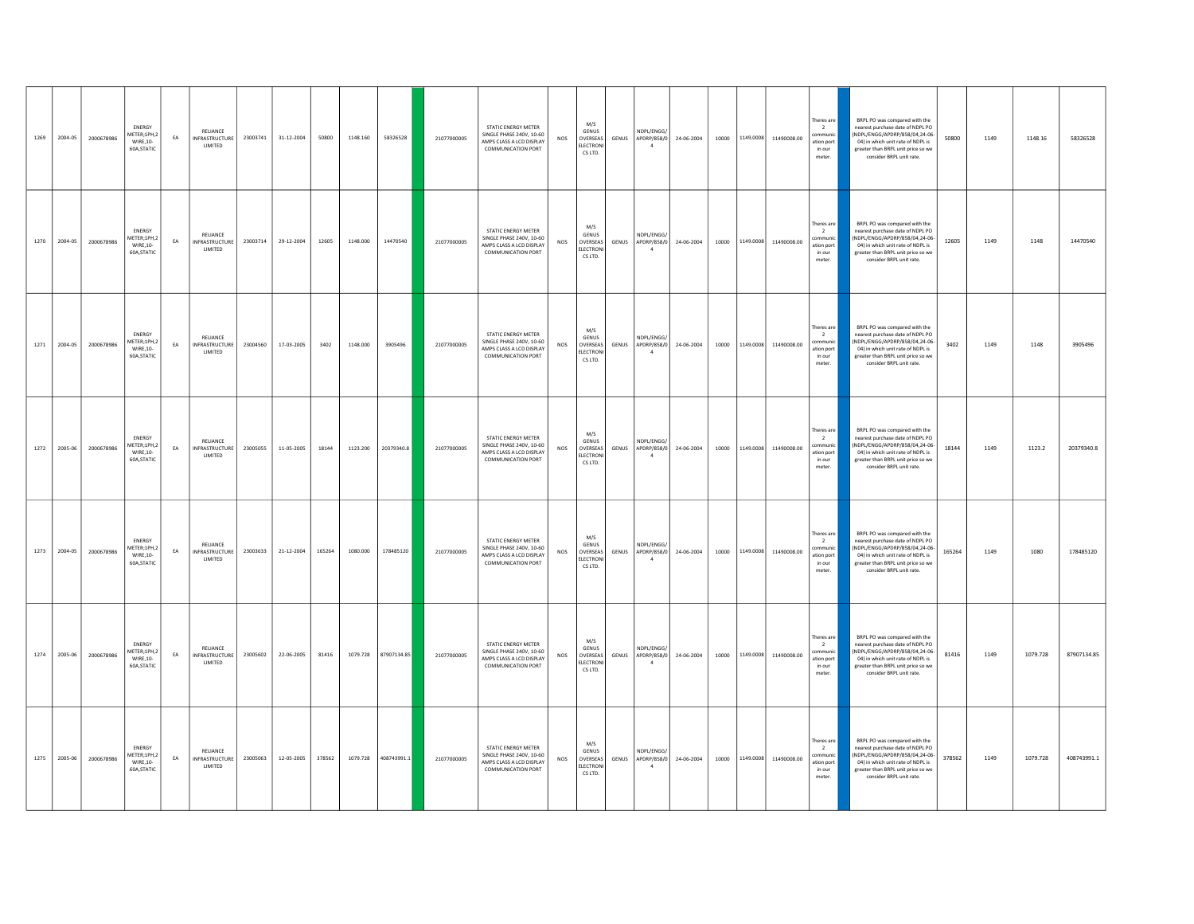| 1269 | 2004-05      | 2000678986 | ENERGY<br>METER;1PH,2<br>WIRE, 10-<br>60A, STATIC       | EA | RELIANCE<br><b>INFRASTRUCTURE</b><br>LIMITED | 23003741 | 31-12-2004 | 50800  | 1148.160 | 58326528             | 21077000005 | STATIC ENERGY METER<br>SINGLE PHASE 240V, 10-60<br>AMPS CLASS A LCD DISPLAY<br>COMMUNICATION PORT              | <b>NOS</b> | M/S<br><b>GENUS</b><br>OVERSEAS<br>ELECTRON<br>CS LTD.         | GENUS        | NDPL/FNGG/<br>$\overline{a}$                 | APDRP/858/0 24-06-2004 | 10000           |           | 1149.0008 11490008.00       | Theres are<br>$\overline{2}$<br>communi<br>ation port<br>in our<br>meter.  | BRPL PO was compared with the<br>nearest purchase date of NDPL PO<br>(NDPL/ENGG/APDRP/858/04,24-06-<br>04) in which unit rate of NDPL is<br>greater than BRPL unit price so we<br>consider BRPL unit rate. | 50800  | 1149 | 1148.16  | 58326528    |
|------|--------------|------------|---------------------------------------------------------|----|----------------------------------------------|----------|------------|--------|----------|----------------------|-------------|----------------------------------------------------------------------------------------------------------------|------------|----------------------------------------------------------------|--------------|----------------------------------------------|------------------------|-----------------|-----------|-----------------------------|----------------------------------------------------------------------------|------------------------------------------------------------------------------------------------------------------------------------------------------------------------------------------------------------|--------|------|----------|-------------|
| 1270 | 2004-05      | 2000678986 | <b>FNFRGY</b><br>MFTFR-1PH 2<br>WIRE.10-<br>60A.STATIC  | EA | RELIANCE<br><b>INFRASTRUCTURE</b><br>LIMITED | 23003714 | 29-12-2004 | 12605  | 1148.000 | 14470540             | 21077000005 | <b>STATIC ENERGY METER</b><br>SINGLE PHASE 240V 10-60<br>AMPS CLASS A LCD DISPLAY<br><b>COMMUNICATION PORT</b> | NOS        | M/S<br>GENUS<br>OVERSEAS<br>ELECTRON<br>CS LTD.                | GENUS        | NDPL/ENGG/<br>APDRP/858/0<br>$\overline{4}$  | 24-06-2004             | 10000           | 1149.0008 | 11490008.00                 | Theres are<br>$\overline{2}$<br>ommuni<br>ation port<br>in our<br>meter.   | BRPL PO was compared with the<br>nearest nurchase date of NDPLPO<br>(NDPL/ENGG/APDRP/858/04.24-06<br>04) in which unit rate of NDPL is<br>greater than BRPL unit price so we<br>consider BRPL unit rate.   | 12605  | 1149 | 1148     | 14470540    |
|      | 1271 2004-05 | 2000678986 | ENERGY<br>AETER;1PH,2<br>WIRE, 10-<br>60A, STATIC       | EA | RELIANCE<br><b>INFRASTRUCTURE</b><br>LIMITED | 23004560 | 17-03-2005 | 3402   | 1148,000 | 3905496              | 21077000005 | STATIC ENERGY METER<br>SINGLE PHASE 240V, 10-60<br>AMPS CLASS A LCD DISPLAY<br><b>COMMUNICATION PORT</b>       | $NOS$      | M/S<br><b>GENUS</b><br>OVERSEAS<br><b>FLECTRONI</b><br>CS LTD. | GENUS        | NDPI /FNGG/<br>APDRP/858/0<br>$\overline{4}$ | 24-06-2004             | 10000 1149.0008 |           | 11490008.00                 | Theres are<br>$\overline{2}$<br>communi<br>ation port<br>in our<br>meter.  | BRPL PO was compared with the<br>nearest purchase date of NDPL PO<br>NDPL/ENGG/APDRP/858/04,24-06-<br>04) in which unit rate of NDPL is<br>greater than BRPL unit price so we<br>consider BRPL unit rate.  | 3402   | 1149 | 1148     | 3905496     |
| 1272 | 2005-06      | 2000678986 | <b>FNFRGY</b><br>METER;1PH,2<br>WIRE.10-<br>60A, STATIC | EA | RELIANCE<br><b>INFRASTRUCTURE</b><br>LIMITED | 23005055 | 11-05-2005 | 18144  |          | 1123.200 20379340.8  | 21077000005 | STATIC ENERGY METER<br>SINGLE PHASE 240V, 10-60<br>AMPS CLASS A LCD DISPLAY<br><b>COMMUNICATION PORT</b>       | NOS        | M/S<br>GENUS<br>OVERSEAS<br>ELECTRON<br>CS LTD.                | GENUS        | NDPL/ENGG/<br>APDRP/858/0                    | 24-06-2004             | 10000           | 1149.0008 | 11490008.00                 | Theres are<br>$\overline{2}$<br>nmmun<br>ation port<br>in our<br>meter.    | BRPL PO was compared with the<br>nearest purchase date of NDPL PO<br>(NDPL/ENGG/APDRP/858/04.24-06-<br>04) in which unit rate of NDPL is<br>greater than BRPL unit price so we<br>consider BRPL unit rate. | 18144  | 1149 | 1123.2   | 20379340.8  |
| 1273 | 2004-05      | 2000678986 | ENERGY<br>METER:1PH.2<br>WIRE.10-<br>60A, STATIC        | EA | RELIANCE<br>INFRASTRUCTURE<br>LIMITED        | 23003633 | 21-12-2004 | 165264 | 1080.000 | 178485120            | 21077000005 | STATIC ENERGY METER<br>SINGLE PHASE 240V, 10-60<br>AMPS CLASS A LCD DISPLAY<br><b>COMMUNICATION PORT</b>       | NOS        | M/S<br><b>GENUS</b><br>OVERSEAS<br><b>FLECTRON</b><br>CS LTD.  | GENUS        | NDPL/ENGG/<br>APDRP/858/0<br>$\overline{a}$  | 24-06-2004             | 10000           | 1149.0008 | 11490008.00                 | Theres are<br>$\overline{2}$<br>communic<br>ation port<br>in our<br>meter. | BRPL PO was compared with the<br>nearest purchase date of NDPL PO<br>(NDPL/ENGG/APDRP/858/04,24-06-<br>04) in which unit rate of NDPL is<br>greater than BRPL unit price so we<br>consider BRPL unit rate. | 165264 | 1149 | 1080     | 178485120   |
| 1274 | 2005-06      | 2000678986 | ENERGY<br>AETER;1PH,2<br>WIRE.10-<br>60A, STATIC        | EA | RELIANCE<br><b>INFRASTRUCTURE</b><br>LIMITED | 23005602 | 22-06-2005 | 81416  | 1079.728 | 87907134.85          | 21077000005 | STATIC ENERGY METER<br>SINGLE PHASE 240V, 10-60<br>AMPS CLASS A LCD DISPLAY<br><b>COMMUNICATION PORT</b>       | NOS        | M/S<br><b>GENUS</b><br>OVERSEAS<br><b>ELECTRON</b><br>CS LTD.  | <b>GENUS</b> | NDPL/ENGG/<br>APDRP/858/0<br>$\overline{4}$  | 24-06-2004             |                 |           | 10000 1149.0008 11490008.00 | Theres are<br>$\overline{2}$<br>communic<br>ation port<br>in our<br>meter. | BRPL PO was compared with the<br>nearest purchase date of NDPL PO<br>(NDPL/ENGG/APDRP/858/04,24-06-<br>04) in which unit rate of NDPL is<br>greater than BRPL unit price so we<br>consider BRPL unit rate. | 81416  | 1149 | 1079.728 | 87907134.85 |
| 1275 | 2005-06      | 2000678986 | ENERGY<br>METER:1PH.2<br>WIRE.10-<br>60A.STATIC         | EA | RELIANCE<br>INFRASTRUCTURE<br>LIMITED        | 23005063 | 12-05-2005 | 378562 |          | 1079.728 408743991.1 | 21077000005 | STATIC ENERGY METER<br>SINGLE PHASE 240V, 10-60<br>AMPS CLASS A LCD DISPLAY<br><b>COMMUNICATION PORT</b>       | $NOS$      | M/S<br>GENUS<br>OVERSEAS<br>ELECTRON<br>CS LTD.                | GENUS        | NDPL/ENGG/<br>APDRP/858/0                    | 24-06-2004             | 10000           | 1149.0008 | 11490008.00                 | Theres are<br>$\overline{2}$<br>communi<br>ation port<br>in our<br>meter.  | BRPL PO was compared with the<br>nearest purchase date of NDPL PO<br>(NDPL/ENGG/APDRP/858/04.24-06-<br>04) in which unit rate of NDPL is<br>greater than BRPL unit price so we<br>consider BRPL unit rate. | 378562 | 1149 | 1079.728 | 408743991.1 |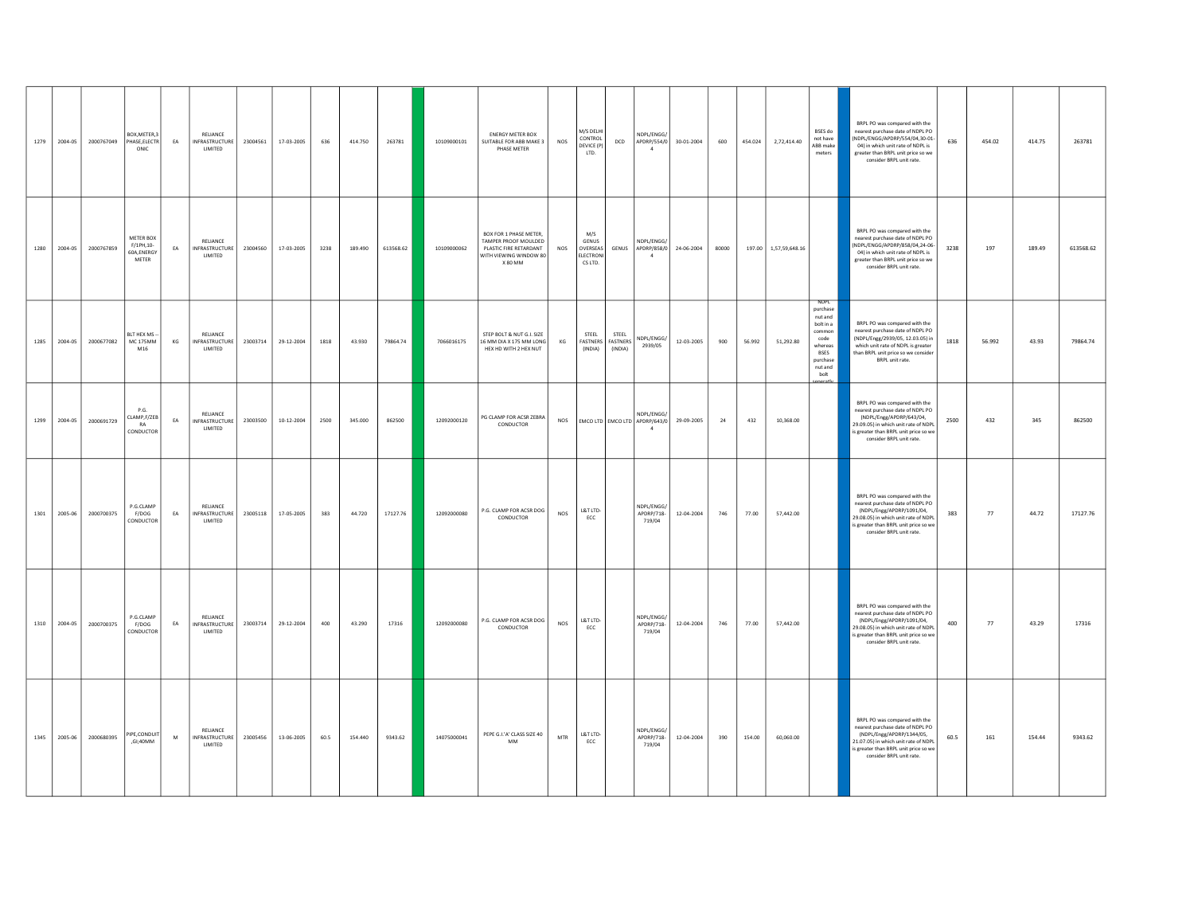| 1279 | 2004-05      | 2000767049 | BOX, METER, 3<br>PHASE, ELECTR<br>ONIC         | EA | RELIANCE<br><b>INFRASTRUCTURE</b><br>LIMITED | 23004561 | 17-03-2005 | 636  | 414.750 | 263781    | 10109000101 | <b>ENERGY METER BOX</b><br>SUITABLE FOR ABB MAKE 3<br>PHASE METER                                             | <b>NOS</b> | M/S DELHI<br>CONTROL<br>DEVICE (P)<br>LTD.       | <b>DCD</b>              | NDPL/ENGG/<br>APDRP/554/0<br>$\overline{4}$                       | 30-01-2004 | 600   | 454.024 | 2,72,414.40           | BSES do<br>not have<br>ABB make<br>meters                                                                                            | BRPL PO was compared with the<br>nearest purchase date of NDPL PO<br>NDPL/ENGG/APDRP/554/04,30-01-<br>04) in which unit rate of NDPL is<br>greater than BRPL unit price so we<br>consider BRPL unit rate.  | 636  | 454.02 | 414.75 | 263781    |
|------|--------------|------------|------------------------------------------------|----|----------------------------------------------|----------|------------|------|---------|-----------|-------------|---------------------------------------------------------------------------------------------------------------|------------|--------------------------------------------------|-------------------------|-------------------------------------------------------------------|------------|-------|---------|-----------------------|--------------------------------------------------------------------------------------------------------------------------------------|------------------------------------------------------------------------------------------------------------------------------------------------------------------------------------------------------------|------|--------|--------|-----------|
|      | 1280 2004-05 | 2000767859 | METER BOX<br>F/1PH,10-<br>60A, ENERGY<br>METER | EA | RELIANCE<br>INFRASTRUCTURE<br>LIMITED        | 23004560 | 17-03-2005 | 3238 | 189,490 | 613568.62 | 10109000062 | BOX FOR 1 PHASE METER,<br>TAMPER PROOF MOULDED<br>PLASTIC FIRE RETARDANT<br>WITH VIEWING WINDOW 80<br>X 80 MM | <b>NOS</b> | M/S<br>GENUS<br>OVERSEAS<br>ELECTRONI<br>CS LTD. |                         | NDPL/ENGG/<br>GENUS APDRP/858/0<br>$\overline{4}$                 | 24-06-2004 | 80000 |         | 197.00 1,57,59,648.16 |                                                                                                                                      | BRPL PO was compared with the<br>nearest purchase date of NDPL PO<br>NDPL/ENGG/APDRP/858/04,24-06-<br>04) in which unit rate of NDPL is<br>greater than BRPL unit price so we<br>consider BRPL unit rate.  | 3238 | 197    | 189.49 | 613568.62 |
| 1285 | 2004-05      | 2000677082 | <b>RITHEXMS</b><br><b>MC 175MM</b><br>M16      | KG | RELIANCE<br>INFRASTRUCTURE<br>LIMITED        | 23003714 | 29-12-2004 | 1818 | 43.930  | 79864.74  | 7066016175  | STEP BOLT & NUT G.I. SIZE<br>16 MM DIA X 175 MM LONG<br>HEX HD WITH 2 HEX NUT                                 | KG         | <b>STEEL</b><br>FASTNERS FASTNERS<br>(INDIA)     | <b>STEEL</b><br>(INDIA) | NDPL/ENGG/<br>2939/05                                             | 12-03-2005 | 900   | 56.992  | 51,292.80             | <b>NDPI</b><br>purchase<br>nut and<br>bolt in a<br>common<br>code<br>whereas<br><b>BSES</b><br>purchase<br>nut and<br>holt<br>norath | BRPL PO was compared with the<br>nearest purchase date of NDPL PO<br>(NDPL/Engg/2939/05, 12.03.05) in<br>which unit rate of NDPL is greater<br>than BRPL unit price so we consider<br>BRPL unit rate.      | 1818 | 56.992 | 43.93  | 79864.74  |
| 1299 | 2004-05      | 2000691729 | P G<br>CLAMP,F/ZEB<br>RA<br>CONDUCTOR          | EA | RELIANCE<br><b>INFRASTRUCTURE</b><br>LIMITED | 23003500 | 10-12-2004 | 2500 | 345.000 | 862500    | 12092000120 | PG CLAMP FOR ACSR ZEBRA<br>CONDUCTOR                                                                          | <b>NOS</b> |                                                  |                         | NDPL/ENGG/<br>EMCO LTD   EMCO LTD   APDRP/643/0<br>$\overline{4}$ | 29-09-2005 | 24    | 432     | 10,368.00             |                                                                                                                                      | BRPL PO was compared with the<br>nearest nurchase date of NDPLPO<br>(NDPL/Engg/APDRP/643/04.<br>29.09.05) in which unit rate of NDPL<br>s greater than BRPL unit price so we<br>consider BRPL unit rate.   | 2500 | 432    | 345    | 862500    |
| 1301 | 2005-06      | 2000700375 | P.G.CLAMP<br>F/DOG<br>CONDUCTOR                | EA | RELIANCE<br>INFRASTRUCTURE<br>LIMITED        | 23005118 | 17-05-2005 | 383  | 44.720  | 17127.76  | 12092000080 | P.G. CLAMP FOR ACSR DOG<br>CONDUCTOR                                                                          | NOS        | L&T LTD-<br>ECC                                  |                         | NDPL/ENGG/<br>APDRP/718-<br>719/04                                | 12-04-2004 | 746   | 77.00   | 57,442.00             |                                                                                                                                      | BRPL PO was compared with the<br>nearest purchase date of NDPL PO<br>(NDPL/Engg/APDRP/1091/04,<br>29.08.05) in which unit rate of NDPL<br>s greater than BRPL unit price so we<br>consider BRPL unit rate. | 383  | 77     | 44.72  | 17127.76  |
| 1310 | 2004-05      | 2000700375 | P.G.CLAMP<br>F/DOG<br>CONDUCTOR                | EA | RELIANCE<br>INFRASTRUCTURE<br>LIMITED        | 23003714 | 29-12-2004 | 400  | 43,290  | 17316     | 12092000080 | P.G. CLAMP FOR ACSR DOG<br>CONDUCTOR                                                                          | NOS        | L&T LTD-<br>ECC                                  |                         | NDPL/ENGG/<br>APDRP/718-<br>719/04                                | 12-04-2004 | 746   | 77.00   | 57,442.00             |                                                                                                                                      | BRPL PO was compared with the<br>nearest purchase date of NDPL PO<br>(NDPL/Engg/APDRP/1091/04,<br>29.08.05) in which unit rate of NDPL<br>s greater than BRPL unit price so we<br>consider BRPL unit rate. | 400  | 77     | 43.29  | 17316     |
| 1345 | 2005-06      | 2000680395 | PIPE, CONDUIT<br>,GI;40MM                      | M  | RELIANCE<br>INFRASTRUCTURE<br>LIMITED        | 23005456 | 13-06-2005 | 60.5 | 154,440 | 9343.62   | 14075000041 | PEPE G.I.'A' CLASS SIZE 40<br>$\mathsf{MM}$                                                                   | MTR        | L&T LTD-<br>ECC                                  |                         | NDPL/FNGG/<br>APDRP/718-<br>719/04                                | 12-04-2004 | 390   | 154.00  | 60,060.00             |                                                                                                                                      | BRPL PO was compared with the<br>nearest purchase date of NDPL PO<br>(NDPL/Engg/APDRP/1344/05,<br>21.07.05) in which unit rate of NDPL<br>s greater than BRPL unit price so we<br>consider BRPL unit rate. | 60.5 | 161    | 154.44 | 9343.62   |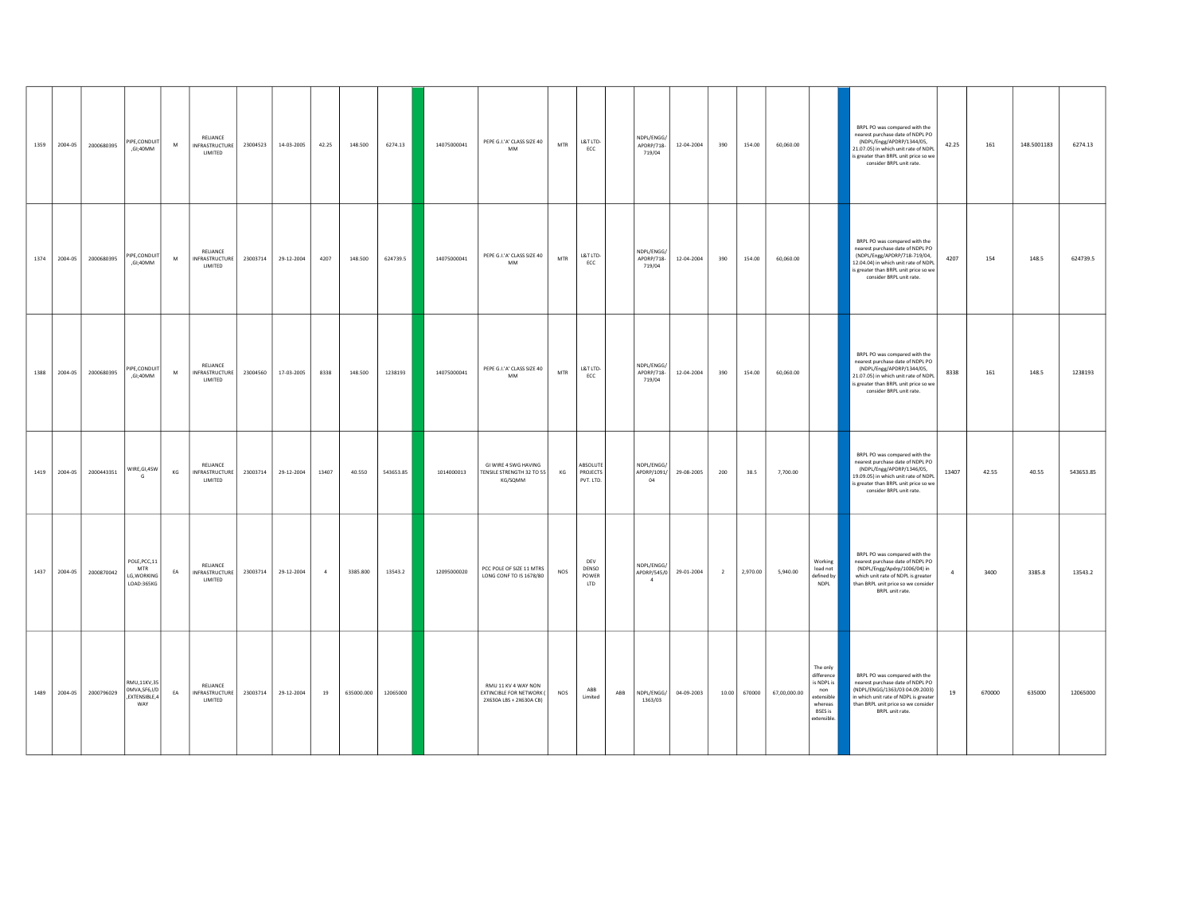| 1359 | 2004-05      | 2000680395 | PIPE, CONDUIT<br>,GI;40MM                           | M  | RELIANCE<br><b>INFRASTRUCTURE</b><br>LIMITED | 23004523 | 14-03-2005 | 42.25          | 148.500    | 6274.13   | 14075000041 | PEPE G.I.'A' CLASS SIZE 40<br>MM                                           | MTR | L&T LTD-<br>ECC                   |     | NDPL/ENGG/<br>APDRP/718-<br>719/04          | 12-04-2004 | 390            | 154.00   | 60,060.00    |                                                                                                      | BRPL PO was compared with the<br>nearest purchase date of NDPL PO<br>(NDPL/Engg/APDRP/1344/05,<br>42.25<br>21.07.05) in which unit rate of NDPL<br>is greater than BRPL unit price so we<br>consider BRPL unit rate.   | 161    | 148.5001183 | 6274.13   |
|------|--------------|------------|-----------------------------------------------------|----|----------------------------------------------|----------|------------|----------------|------------|-----------|-------------|----------------------------------------------------------------------------|-----|-----------------------------------|-----|---------------------------------------------|------------|----------------|----------|--------------|------------------------------------------------------------------------------------------------------|------------------------------------------------------------------------------------------------------------------------------------------------------------------------------------------------------------------------|--------|-------------|-----------|
| 1374 | 2004-05      | 2000680395 | <b>IPE.CONDUIT</b><br>,GI;40MM                      | M  | RELIANCE<br>INFRASTRUCTURE<br>LIMITED        | 23003714 | 29-12-2004 | 4207           | 148.500    | 624739.5  | 14075000041 | PEPE G.I.'A' CLASS SIZE 40<br>$\mathsf{MM}$                                | MTR | L&T LTD-<br>ECC                   |     | NDPL/ENGG/<br>APDRP/718-<br>719/04          | 12-04-2004 | 390            | 154.00   | 60,060.00    |                                                                                                      | BRPL PO was compared with the<br>nearest purchase date of NDPL PO<br>(NDPL/Engg/APDRP/718-719/04,<br>4207<br>12.04.04) in which unit rate of NDPL<br>is greater than BRPL unit price so we<br>consider BRPL unit rate. | 154    | 148.5       | 624739.5  |
| 1388 | 2004-05      | 2000680395 | PIPE.CONDUIT<br>.GI:40MM                            | M  | RELIANCE<br>INFRASTRUCTURE<br>LIMITED        | 23004560 | 17-03-2005 | 8338           | 148.500    | 1238193   | 14075000041 | PEPE G.I.'A' CLASS SIZE 40<br>MM                                           | MTR | L&T LTD-<br>ECC                   |     | NDPL/ENGG/<br>APDRP/718-<br>719/04          | 12-04-2004 | 390            | 154.00   | 60,060.00    |                                                                                                      | BRPL PO was compared with the<br>nearest purchase date of NDPL PO<br>(NDPL/Engg/APDRP/1344/05,<br>8338<br>21.07.05) in which unit rate of NDPL<br>s greater than BRPL unit price so we<br>consider BRPL unit rate.     | 161    | 148.5       | 1238193   |
|      | 1419 2004-05 | 2000443351 | WIRE, GI, 4SW                                       | KG | RELIANCE<br><b>INFRASTRUCTURE</b><br>LIMITED | 23003714 | 29-12-2004 | 13407          | 40.550     | 543653.85 | 1014000013  | GI WIRE 4 SWG HAVING<br>TENSILE STRENGTH 32 TO 55<br>KG/SQMM               | KG  | ABSOLUTE<br>PROJECTS<br>PVT. LTD. |     | NDPL/ENGG/<br>APDRP/1091/<br>04             | 29-08-2005 | 200            | 38.5     | 7,700.00     |                                                                                                      | BRPL PO was compared with the<br>nearest purchase date of NDPL PO<br>(NDPL/Engg/APDRP/1346/05,<br>13407<br>19.09.05) in which unit rate of NDPL<br>is greater than BRPL unit price so we<br>consider BRPL unit rate.   | 42.55  | 40.55       | 543653.85 |
| 1437 | 2004-05      | 2000870042 | POLE, PCC, 11<br>MTR<br>LG, WORKING<br>LOAD:365KG   | EA | RELIANCE<br>INFRASTRUCTURE<br>LIMITED        | 23003714 | 29-12-2004 | $\overline{4}$ | 3385.800   | 13543.2   | 12095000020 | PCC POLE OF SIZE 11 MTRS<br>LONG CONF TO IS 1678/80                        | NOS | DEV<br>DENSO<br>POWER<br>LTD      |     | NDPL/ENGG/<br>APDRP/545/0<br>$\overline{4}$ | 29-01-2004 | $\overline{2}$ | 2,970.00 | 5,940.00     | Working<br>load not<br>defined by<br><b>NDPL</b>                                                     | BRPL PO was compared with the<br>nearest purchase date of NDPL PO<br>(NDPL/Engg/Apdrp/1006/04) in<br>$\overline{4}$<br>which unit rate of NDPL is greater<br>than BRPL unit price so we consider<br>BRPL unit rate.    | 3400   | 3385.8      | 13543.2   |
| 1489 | 2004-05      | 2000796029 | RMU,11KV,35<br>OMVA.SF6.I/D<br>,EXTENSIBLE,4<br>WAY | EA | RELIANCE<br><b>INFRASTRUCTURE</b><br>LIMITED | 23003714 | 29-12-2004 | 19             | 635000.000 | 12065000  |             | RMU 11 KV 4 WAY NON<br>EXTINCIBLE FOR NETWORK (<br>2X630A LBS + 2X630A CB) | NOS | ABB<br>Limited                    | ABB | NDPL/ENGG/<br>1363/03                       | 04-09-2003 | 10.00          | 670000   | 67,00,000.00 | The only<br>difference<br>is NDPL is<br>non<br>extensible<br>whereas<br><b>BSES</b> is<br>extensible | BRPL PO was compared with the<br>nearest purchase date of NDPL PO<br>(NDPL/ENGG/1363/03 04.09.2003)<br>19<br>in which unit rate of NDPL is greater<br>than BRPL unit price so we consider<br>BRPL unit rate.           | 670000 | 635000      | 12065000  |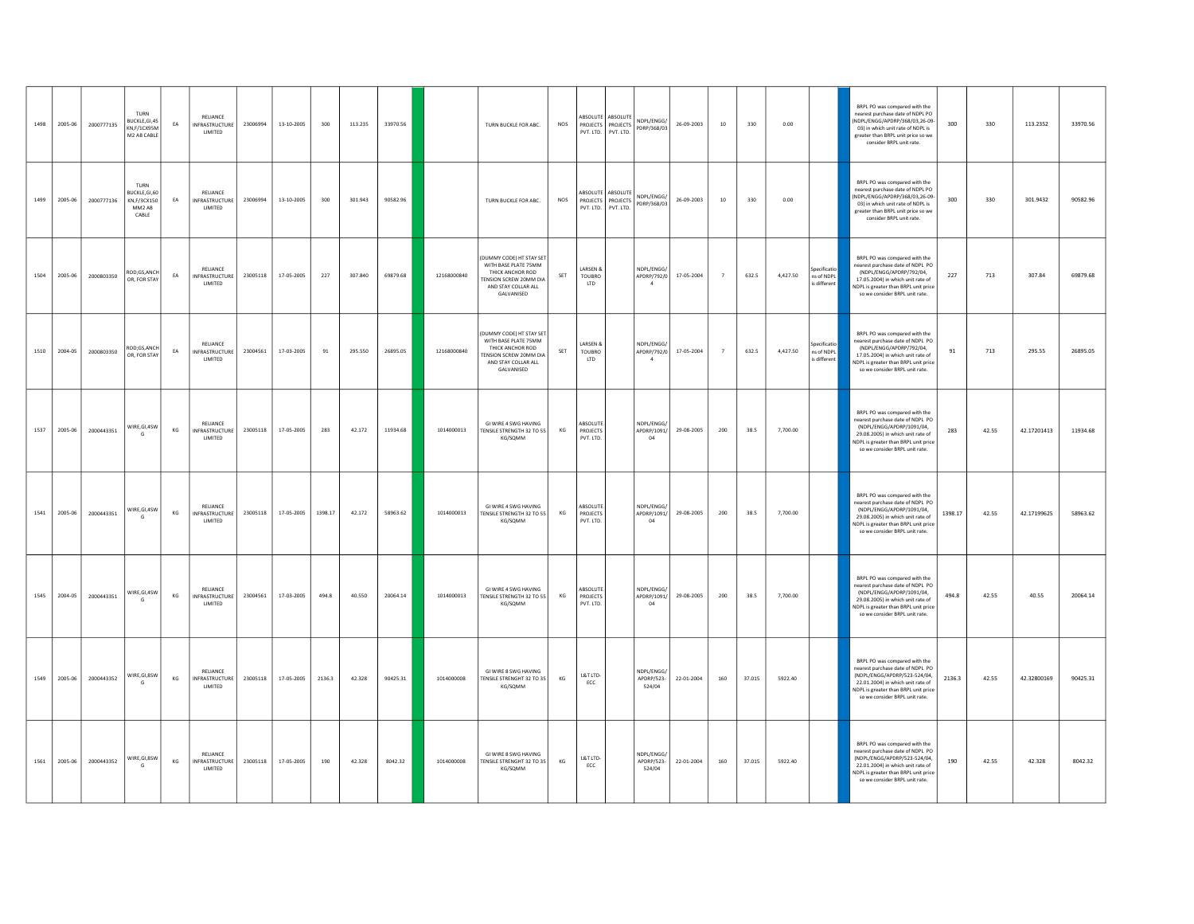| 1498 | 2005-06      | 2000777135 | TURN<br><b>BUCKLE GL45</b><br>KN.F/1CX95M<br>M2 AB CABLE      | EA | RELIANCE<br><b>INFRASTRUCTURE</b><br>LIMITED         | 23006994 | 13-10-2005 | 300     | 113.235 | 33970.56 |             | TURN BUCKLE FOR ABC.                                                                                                                       | NOS                  | PVT. LTD.                         | ABSOLUTE ABSOLUTE<br>PROJECTS PROJECTS<br>PVT. LTD.           | NDPI/FNGG/<br>PDRP/368/03                   | 26-09-2003 | 10             | 330    | 0.00     |                                            | BRPL PO was compared with the<br>nearest purchase date of NDPL PO<br>INDPL/FNGG/APDRP/368/03 26-09<br>03) in which unit rate of NDPL is<br>greater than BRPL unit price so we<br>consider BRPL unit rate.        | 300     | 330   | 113.2352    | 33970.56 |
|------|--------------|------------|---------------------------------------------------------------|----|------------------------------------------------------|----------|------------|---------|---------|----------|-------------|--------------------------------------------------------------------------------------------------------------------------------------------|----------------------|-----------------------------------|---------------------------------------------------------------|---------------------------------------------|------------|----------------|--------|----------|--------------------------------------------|------------------------------------------------------------------------------------------------------------------------------------------------------------------------------------------------------------------|---------|-------|-------------|----------|
| 1499 | 2005-06      | 2000777136 | TURN<br>BUCKLE.GI.60<br><b>KN F/3CX150</b><br>MM2 AR<br>CABLE | EA | RELIANCE<br><b>INFRASTRUCTURE</b><br><b>I IMITED</b> | 23006994 | 13-10-2005 | 300     | 301.943 | 90582.96 |             | TURN BUCKLE FOR ABC.                                                                                                                       | <b>NOS</b>           |                                   | ABSOLUTE ABSOLUTE<br>PROJECTS PROJECTS<br>PVT. LTD. PVT. LTD. | NDPL/ENGG/<br>PDRP/368/03                   | 26-09-2003 | 10             | 330    | 0.00     |                                            | BRPL PO was compared with the<br>nearest purchase date of NDPL PO<br>(NDPL/ENGG/APDRP/368/03,26-09-<br>03) in which unit rate of NDPL is<br>greater than BRPL unit price so we<br>consider BRPL unit rate.       | 300     | 330   | 301.9432    | 90582.96 |
| 1504 | 2005-06      | 2000803350 | ROD:GS.ANCH<br>OR, FOR STAY                                   | EA | RELIANCE<br><b>INFRASTRUCTURE</b><br>LIMITED         | 23005118 | 17-05-2005 | 227     | 307.840 | 69879.68 | 12168000840 | (DUMMY CODE) HT STAY SET<br>WITH BASE PLATE 75MM<br>THICK ANCHOR ROD<br><b>FENSION SCREW 20MM DIA</b><br>AND STAY COLLAR ALL<br>GALVANISED | SET                  | LARSEN &<br>TOUBRO<br>LTD         |                                                               | NDPL/ENGG/<br>APDRP/792/0                   | 17-05-2004 | 7              | 632.5  | 4,427.50 | Specificatio<br>ns of NDPL<br>is different | BRPL PO was compared with the<br>nearest purchase date of NDPL PO<br>(NDPL/ENGG/APDRP/792/04.<br>17.05.2004) in which unit rate of<br>NDPL is greater than BRPL unit price<br>so we consider BRPL unit rate.     | 227     | 713   | 307.84      | 69879.68 |
|      | 1510 2004-05 | 2000803350 | ROD;GS,ANCH<br>OR, FOR STAY                                   | EA | RELIANCE<br><b>INFRASTRUCTURE</b><br>LIMITED         | 23004561 | 17-03-2005 | 91      | 295,550 | 26895.05 | 12168000840 | (DUMMY CODE) HT STAY SET<br>WITH BASE PLATE 75MM<br>THICK ANCHOR ROD<br>ENSION SCREW 20MM DIA<br>AND STAY COLLAR ALL<br>GALVANISED         | SET                  | LARSEN &<br><b>TOUBRO</b><br>LTD  |                                                               | NDPL/ENGG/<br>APDRP/792/0<br>$\overline{4}$ | 17-05-2004 | $\overline{7}$ | 632.5  | 4.427.50 | specificatio<br>ns of NDPL<br>is different | BRPL PO was compared with the<br>nearest purchase date of NDPL PO<br>(NDPL/ENGG/APDRP/792/04,<br>17.05.2004) in which unit rate of<br>NDPL is greater than BRPL unit price<br>so we consider BRPL unit rate.     | 91      | 713   | 295.55      | 26895.05 |
| 1537 | 2005-06      | 2000443351 | WIRE, GI, 4SW<br>G                                            | KG | RELIANCE<br><b>INFRASTRUCTURE</b><br>LIMITED         | 23005118 | 17-05-2005 | 283     | 42.172  | 11934.68 | 1014000013  | <b>GI WIRE 4 SWG HAVING</b><br>TENSILE STRENGTH 32 TO 55<br>KG/SOMM                                                                        | KG                   | ABSOLUTE<br>PROJECTS<br>PVT, LTD. |                                                               | NDPL/ENGG/<br>APDRP/1091/<br>04             | 29-08-2005 | 200            | 38.5   | 7,700.00 |                                            | BRPL PO was compared with the<br>earest purchase date of NDPL PO<br>(NDPL/ENGG/APDRP/1091/04,<br>29.08.2005) in which unit rate of<br>NDPL is greater than BRPL unit price<br>so we consider BRPL unit rate.     | 283     | 42.55 | 42.17201413 | 11934.68 |
| 1541 | 2005-06      | 2000443351 | WIRE.GI.4SW<br>G                                              | KG | RELIANCE<br>INFRASTRUCTURE<br>LIMITED                | 23005118 | 17-05-2005 | 1398.17 | 42.172  | 58963.62 | 1014000013  | GI WIRE 4 SWG HAVING<br>TENSILE STRENGTH 32 TO 55<br>KG/SQMM                                                                               | KG                   | ABSOLUTE<br>PROJECTS<br>PVT. LTD. |                                                               | NDPL/ENGG/<br>APDRP/1091/<br>04             | 29-08-2005 | 200            | 38.5   | 7,700.00 |                                            | BRPL PO was compared with the<br>nearest purchase date of NDPL PO<br>(NDPL/ENGG/APDRP/1091/04.<br>29.08.2005) in which unit rate of<br>NDPL is greater than BRPL unit price<br>so we consider BRPL unit rate.    | 1398.17 | 42.55 | 42.17199625 | 58963.62 |
|      | 1545 2004-05 | 2000443351 | VIRE, GI, 4SW                                                 | KG | RELIANCE<br>INFRASTRUCTURE<br>LIMITED                | 23004561 | 17-03-2005 | 494.8   | 40.550  | 20064.14 | 1014000013  | <b>GI WIRE 4 SWG HAVING</b><br>TENSILE STRENGTH 32 TO 55<br>KG/SOMM                                                                        | KG                   | ABSOLUTE<br>PROJECTS<br>PVT, LTD. |                                                               | NDPL/ENGG/<br>APDRP/1091/<br>04             | 29-08-2005 | 200            | 38.5   | 7,700.00 |                                            | BRPL PO was compared with the<br>nearest purchase date of NDPL PO<br>(NDPL/ENGG/APDRP/1091/04,<br>29.08.2005) in which unit rate of<br>NDPL is greater than BRPL unit price<br>so we consider BRPL unit rate.    | 494.8   | 42.55 | 40.55       | 20064.14 |
| 1549 | 2005-06      | 2000443352 | WIRE, GI, 8SW<br>G                                            | KG | RELIANCE<br><b>INFRASTRUCTURE</b><br>LIMITED         | 23005118 | 17-05-2005 | 2136.3  | 42.328  | 90425.31 | 1014000008  | <b>GI WIRE 8 SWG HAVING</b><br>ENSILE STRENGHT 32 TO 35<br>KG/SQMM                                                                         | $\mathsf{KG}\xspace$ | L&T LTD-<br>ECC                   |                                                               | NDPL/ENGG/<br>APDRP/523-<br>524/04          | 22-01-2004 | 160            | 37.015 | 5922.40  |                                            | BRPL PO was compared with the<br>nearest purchase date of NDPL PO<br>(NDPL/ENGG/APDRP/523-524/04,<br>22.01.2004) in which unit rate of<br>NDPL is greater than BRPL unit price<br>so we consider BRPL unit rate. | 2136.3  | 42.55 | 42.32800169 | 90425.31 |
| 1561 | 2005-06      | 2000443352 | VIRE, GI, 8SW<br>G                                            | KG | RELIANCE<br><b>INFRASTRUCTURE</b><br>LIMITED         | 23005118 | 17-05-2005 | 190     | 42.328  | 8042.32  | 1014000008  | GI WIRE 8 SWG HAVING<br>TENSILE STRENGHT 32 TO 35<br>KG/SOMM                                                                               | KG                   | L&T LTD-<br>$\mathsf{ECC}$        |                                                               | NDPL/ENGG/<br>APDRP/523-<br>524/04          | 22-01-2004 | 160            | 37.015 | 5922.40  |                                            | BRPL PO was compared with the<br>earest purchase date of NDPL PO<br>(NDPL/ENGG/APDRP/523-524/04,<br>22.01.2004) in which unit rate of<br>NDPL is greater than BRPL unit price<br>so we consider BRPL unit rate.  | 190     | 42.55 | 42.328      | 8042.32  |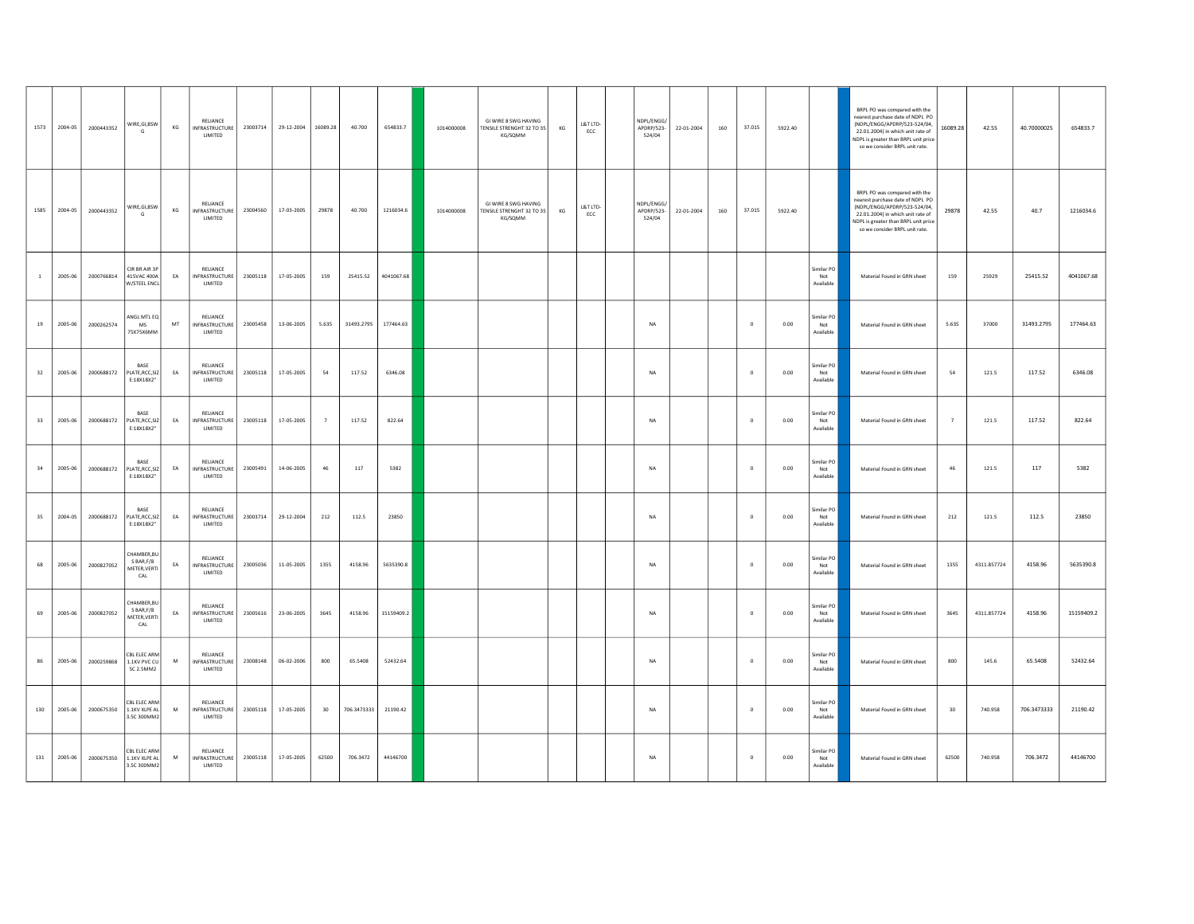| 1573         | 2004-05 | 2000443352 | WIRE, GI, 8SW<br>G                                                             | KG                     | RELIANCE<br>INFRASTRUCTURE<br>LIMITED        | 23003714 | 29-12-2004 | 16089.28       | 40.700      | 654833.7   | 1014000008 | GI WIRE 8 SWG HAVING<br>TENSILE STRENGHT 32 TO 35<br>KG/SQMM | KG | L&T LTD-<br>ECC | NDPL/ENGG/<br>APDRP/523-<br>524/04 | 22-01-2004 | 160 | 37.015      | 5922.40 |                                | BRPL PO was compared with the<br>nearest purchase date of NDPL PO<br>(NDPL/ENGG/APDRP/523-524/04,<br>22.01.2004) in which unit rate of<br>NDPL is greater than BRPL unit price<br>so we consider BRPL unit rate. | 16089.28 | 42.55       | 40.70000025 | 654833.7   |
|--------------|---------|------------|--------------------------------------------------------------------------------|------------------------|----------------------------------------------|----------|------------|----------------|-------------|------------|------------|--------------------------------------------------------------|----|-----------------|------------------------------------|------------|-----|-------------|---------|--------------------------------|------------------------------------------------------------------------------------------------------------------------------------------------------------------------------------------------------------------|----------|-------------|-------------|------------|
| 1585         | 2004-05 | 2000443352 | WIRE, GI, 8SW<br>G                                                             | KG                     | RELIANCE<br><b>INFRASTRUCTURE</b><br>LIMITED | 23004560 | 17-03-2005 | 29878          | 40,700      | 1216034.6  | 1014000008 | GI WIRE 8 SWG HAVING<br>TENSILE STRENGHT 32 TO 35<br>KG/SQMM | KG | L&T LTD-<br>ECC | NDPL/ENGG/<br>APDRP/523-<br>524/04 | 22-01-2004 | 160 | 37.015      | 5922.40 |                                | BRPL PO was compared with the<br>nearest purchase date of NDPL PO<br>(NDPL/ENGG/APDRP/523-524/04,<br>22.01.2004) in which unit rate of<br>NDPL is greater than BRPL unit price<br>so we consider BRPL unit rate. | 29878    | 42.55       | 40.7        | 1216034.6  |
| $\mathbf{1}$ | 2005-06 | 2000766814 | CIR BR AIR 3P<br>415VAC 400A<br>W/STEEL ENCL                                   | EA                     | RELIANCE<br>INFRASTRUCTURE<br>LIMITED        | 23005118 | 17-05-2005 | 159            | 25415.52    | 4041067.68 |            |                                                              |    |                 |                                    |            |     |             |         | Similar PO<br>Not<br>Available | Material Found in GRN sheet                                                                                                                                                                                      | 159      | 25929       | 25415.52    | 4041067.68 |
| 19           | 2005-06 | 2000262574 | ANGL MTL EQ<br>MS.<br>75X75X6MM                                                | MT                     | RELIANCE<br>INFRASTRUCTURE<br>LIMITED        | 23005458 | 13-06-2005 | 5.635          | 31493.2795  | 177464.63  |            |                                                              |    |                 | <b>NA</b>                          |            |     | $\circ$     | 0.00    | Similar PO<br>Not<br>Available | Material Found in GRN sheet                                                                                                                                                                                      | 5.635    | 37000       | 31493.2795  | 177464.63  |
| 32           | 2005-06 | 2000688172 | BASE<br>PLATE, RCC, SIZ<br>E:18X18X2"                                          | EA                     | RELIANCE<br><b>INFRASTRUCTURE</b><br>LIMITED | 23005118 | 17-05-2005 | 54             | 117.52      | 6346.08    |            |                                                              |    |                 | <b>NA</b>                          |            |     | $\circ$     | 0.00    | Similar PO<br>Not<br>Available | Material Found in GRN sheet                                                                                                                                                                                      | 54       | 121.5       | 117.52      | 6346.08    |
| 33           | 2005-06 | 2000688172 | BASE<br>PLATE, RCC, SIZ<br>E:18X18X2"                                          | $\mathsf{E}\mathsf{A}$ | RELIANCE<br><b>INFRASTRUCTURE</b><br>LIMITED | 23005118 | 17-05-2005 | $\overline{7}$ | 117.52      | 822.64     |            |                                                              |    |                 | $_{\sf NA}$                        |            |     | $\mathbf 0$ | 0.00    | Similar PO<br>Not<br>Available | Material Found in GRN sheet                                                                                                                                                                                      |          | 121.5       | 117.52      | 822.64     |
| 34           | 2005-06 | 2000688172 | <b>RASE</b><br>PLATE, RCC, SIZ<br>E:18X18X2"                                   | EA                     | RELIANCE<br><b>INFRASTRUCTURE</b><br>LIMITED | 23005491 | 14-06-2005 | 46             | $117\,$     | 5382       |            |                                                              |    |                 | NA                                 |            |     | $\mathbf 0$ | 0.00    | Similar PO<br>Not<br>Available | Material Found in GRN sheet                                                                                                                                                                                      | $\bf 46$ | 121.5       | $117\,$     | 5382       |
| 35           | 2004-05 | 2000688172 | BASE<br>PLATE.RCC.SIZ<br>E:18X18X2"                                            | EA                     | RELIANCE<br><b>INFRASTRUCTURE</b><br>LIMITED | 23003714 | 29-12-2004 | 212            | 112.5       | 23850      |            |                                                              |    |                 | <b>NA</b>                          |            |     | $\theta$    | 0.00    | Similar PO<br>Not<br>Available | Material Found in GRN sheet                                                                                                                                                                                      | 212      | 121.5       | 112.5       | 23850      |
| 68           | 2005-06 | 2000827052 | CHAMBER.BU<br>S BAR, F/8<br>METER, VERTI<br>$\ensuremath{\mathsf{CAL}}\xspace$ | EA                     | RELIANCE<br><b>INFRASTRUCTURE</b><br>LIMITED | 23005036 | 11-05-2005 | 1355           | 4158.96     | 5635390.8  |            |                                                              |    |                 | $_{\sf NA}$                        |            |     | $\,$ 0      | 0.00    | Similar PO<br>Not<br>Available | Material Found in GRN sheet                                                                                                                                                                                      | 1355     | 4311.857724 | 4158.96     | 5635390.8  |
| 69           | 2005-06 | 2000827052 | CHAMBER.BU<br>S BAR.F/8<br>METER.VERTI<br>$\ensuremath{\mathsf{CAL}}\xspace$   | EA                     | RELIANCE<br><b>INFRASTRUCTURE</b><br>LIMITED | 23005616 | 23-06-2005 | 3645           | 4158.96     | 15159409.2 |            |                                                              |    |                 | NA                                 |            |     | $\mathbf 0$ | 0.00    | Similar PO<br>Not<br>Available | Material Found in GRN sheet                                                                                                                                                                                      | 3645     | 4311.857724 | 4158.96     | 15159409.2 |
| 86           | 2005-06 | 2000259868 | CBL ELEC ARM<br>1.1KV PVC CU<br>5C 2.5MM2                                      | M                      | RELIANCE<br>INFRASTRUCTURE<br>LIMITED        | 23008148 | 06-02-2006 | 800            | 65.5408     | 52432.64   |            |                                                              |    |                 | <b>NA</b>                          |            |     | $\theta$    | 0.00    | Similar PO<br>Not<br>Available | Material Found in GRN sheet                                                                                                                                                                                      | 800      | 145.6       | 65,5408     | 52432.64   |
| 130          | 2005-06 | 2000675350 | CBL ELEC ARM<br>1.1KV XLPE AL<br>3.5C 300MM2                                   | M                      | RELIANCE<br>INFRASTRUCTURE<br>LIMITED        | 23005118 | 17-05-2005 | 30             | 706.3473333 | 21190.42   |            |                                                              |    |                 | <b>NA</b>                          |            |     | $\Omega$    | 0.00    | similar PO<br>Not<br>Available | Material Found in GRN sheet                                                                                                                                                                                      | 30       | 740.958     | 706.3473333 | 21190.42   |
| 131          | 2005-06 | 2000675350 | CBL ELEC ARM<br>1.1KV XLPE AL<br>3.5C 300MM2                                   | ${\sf M}$              | RELIANCE<br><b>INFRASTRUCTURE</b><br>LIMITED | 23005118 | 17-05-2005 | 62500          | 706.3472    | 44146700   |            |                                                              |    |                 | $_{\sf NA}$                        |            |     | $\,$ 0 $\,$ | 0.00    | Similar PO<br>Not<br>Available | Material Found in GRN sheet                                                                                                                                                                                      | 62500    | 740.958     | 706.3472    | 44146700   |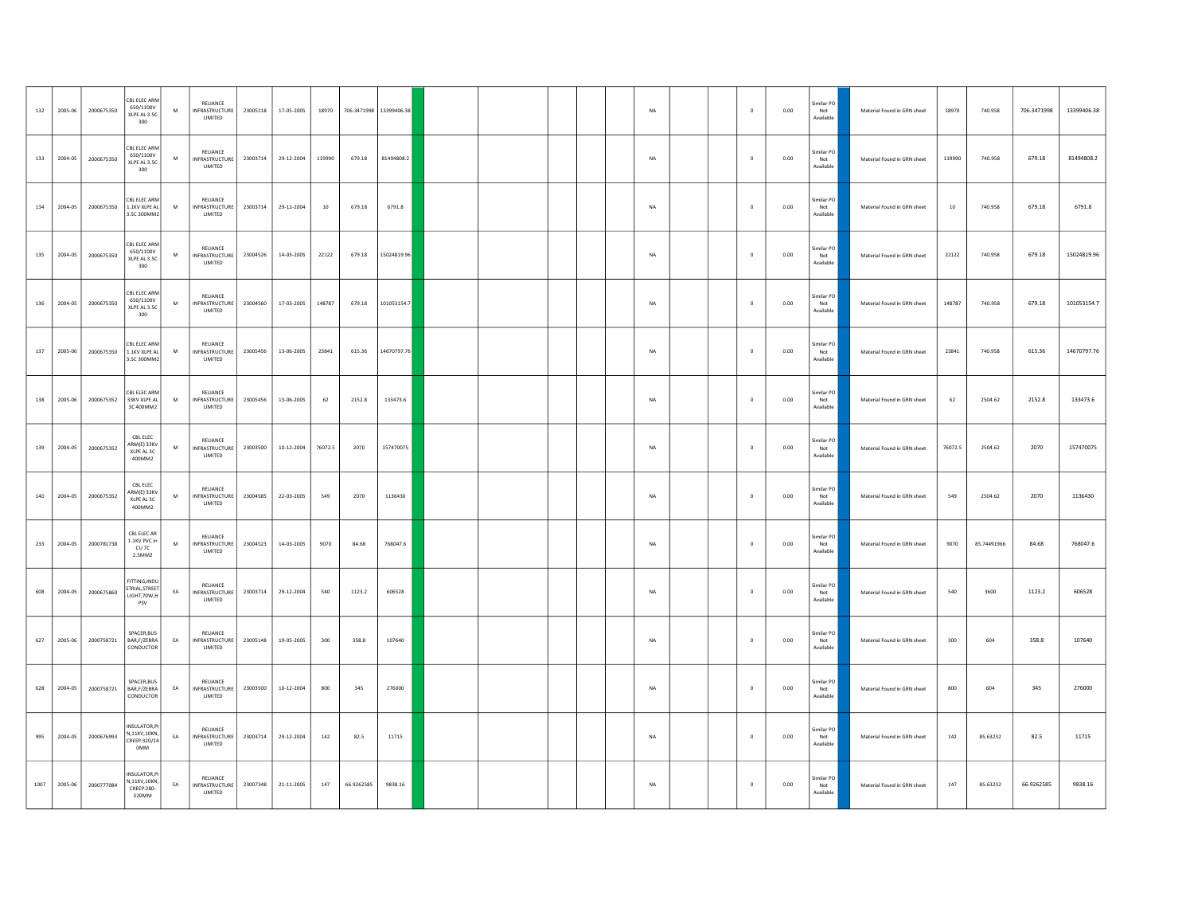| 132  | 2005-06 | 2000675350 | CBL ELEC ARM<br>650/1100V<br>XLPE AL 3.50<br>300     | M         | RELIANCE<br><b>INFRASTRUCTURE</b><br>LIMITED | 23005118 | 17-05-2005 | 18970          | 706.3471998 13399406.38 |             |  |  | NA          | $\overline{0}$ | 0.00 | Similar PO<br>Not<br>Available                          | Material Found in GRN sheet | 18970   | 740.958     | 706.3471998 | 13399406.38 |
|------|---------|------------|------------------------------------------------------|-----------|----------------------------------------------|----------|------------|----------------|-------------------------|-------------|--|--|-------------|----------------|------|---------------------------------------------------------|-----------------------------|---------|-------------|-------------|-------------|
| 133  | 2004-05 | 2000675350 | CBL ELEC ARM<br>650/1100V<br>XLPE AL 3.5C<br>300     | M         | RELIANCE<br><b>INFRASTRUCTURE</b><br>LIMITED | 23003714 | 29-12-2004 | 119990         | 679.18                  | 81494808.2  |  |  | $_{\sf NA}$ | $\mathbf 0$    | 0.00 | Similar PO<br>Not<br>Available                          | Material Found in GRN sheet | 119990  | 740.958     | 679.18      | 81494808.2  |
| 134  | 2004-05 | 2000675350 | CBL ELEC ARM<br>1.1KV XLPE AL<br>3.5C 300MM2         | M         | RELIANCE<br><b>INFRASTRUCTURE</b><br>LIMITED | 23003714 | 29-12-2004 | $10\,$         | 679.18                  | 6791.8      |  |  | $_{\sf NA}$ | $\theta$       | 0.00 | Similar PO<br>Not<br>Available                          | Material Found in GRN sheet | $10\,$  | 740.958     | 679.18      | 6791.8      |
| 135  | 2004-05 | 2000675350 | CBL ELEC ARM<br>650/1100V<br>XLPE AL 3.5C<br>300     | M         | RELIANCE<br><b>INFRASTRUCTURE</b><br>LIMITED | 23004526 | 14-03-2005 | 22122          | 679.18                  | 15024819.96 |  |  | NA          | $\mathbf 0$    | 0.00 | imilar PO<br>Not<br>Available                           | Material Found in GRN sheet | 22122   | 740.958     | 679.18      | 15024819.96 |
| 136  | 2004-05 | 2000675350 | CBL ELEC ARM<br>650/1100V<br>XLPE AL 3.50<br>300     | M         | RELIANCE<br><b>INFRASTRUCTURE</b><br>LIMITED | 23004560 | 17-03-2005 | 148787         | 679.18                  | 101053154.7 |  |  | $_{\sf NA}$ | $\mathbf{0}$   | 0.00 | imilar PO<br>Not<br>Available                           | Material Found in GRN sheet | 148787  | 740.958     | 679.18      | 101053154.7 |
| 137  | 2005-06 | 2000675350 | CBL ELEC ARM<br>1.1KV XLPE AL<br>3.5C 300MM2         | M         | RELIANCE<br>INFRASTRUCTURE<br>LIMITED        | 23005456 | 13-06-2005 | 23841          | 615.36                  | 14670797.76 |  |  | NA          | $\mathbf 0$    | 0.00 | Similar PO<br>Not<br>Available                          | Material Found in GRN sheet | 23841   | 740.958     | 615.36      | 14670797.76 |
| 138  | 2005-06 | 2000675352 | CBL ELEC ARM<br>33KV XIPF AL<br>3C400MM2             | M         | RELIANCE<br><b>INFRASTRUCTURE</b><br>LIMITED | 23005456 | 13-06-2005 | 62             | 2152.8                  | 133473.6    |  |  | <b>NA</b>   | $\Omega$       | 0.00 | Similar PO<br>Not<br>Available                          | Material Found in GRN sheet | 62      | 2504.62     | 2152.8      | 133473.6    |
| 139  | 2004-05 | 2000675352 | CBL ELEC<br>ARM(E) 33KV<br>XLPE AL 3C<br>400MM2      | M         | RELIANCE<br><b>INFRASTRUCTURE</b><br>LIMITED | 23003500 | 10-12-2004 | 76072.5        | 2070                    | 157470075   |  |  | <b>NA</b>   | $\mathbf{0}$   | 0.00 | Similar PO<br>Not<br>Available                          | Material Found in GRN sheet | 76072.5 | 2504.62     | 2070        | 157470075   |
| 140  | 2004-05 | 2000675352 | CBL ELEC<br>ARM(E) 33KV<br>XLPE AL 3C<br>400MM2      | ${\sf M}$ | RELIANCE<br><b>INFRASTRUCTURE</b><br>LIMITED | 23004585 | 22-03-2005 | 549            | 2070                    | 1136430     |  |  | $_{\sf NA}$ | $\circ$        | 0.00 | Similar PO<br>Not<br>Available                          | Material Found in GRN sheet | 549     | 2504.62     | 2070        | 1136430     |
| 233  | 2004-05 | 2000781738 | CBL ELEC AR<br>1.1KV PVC in<br>CU 7C<br>2.5MM2       | M         | RELIANCE<br><b>INFRASTRUCTURE</b><br>LIMITED | 23004523 | 14-03-2005 | 9070           | 84.68                   | 768047.6    |  |  | $_{\sf NA}$ | $\mathbf 0$    | 0.00 | Similar PO<br>Not<br>Available                          | Material Found in GRN sheet | 9070    | 85.74491966 | 84.68       | 768047.6    |
| 608  | 2004-05 | 2000675860 | FITTING, INDU<br>STRIAL STREET<br>LIGHT.70W.H<br>PSV | EA        | RELIANCE<br><b>INFRASTRUCTURE</b><br>LIMITED | 23003714 | 29-12-2004 | ${\small 540}$ | 1123.2                  | 606528      |  |  | NA          | $\mathbf 0$    | 0.00 | Similar PO<br>Not<br>Available                          | Material Found in GRN sheet | 540     | 3600        | 1123.2      | 606528      |
| 627  | 2005-06 | 2000758721 | SPACER, BUS<br>BAR, F/ZEBRA<br>CONDUCTOR             | EA        | RELIANCE<br>INFRASTRUCTURE<br>LIMITED        | 23005148 | 19-05-2005 | 300            | 358.8                   | 107640      |  |  | NA          | $\,$ 0         | 0.00 | imilar PO<br>$\operatorname{\mathsf{Not}}$<br>Available | Material Found in GRN sheet | 300     | 604         | 358.8       | 107640      |
| 628  | 2004-05 | 2000758721 | SPACER, BUS<br>BAR, F/ZEBRA<br>CONDUCTOR             | EA        | RELIANCE<br>INFRASTRUCTURE<br>LIMITED        | 23003500 | 10-12-2004 | 800            | 345                     | 276000      |  |  | <b>NA</b>   | $\Omega$       | 0.00 | imilar PO<br>Not<br>Available                           | Material Found in GRN sheet | 800     | 604         | 345         | 276000      |
| 995  | 2004-05 | 2000676993 | INSULATOR,P<br>N,11KV,10KN,<br>CREEP:320/14<br>0MM   | EA        | RELIANCE<br><b>INFRASTRUCTURE</b><br>LIMITED | 23003714 | 29-12-2004 | 142            | 82.5                    | 11715       |  |  | <b>NA</b>   | $\theta$       | 0.00 | Similar PO<br>Not<br>Available                          | Material Found in GRN sheet | 142     | 85.63232    | 82.5        | 11715       |
| 1007 | 2005-06 | 2000777084 | INSULATOR, P<br>N,11KV,10KN,<br>CREEP:280-<br>320MM  | EA        | RELIANCE<br><b>INFRASTRUCTURE</b><br>LIMITED | 23007348 | 21-11-2005 | 147            | 66.9262585              | 9838.16     |  |  | NA          | $\,$ 0 $\,$    | 0.00 | Similar PO<br>Not<br>Available                          | Material Found in GRN sheet | 147     | 85.63232    | 66.9262585  | 9838.16     |